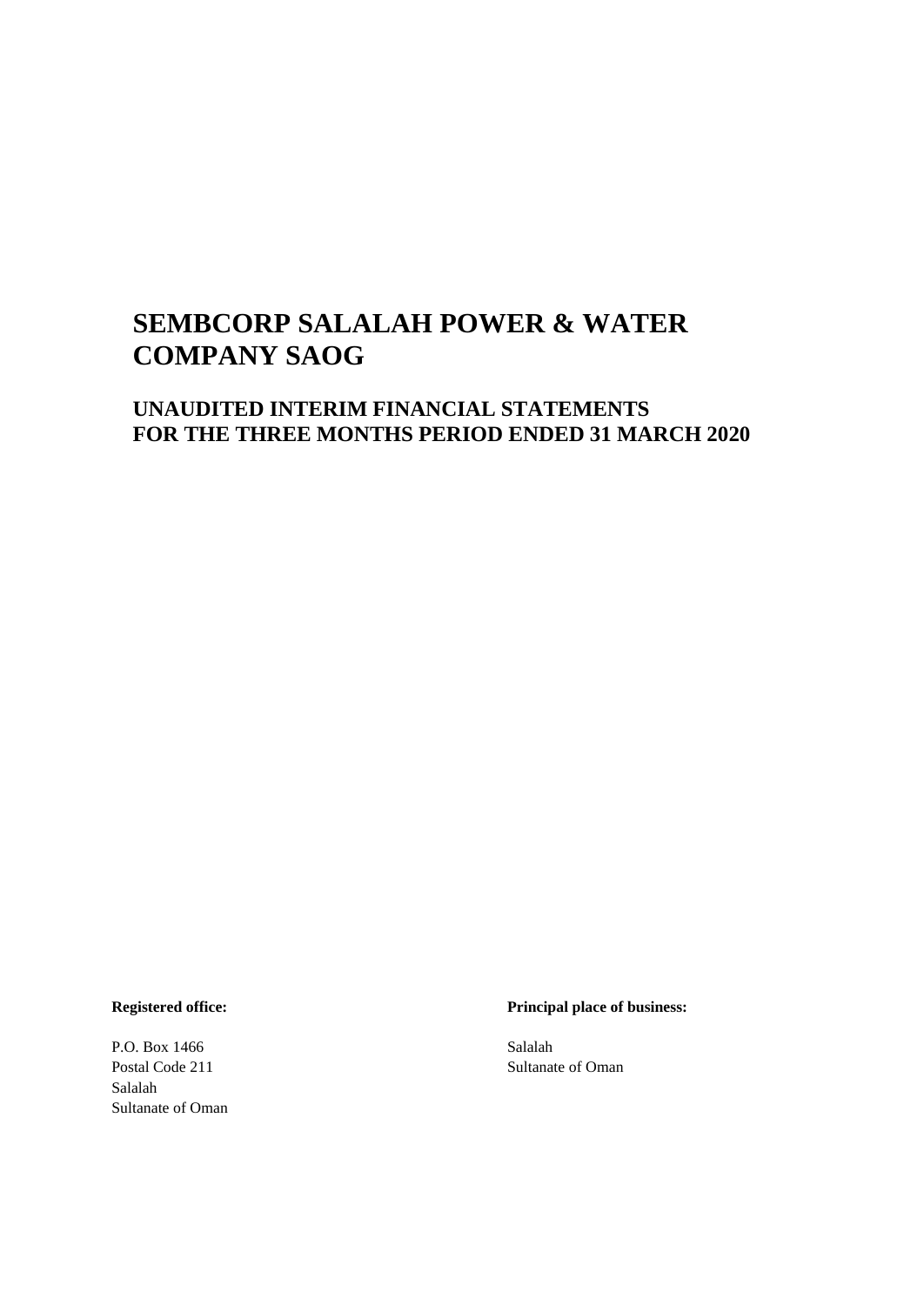# **UNAUDITED INTERIM FINANCIAL STATEMENTS FOR THE THREE MONTHS PERIOD ENDED 31 MARCH 2020**

P.O. Box 1466 Salalah Salalah Sultanate of Oman

**Registered office: Principal place of business:**

Postal Code 211 Sultanate of Oman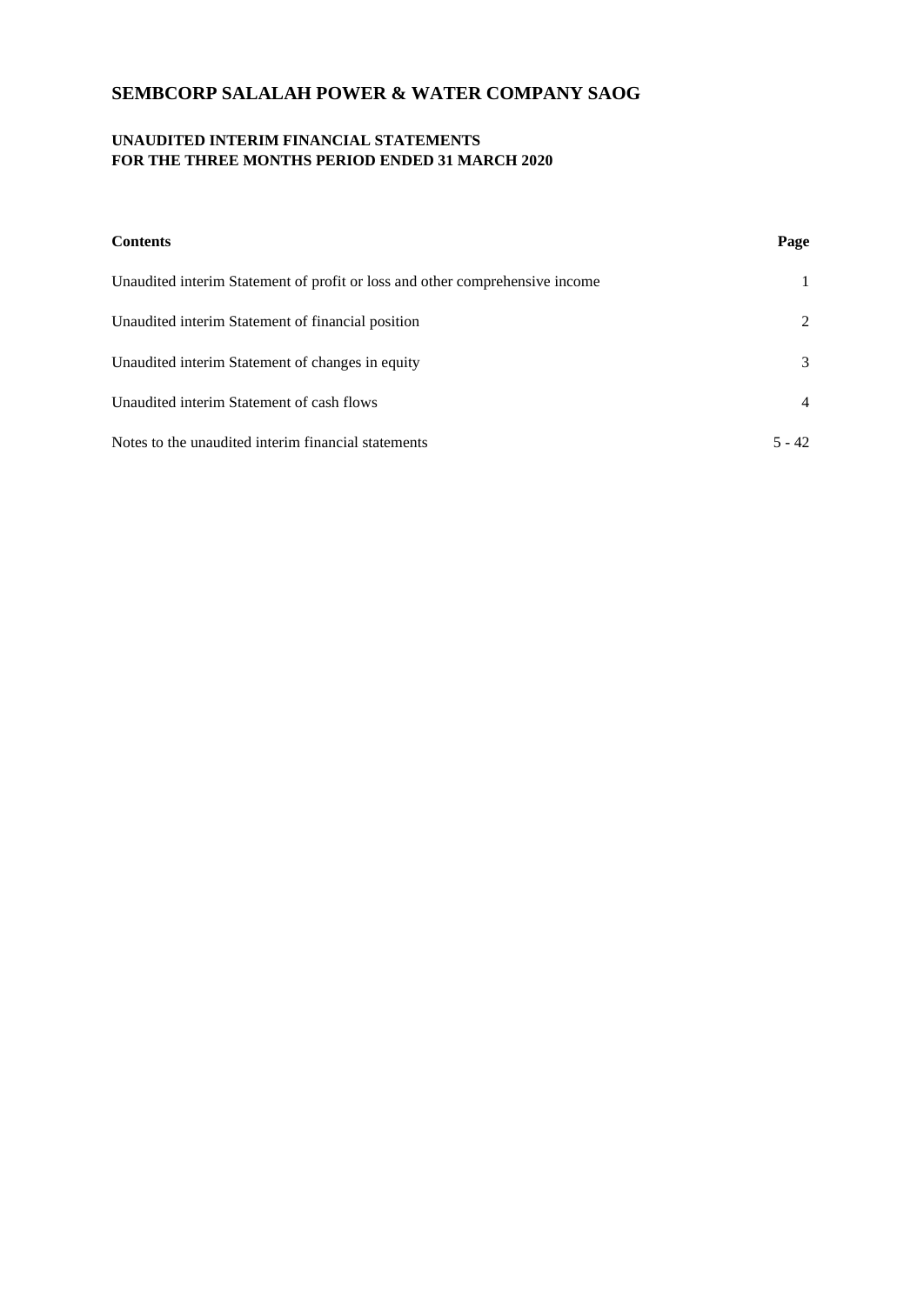# **UNAUDITED INTERIM FINANCIAL STATEMENTS FOR THE THREE MONTHS PERIOD ENDED 31 MARCH 2020**

| <b>Contents</b>                                                              | Page           |
|------------------------------------------------------------------------------|----------------|
| Unaudited interim Statement of profit or loss and other comprehensive income |                |
| Unaudited interim Statement of financial position                            | 2              |
| Unaudited interim Statement of changes in equity                             | 3              |
| Unaudited interim Statement of cash flows                                    | $\overline{4}$ |
| Notes to the unaudited interim financial statements                          | $5 - 42$       |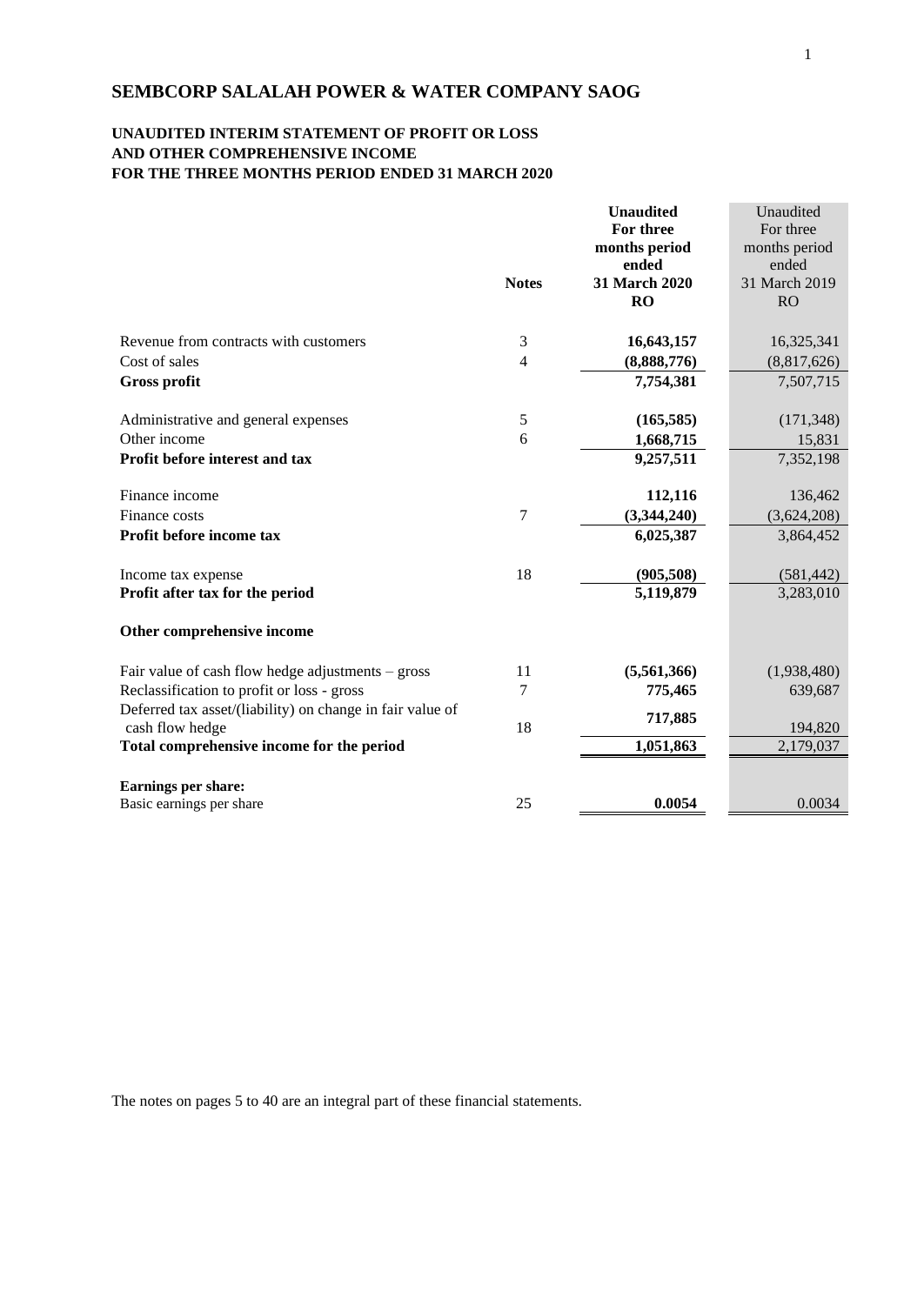# **UNAUDITED INTERIM STATEMENT OF PROFIT OR LOSS AND OTHER COMPREHENSIVE INCOME FOR THE THREE MONTHS PERIOD ENDED 31 MARCH 2020**

|                                                           |                | <b>Unaudited</b><br>For three | Unaudited<br>For three |
|-----------------------------------------------------------|----------------|-------------------------------|------------------------|
|                                                           |                | months period                 | months period          |
|                                                           |                | ended                         | ended                  |
|                                                           | <b>Notes</b>   | 31 March 2020                 | 31 March 2019          |
|                                                           |                | <b>RO</b>                     | <b>RO</b>              |
|                                                           |                |                               |                        |
| Revenue from contracts with customers                     | 3              | 16,643,157                    | 16,325,341             |
| Cost of sales                                             | $\overline{4}$ | (8,888,776)                   | (8,817,626)            |
| <b>Gross profit</b>                                       |                | 7,754,381                     | 7,507,715              |
|                                                           |                |                               |                        |
| Administrative and general expenses                       | 5              | (165, 585)                    | (171, 348)             |
| Other income                                              | 6              | 1,668,715                     | 15,831                 |
| Profit before interest and tax                            |                | 9,257,511                     | 7,352,198              |
|                                                           |                |                               |                        |
| Finance income                                            |                | 112,116                       | 136,462                |
| Finance costs                                             | 7              | (3,344,240)                   | (3,624,208)            |
| Profit before income tax                                  |                | 6,025,387                     | 3,864,452              |
|                                                           |                |                               |                        |
| Income tax expense                                        | 18             | (905, 508)                    | (581, 442)             |
| Profit after tax for the period                           |                | 5,119,879                     | 3,283,010              |
|                                                           |                |                               |                        |
| Other comprehensive income                                |                |                               |                        |
| Fair value of cash flow hedge adjustments $-$ gross       | 11             | (5,561,366)                   | (1,938,480)            |
| Reclassification to profit or loss - gross                | 7              | 775,465                       | 639,687                |
| Deferred tax asset/(liability) on change in fair value of |                |                               |                        |
| cash flow hedge                                           | 18             | 717,885                       | 194,820                |
| Total comprehensive income for the period                 |                | 1,051,863                     | 2,179,037              |
|                                                           |                |                               |                        |
| Earnings per share:                                       |                |                               |                        |
| Basic earnings per share                                  | 25             | 0.0054                        | 0.0034                 |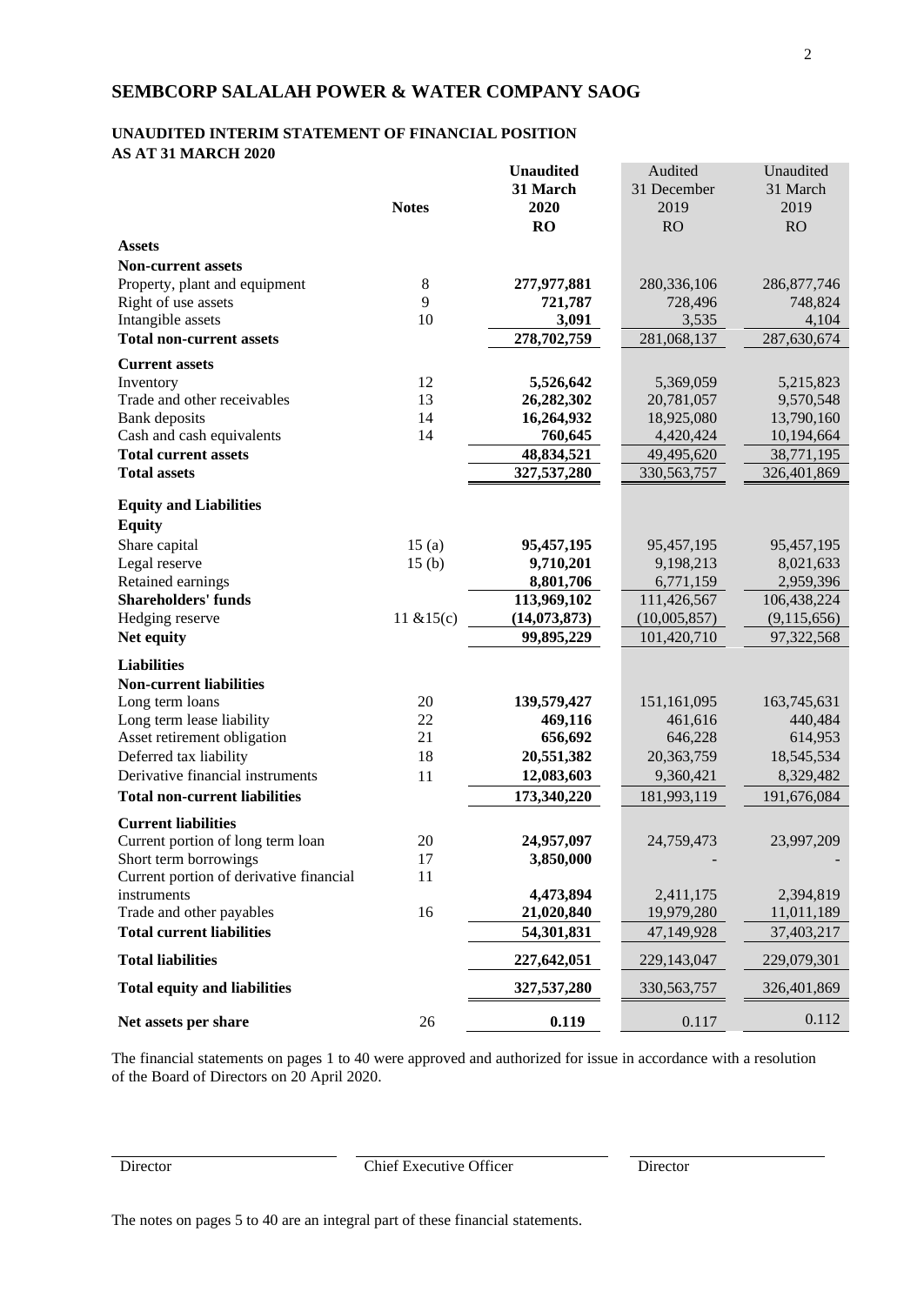# **UNAUDITED INTERIM STATEMENT OF FINANCIAL POSITION AS AT 31 MARCH 2020**

|                                                        |              | <b>Unaudited</b>         | Audited       | Unaudited     |
|--------------------------------------------------------|--------------|--------------------------|---------------|---------------|
|                                                        |              | 31 March                 | 31 December   | 31 March      |
|                                                        | <b>Notes</b> | 2020                     | 2019          | 2019          |
|                                                        |              | RO                       | RO            | RO            |
| <b>Assets</b>                                          |              |                          |               |               |
| <b>Non-current assets</b>                              |              |                          |               |               |
| Property, plant and equipment                          | $\,8\,$      | 277,977,881              | 280,336,106   | 286, 877, 746 |
| Right of use assets                                    | 9            | 721,787                  | 728,496       | 748,824       |
| Intangible assets                                      | 10           | 3,091                    | 3,535         | 4,104         |
| <b>Total non-current assets</b>                        |              | 278,702,759              | 281,068,137   | 287,630,674   |
| <b>Current assets</b>                                  |              |                          |               |               |
| Inventory                                              | 12           | 5,526,642                | 5,369,059     | 5,215,823     |
| Trade and other receivables                            | 13           | 26,282,302               | 20,781,057    | 9,570,548     |
| Bank deposits                                          | 14           | 16,264,932               | 18,925,080    | 13,790,160    |
| Cash and cash equivalents                              | 14           | 760,645                  | 4,420,424     | 10,194,664    |
| <b>Total current assets</b>                            |              | 48,834,521               | 49,495,620    | 38,771,195    |
| <b>Total assets</b>                                    |              | 327,537,280              | 330, 563, 757 | 326,401,869   |
|                                                        |              |                          |               |               |
| <b>Equity and Liabilities</b><br><b>Equity</b>         |              |                          |               |               |
| Share capital                                          | 15(a)        | 95,457,195               | 95,457,195    | 95,457,195    |
| Legal reserve                                          | 15(b)        | 9,710,201                | 9,198,213     | 8,021,633     |
| Retained earnings                                      |              | 8,801,706                | 6,771,159     | 2,959,396     |
| <b>Shareholders' funds</b>                             |              | 113,969,102              | 111,426,567   | 106,438,224   |
| Hedging reserve                                        | 11 $&15(c)$  | (14, 073, 873)           | (10,005,857)  | (9,115,656)   |
| Net equity                                             |              | 99,895,229               | 101,420,710   | 97,322,568    |
|                                                        |              |                          |               |               |
| <b>Liabilities</b><br><b>Non-current liabilities</b>   |              |                          |               |               |
| Long term loans                                        | 20           | 139,579,427              | 151,161,095   | 163,745,631   |
| Long term lease liability                              | 22           | 469,116                  | 461,616       | 440,484       |
| Asset retirement obligation                            | 21           | 656,692                  | 646,228       | 614,953       |
| Deferred tax liability                                 | 18           | 20,551,382               | 20,363,759    | 18,545,534    |
| Derivative financial instruments                       | 11           | 12,083,603               | 9,360,421     | 8,329,482     |
| <b>Total non-current liabilities</b>                   |              | 173,340,220              | 181,993,119   | 191,676,084   |
|                                                        |              |                          |               |               |
| <b>Current liabilities</b>                             |              |                          |               |               |
| Current portion of long term loan                      | 20           | 24,957,097               | 24,759,473    | 23,997,209    |
| Short term borrowings                                  | 17           | 3,850,000                |               |               |
| Current portion of derivative financial<br>instruments | 11           | 4,473,894                |               | 2,394,819     |
| Trade and other payables                               | 16           |                          | 2,411,175     |               |
| <b>Total current liabilities</b>                       |              | 21,020,840<br>54,301,831 | 19,979,280    | 11,011,189    |
|                                                        |              |                          | 47,149,928    | 37,403,217    |
| <b>Total liabilities</b>                               |              | 227,642,051              | 229,143,047   | 229,079,301   |
| <b>Total equity and liabilities</b>                    |              | 327,537,280              | 330, 563, 757 | 326,401,869   |
| Net assets per share                                   | 26           | 0.119                    | 0.117         | 0.112         |

The financial statements on pages 1 to 40 were approved and authorized for issue in accordance with a resolution of the Board of Directors on 20 April 2020.

Director Chief Executive Officer Director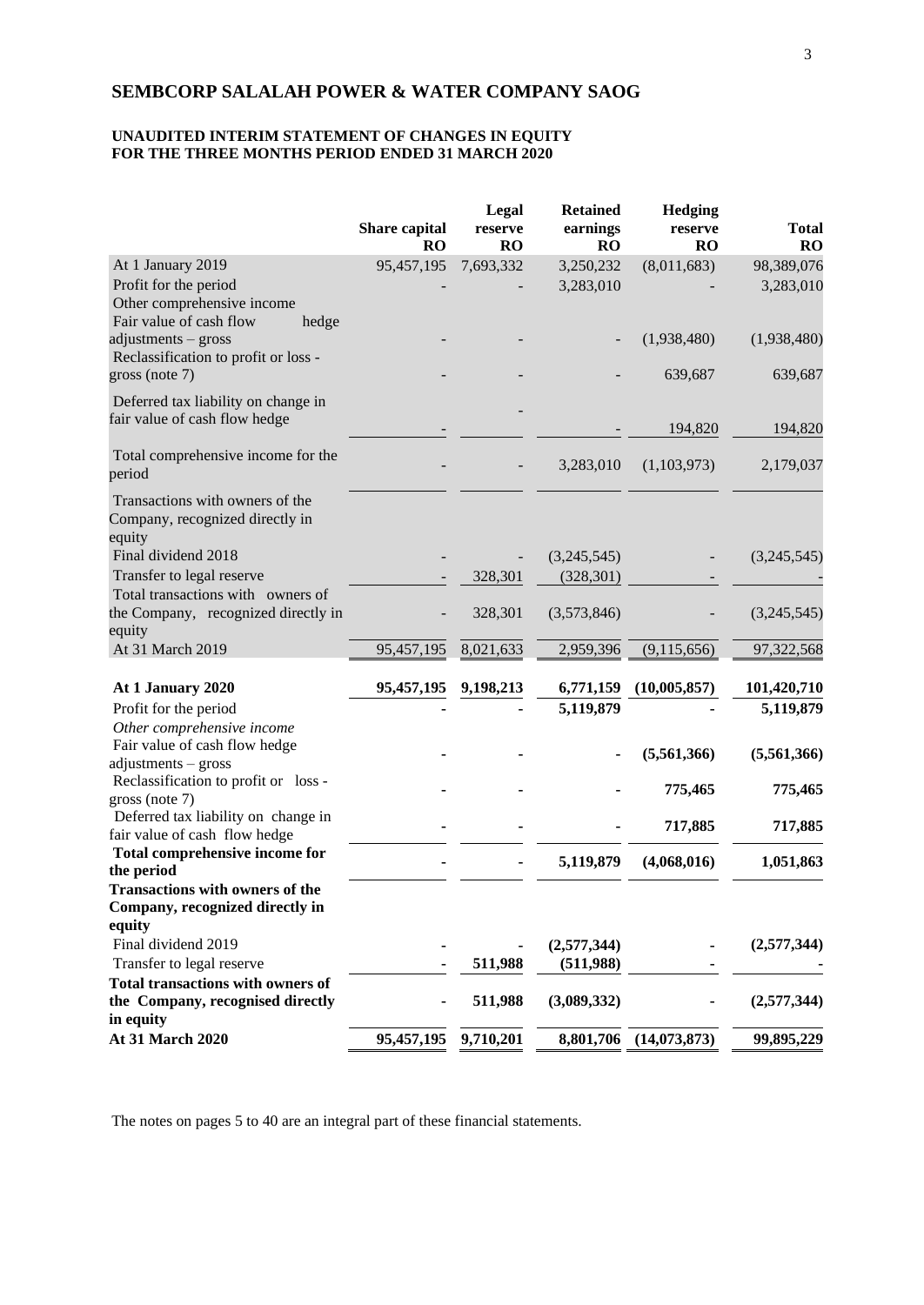# **UNAUDITED INTERIM STATEMENT OF CHANGES IN EQUITY FOR THE THREE MONTHS PERIOD ENDED 31 MARCH 2020**

|                                                                                                                   | Share capital<br><b>RO</b> | Legal<br>reserve<br><b>RO</b> | <b>Retained</b><br>earnings<br><b>RO</b> | <b>Hedging</b><br>reserve<br><b>RO</b> | <b>Total</b><br>RO      |
|-------------------------------------------------------------------------------------------------------------------|----------------------------|-------------------------------|------------------------------------------|----------------------------------------|-------------------------|
| At 1 January 2019<br>Profit for the period<br>Other comprehensive income                                          | 95,457,195                 | 7,693,332                     | 3,250,232<br>3,283,010                   | (8,011,683)                            | 98,389,076<br>3,283,010 |
| Fair value of cash flow<br>hedge<br>adjustments - gross<br>Reclassification to profit or loss -<br>gross (note 7) |                            |                               |                                          | (1,938,480)<br>639,687                 | (1,938,480)<br>639,687  |
| Deferred tax liability on change in<br>fair value of cash flow hedge                                              |                            |                               |                                          |                                        |                         |
| Total comprehensive income for the<br>period                                                                      |                            |                               | 3,283,010                                | 194,820<br>(1,103,973)                 | 194,820<br>2,179,037    |
| Transactions with owners of the<br>Company, recognized directly in<br>equity                                      |                            |                               |                                          |                                        |                         |
| Final dividend 2018<br>Transfer to legal reserve                                                                  |                            | 328,301                       | (3,245,545)<br>(328, 301)                |                                        | (3,245,545)             |
| Total transactions with owners of<br>the Company, recognized directly in<br>equity                                |                            | 328,301                       | (3,573,846)                              |                                        | (3,245,545)             |
| At 31 March 2019                                                                                                  | 95,457,195                 | 8,021,633                     | 2,959,396                                | (9,115,656)                            | 97,322,568              |
| At 1 January 2020                                                                                                 | 95,457,195                 | 9,198,213                     | 6,771,159                                | (10,005,857)                           | 101,420,710             |
| Profit for the period<br>Other comprehensive income<br>Fair value of cash flow hedge                              |                            |                               | 5,119,879                                |                                        | 5,119,879               |
| adjustments - gross                                                                                               |                            |                               |                                          | (5,561,366)                            | (5,561,366)             |
| Reclassification to profit or loss -<br>gross (note 7)                                                            |                            |                               |                                          | 775,465                                | 775,465                 |
| Deferred tax liability on change in<br>fair value of cash flow hedge                                              |                            |                               |                                          | 717,885                                | 717,885                 |
| Total comprehensive income for<br>the period                                                                      |                            |                               | 5,119,879                                | (4,068,016)                            | 1,051,863               |
| <b>Transactions with owners of the</b><br>Company, recognized directly in<br>equity                               |                            |                               |                                          |                                        |                         |
| Final dividend 2019<br>Transfer to legal reserve                                                                  |                            | 511,988                       | (2,577,344)<br>(511,988)                 |                                        | (2,577,344)             |
| <b>Total transactions with owners of</b><br>the Company, recognised directly<br>in equity                         |                            | 511,988                       | (3,089,332)                              |                                        | (2,577,344)             |
| At 31 March 2020                                                                                                  | 95,457,195                 | 9,710,201                     | 8,801,706                                | (14,073,873)                           | 99,895,229              |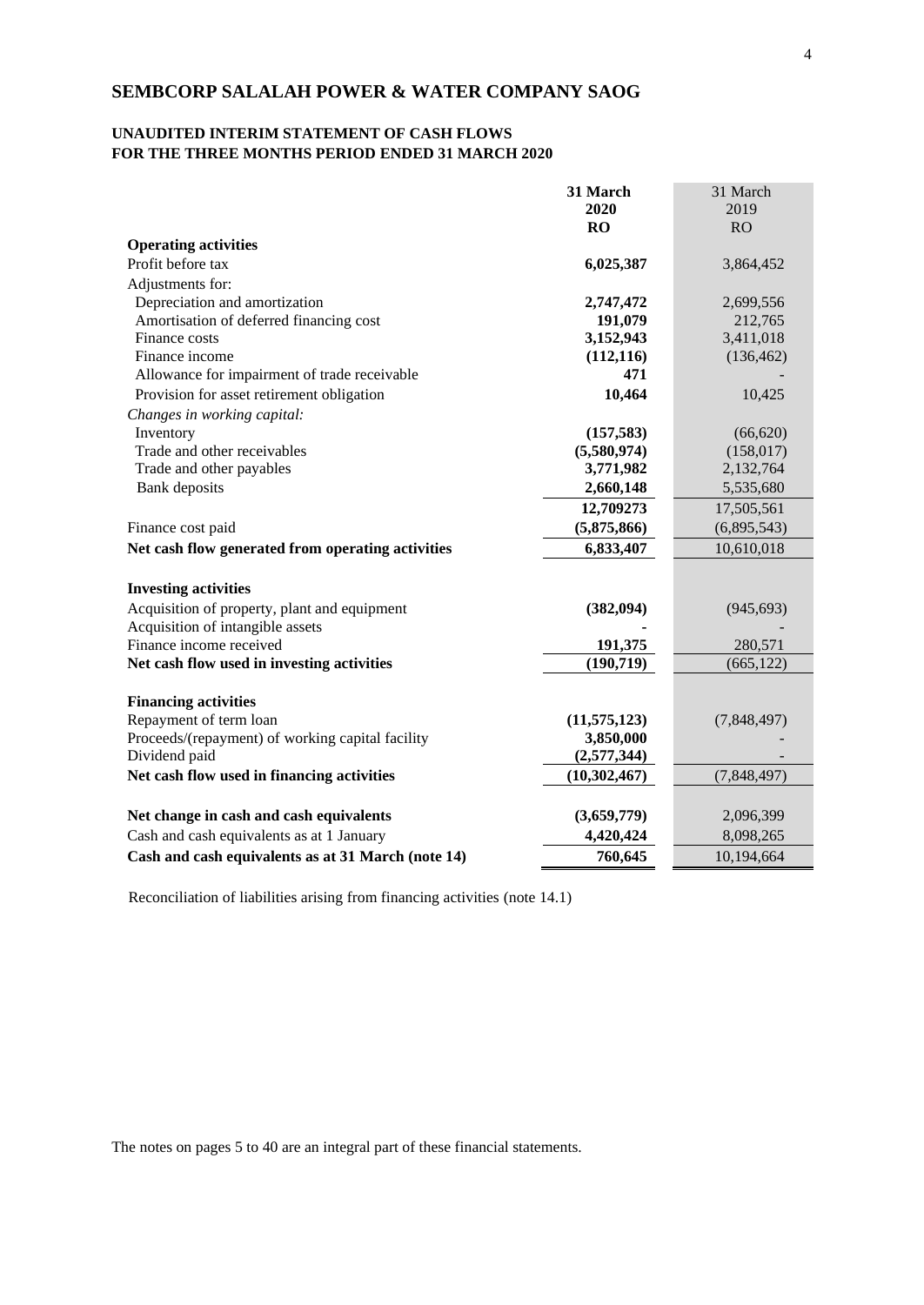# **UNAUDITED INTERIM STATEMENT OF CASH FLOWS FOR THE THREE MONTHS PERIOD ENDED 31 MARCH 2020**

|                                                    | 31 March       | 31 March    |
|----------------------------------------------------|----------------|-------------|
|                                                    | 2020           | 2019        |
|                                                    | RO             | <b>RO</b>   |
| <b>Operating activities</b>                        |                |             |
| Profit before tax                                  | 6,025,387      | 3,864,452   |
| Adjustments for:                                   |                |             |
| Depreciation and amortization                      | 2,747,472      | 2,699,556   |
| Amortisation of deferred financing cost            | 191,079        | 212,765     |
| Finance costs                                      | 3,152,943      | 3,411,018   |
| Finance income                                     | (112, 116)     | (136, 462)  |
| Allowance for impairment of trade receivable       | 471            |             |
| Provision for asset retirement obligation          | 10,464         | 10,425      |
| Changes in working capital:                        |                |             |
| Inventory                                          | (157, 583)     | (66, 620)   |
| Trade and other receivables                        | (5,580,974)    | (158, 017)  |
| Trade and other payables                           | 3,771,982      | 2,132,764   |
| Bank deposits                                      | 2,660,148      | 5,535,680   |
|                                                    | 12,709273      | 17,505,561  |
| Finance cost paid                                  | (5,875,866)    | (6,895,543) |
| Net cash flow generated from operating activities  | 6,833,407      | 10,610,018  |
|                                                    |                |             |
| <b>Investing activities</b>                        |                |             |
| Acquisition of property, plant and equipment       | (382, 094)     | (945, 693)  |
| Acquisition of intangible assets                   |                |             |
| Finance income received                            | 191,375        | 280,571     |
| Net cash flow used in investing activities         | (190, 719)     | (665, 122)  |
|                                                    |                |             |
| <b>Financing activities</b>                        |                |             |
| Repayment of term loan                             | (11, 575, 123) | (7,848,497) |
| Proceeds/(repayment) of working capital facility   | 3,850,000      |             |
| Dividend paid                                      | (2,577,344)    |             |
| Net cash flow used in financing activities         | (10, 302, 467) | (7,848,497) |
|                                                    |                |             |
| Net change in cash and cash equivalents            | (3,659,779)    | 2,096,399   |
| Cash and cash equivalents as at 1 January          | 4,420,424      | 8,098,265   |
| Cash and cash equivalents as at 31 March (note 14) | 760,645        | 10,194,664  |

Reconciliation of liabilities arising from financing activities (note 14.1)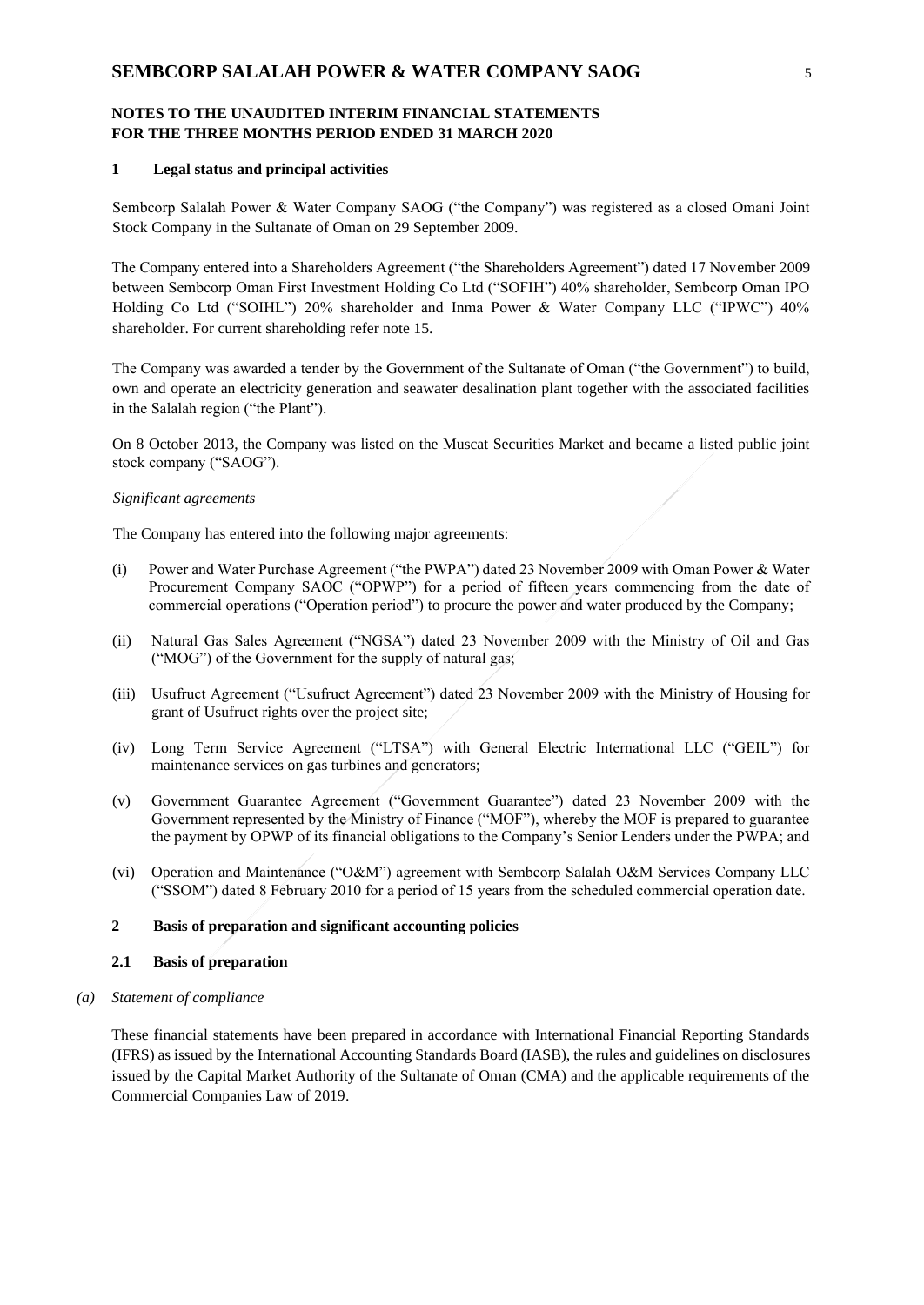#### **1 Legal status and principal activities**

Sembcorp Salalah Power & Water Company SAOG ("the Company") was registered as a closed Omani Joint Stock Company in the Sultanate of Oman on 29 September 2009.

The Company entered into a Shareholders Agreement ("the Shareholders Agreement") dated 17 November 2009 between Sembcorp Oman First Investment Holding Co Ltd ("SOFIH") 40% shareholder, Sembcorp Oman IPO Holding Co Ltd ("SOIHL") 20% shareholder and Inma Power & Water Company LLC ("IPWC") 40% shareholder. For current shareholding refer note 15.

The Company was awarded a tender by the Government of the Sultanate of Oman ("the Government") to build, own and operate an electricity generation and seawater desalination plant together with the associated facilities in the Salalah region ("the Plant").

On 8 October 2013, the Company was listed on the Muscat Securities Market and became a listed public joint stock company ("SAOG").

#### *Significant agreements*

The Company has entered into the following major agreements:

- (i) Power and Water Purchase Agreement ("the PWPA") dated 23 November 2009 with Oman Power & Water Procurement Company SAOC ("OPWP") for a period of fifteen years commencing from the date of commercial operations ("Operation period") to procure the power and water produced by the Company;
- (ii) Natural Gas Sales Agreement ("NGSA") dated 23 November 2009 with the Ministry of Oil and Gas ("MOG") of the Government for the supply of natural gas;
- (iii) Usufruct Agreement ("Usufruct Agreement") dated 23 November 2009 with the Ministry of Housing for grant of Usufruct rights over the project site;
- (iv) Long Term Service Agreement ("LTSA") with General Electric International LLC ("GEIL") for maintenance services on gas turbines and generators;
- (v) Government Guarantee Agreement ("Government Guarantee") dated 23 November 2009 with the Government represented by the Ministry of Finance ("MOF"), whereby the MOF is prepared to guarantee the payment by OPWP of its financial obligations to the Company's Senior Lenders under the PWPA; and
- (vi) Operation and Maintenance ("O&M") agreement with Sembcorp Salalah O&M Services Company LLC ("SSOM") dated 8 February 2010 for a period of 15 years from the scheduled commercial operation date.

# **2 Basis of preparation and significant accounting policies**

### **2.1 Basis of preparation**

#### *(a) Statement of compliance*

These financial statements have been prepared in accordance with International Financial Reporting Standards (IFRS) as issued by the International Accounting Standards Board (IASB), the rules and guidelines on disclosures issued by the Capital Market Authority of the Sultanate of Oman (CMA) and the applicable requirements of the Commercial Companies Law of 2019.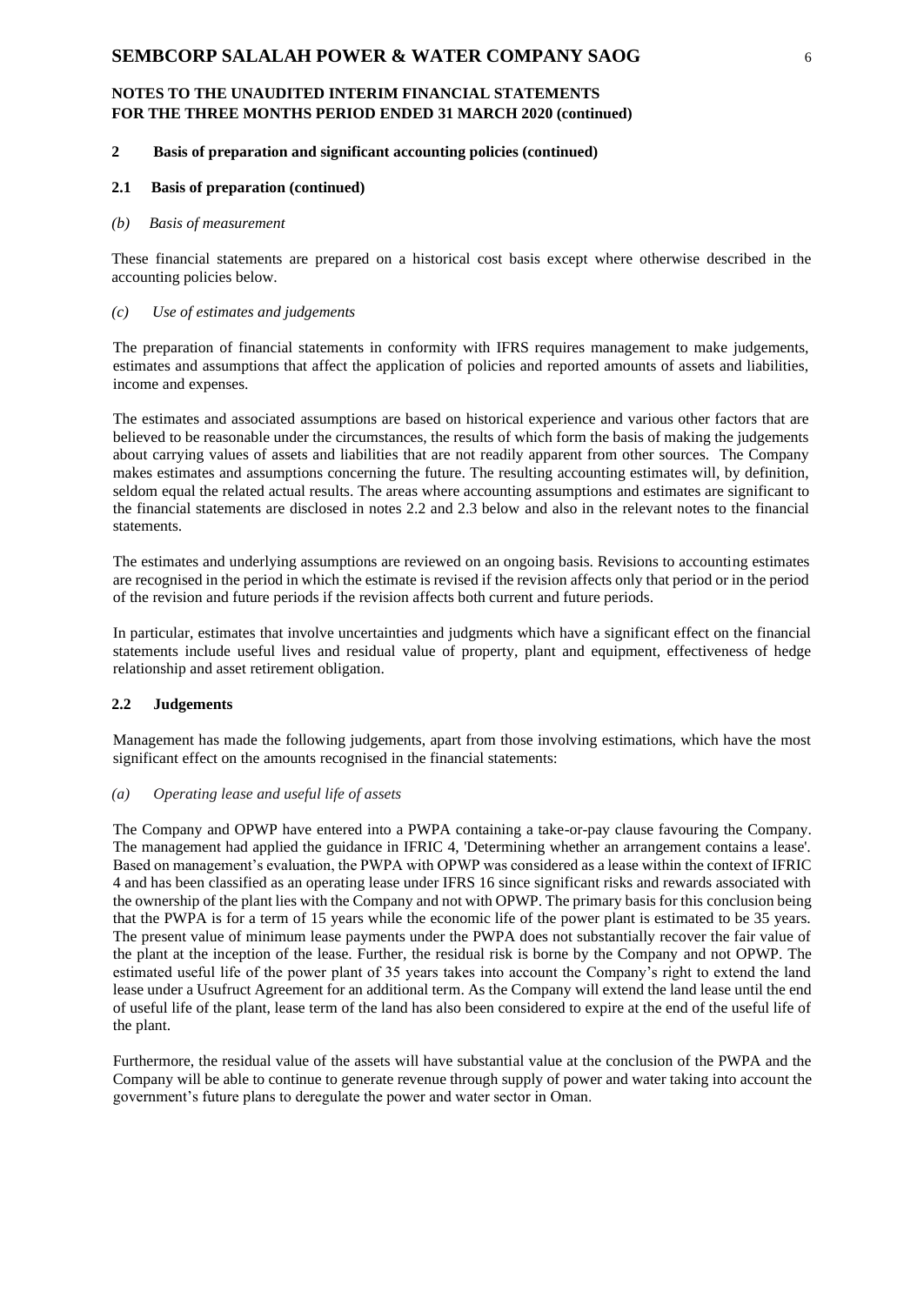#### **2 Basis of preparation and significant accounting policies (continued)**

#### **2.1 Basis of preparation (continued)**

#### *(b) Basis of measurement*

These financial statements are prepared on a historical cost basis except where otherwise described in the accounting policies below.

### *(c) Use of estimates and judgements*

The preparation of financial statements in conformity with IFRS requires management to make judgements, estimates and assumptions that affect the application of policies and reported amounts of assets and liabilities, income and expenses.

The estimates and associated assumptions are based on historical experience and various other factors that are believed to be reasonable under the circumstances, the results of which form the basis of making the judgements about carrying values of assets and liabilities that are not readily apparent from other sources. The Company makes estimates and assumptions concerning the future. The resulting accounting estimates will, by definition, seldom equal the related actual results. The areas where accounting assumptions and estimates are significant to the financial statements are disclosed in notes 2.2 and 2.3 below and also in the relevant notes to the financial statements.

The estimates and underlying assumptions are reviewed on an ongoing basis. Revisions to accounting estimates are recognised in the period in which the estimate is revised if the revision affects only that period or in the period of the revision and future periods if the revision affects both current and future periods.

In particular, estimates that involve uncertainties and judgments which have a significant effect on the financial statements include useful lives and residual value of property, plant and equipment, effectiveness of hedge relationship and asset retirement obligation.

### **2.2 Judgements**

Management has made the following judgements, apart from those involving estimations, which have the most significant effect on the amounts recognised in the financial statements:

#### *(a) Operating lease and useful life of assets*

The Company and OPWP have entered into a PWPA containing a take-or-pay clause favouring the Company. The management had applied the guidance in IFRIC 4, 'Determining whether an arrangement contains a lease'. Based on management's evaluation, the PWPA with OPWP was considered as a lease within the context of IFRIC 4 and has been classified as an operating lease under IFRS 16 since significant risks and rewards associated with the ownership of the plant lies with the Company and not with OPWP. The primary basis for this conclusion being that the PWPA is for a term of 15 years while the economic life of the power plant is estimated to be 35 years. The present value of minimum lease payments under the PWPA does not substantially recover the fair value of the plant at the inception of the lease. Further, the residual risk is borne by the Company and not OPWP. The estimated useful life of the power plant of 35 years takes into account the Company's right to extend the land lease under a Usufruct Agreement for an additional term. As the Company will extend the land lease until the end of useful life of the plant, lease term of the land has also been considered to expire at the end of the useful life of the plant.

Furthermore, the residual value of the assets will have substantial value at the conclusion of the PWPA and the Company will be able to continue to generate revenue through supply of power and water taking into account the government's future plans to deregulate the power and water sector in Oman.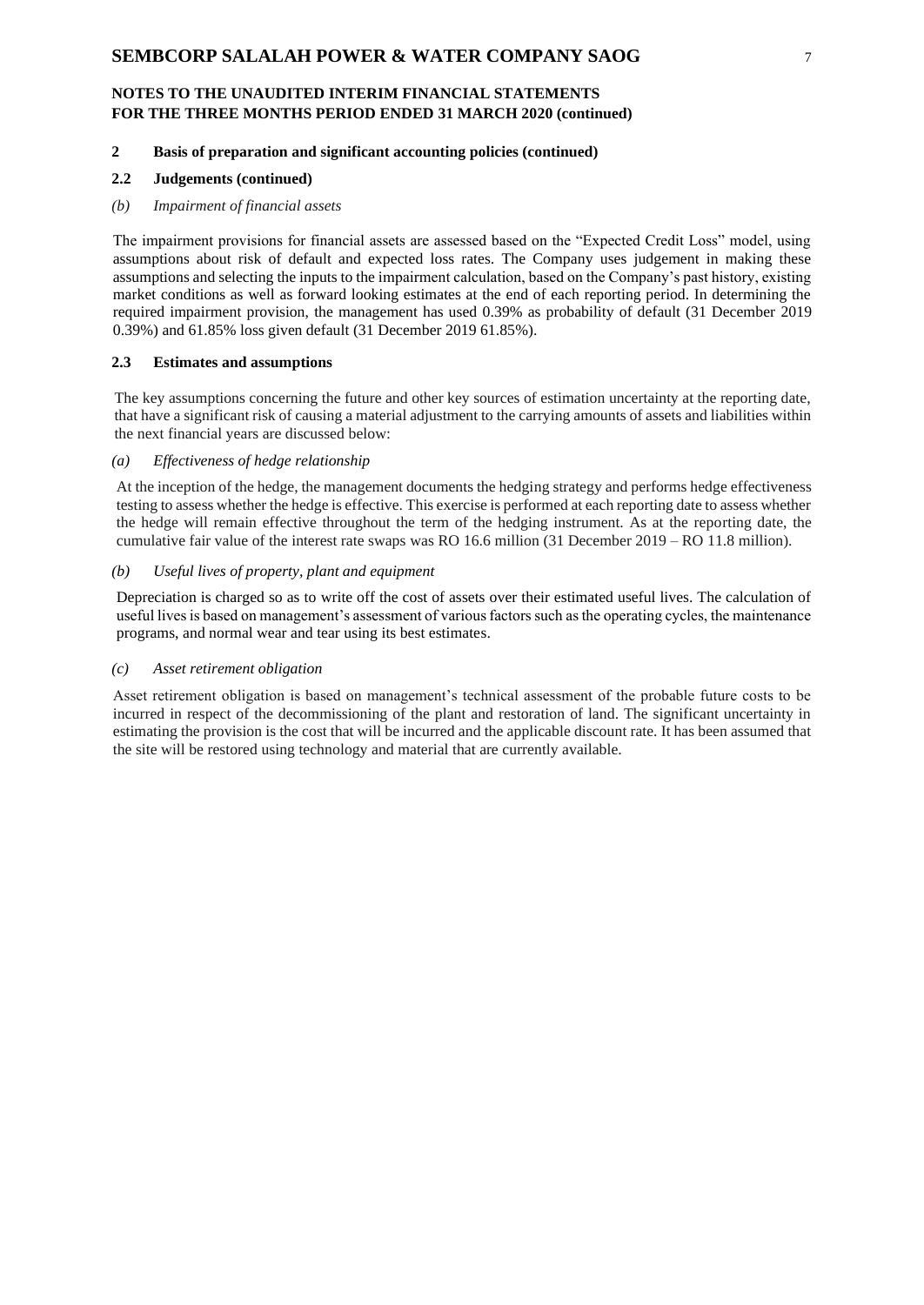### **2 Basis of preparation and significant accounting policies (continued)**

### **2.2 Judgements (continued)**

#### *(b) Impairment of financial assets*

The impairment provisions for financial assets are assessed based on the "Expected Credit Loss" model, using assumptions about risk of default and expected loss rates. The Company uses judgement in making these assumptions and selecting the inputs to the impairment calculation, based on the Company's past history, existing market conditions as well as forward looking estimates at the end of each reporting period. In determining the required impairment provision, the management has used 0.39% as probability of default (31 December 2019 0.39%) and 61.85% loss given default (31 December 2019 61.85%).

#### **2.3 Estimates and assumptions**

The key assumptions concerning the future and other key sources of estimation uncertainty at the reporting date, that have a significant risk of causing a material adjustment to the carrying amounts of assets and liabilities within the next financial years are discussed below:

#### *(a) Effectiveness of hedge relationship*

At the inception of the hedge, the management documents the hedging strategy and performs hedge effectiveness testing to assess whether the hedge is effective. This exercise is performed at each reporting date to assess whether the hedge will remain effective throughout the term of the hedging instrument. As at the reporting date, the cumulative fair value of the interest rate swaps was RO 16.6 million (31 December 2019 – RO 11.8 million).

# *(b) Useful lives of property, plant and equipment*

Depreciation is charged so as to write off the cost of assets over their estimated useful lives. The calculation of useful lives is based on management's assessment of various factors such as the operating cycles, the maintenance programs, and normal wear and tear using its best estimates.

#### *(c) Asset retirement obligation*

Asset retirement obligation is based on management's technical assessment of the probable future costs to be incurred in respect of the decommissioning of the plant and restoration of land. The significant uncertainty in estimating the provision is the cost that will be incurred and the applicable discount rate. It has been assumed that the site will be restored using technology and material that are currently available.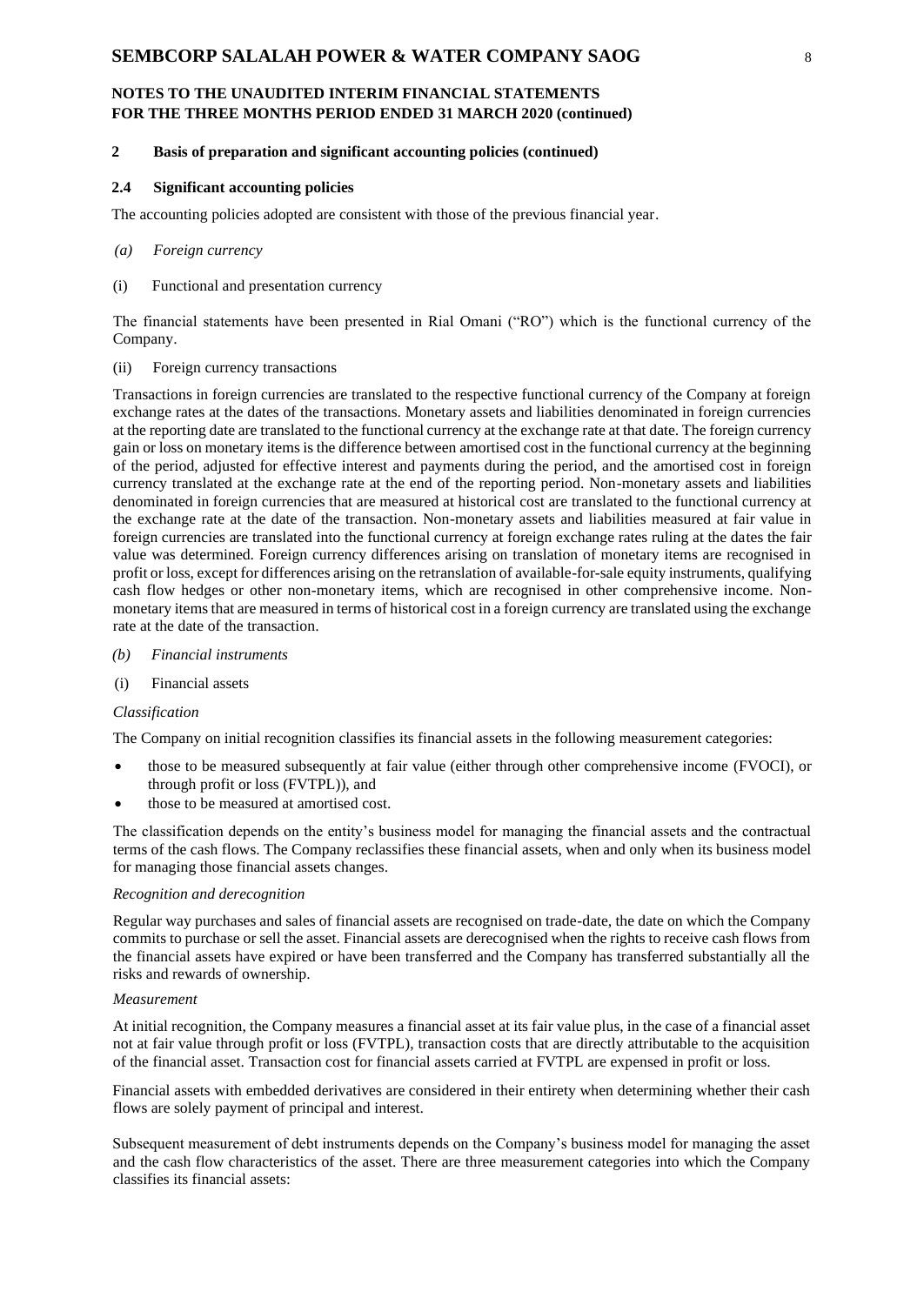### **2 Basis of preparation and significant accounting policies (continued)**

### **2.4 Significant accounting policies**

The accounting policies adopted are consistent with those of the previous financial year.

#### *(a) Foreign currency*

(i) Functional and presentation currency

The financial statements have been presented in Rial Omani ("RO") which is the functional currency of the Company.

#### (ii) Foreign currency transactions

Transactions in foreign currencies are translated to the respective functional currency of the Company at foreign exchange rates at the dates of the transactions. Monetary assets and liabilities denominated in foreign currencies at the reporting date are translated to the functional currency at the exchange rate at that date. The foreign currency gain or loss on monetary items is the difference between amortised cost in the functional currency at the beginning of the period, adjusted for effective interest and payments during the period, and the amortised cost in foreign currency translated at the exchange rate at the end of the reporting period. Non-monetary assets and liabilities denominated in foreign currencies that are measured at historical cost are translated to the functional currency at the exchange rate at the date of the transaction. Non-monetary assets and liabilities measured at fair value in foreign currencies are translated into the functional currency at foreign exchange rates ruling at the dates the fair value was determined. Foreign currency differences arising on translation of monetary items are recognised in profit or loss, except for differences arising on the retranslation of available-for-sale equity instruments, qualifying cash flow hedges or other non-monetary items, which are recognised in other comprehensive income. Nonmonetary items that are measured in terms of historical cost in a foreign currency are translated using the exchange rate at the date of the transaction.

- *(b) Financial instruments*
- (i) Financial assets

#### *Classification*

The Company on initial recognition classifies its financial assets in the following measurement categories:

- those to be measured subsequently at fair value (either through other comprehensive income (FVOCI), or through profit or loss (FVTPL)), and
- those to be measured at amortised cost.

The classification depends on the entity's business model for managing the financial assets and the contractual terms of the cash flows. The Company reclassifies these financial assets, when and only when its business model for managing those financial assets changes.

#### *Recognition and derecognition*

Regular way purchases and sales of financial assets are recognised on trade-date, the date on which the Company commits to purchase or sell the asset. Financial assets are derecognised when the rights to receive cash flows from the financial assets have expired or have been transferred and the Company has transferred substantially all the risks and rewards of ownership.

#### *Measurement*

At initial recognition, the Company measures a financial asset at its fair value plus, in the case of a financial asset not at fair value through profit or loss (FVTPL), transaction costs that are directly attributable to the acquisition of the financial asset. Transaction cost for financial assets carried at FVTPL are expensed in profit or loss.

Financial assets with embedded derivatives are considered in their entirety when determining whether their cash flows are solely payment of principal and interest.

Subsequent measurement of debt instruments depends on the Company's business model for managing the asset and the cash flow characteristics of the asset. There are three measurement categories into which the Company classifies its financial assets: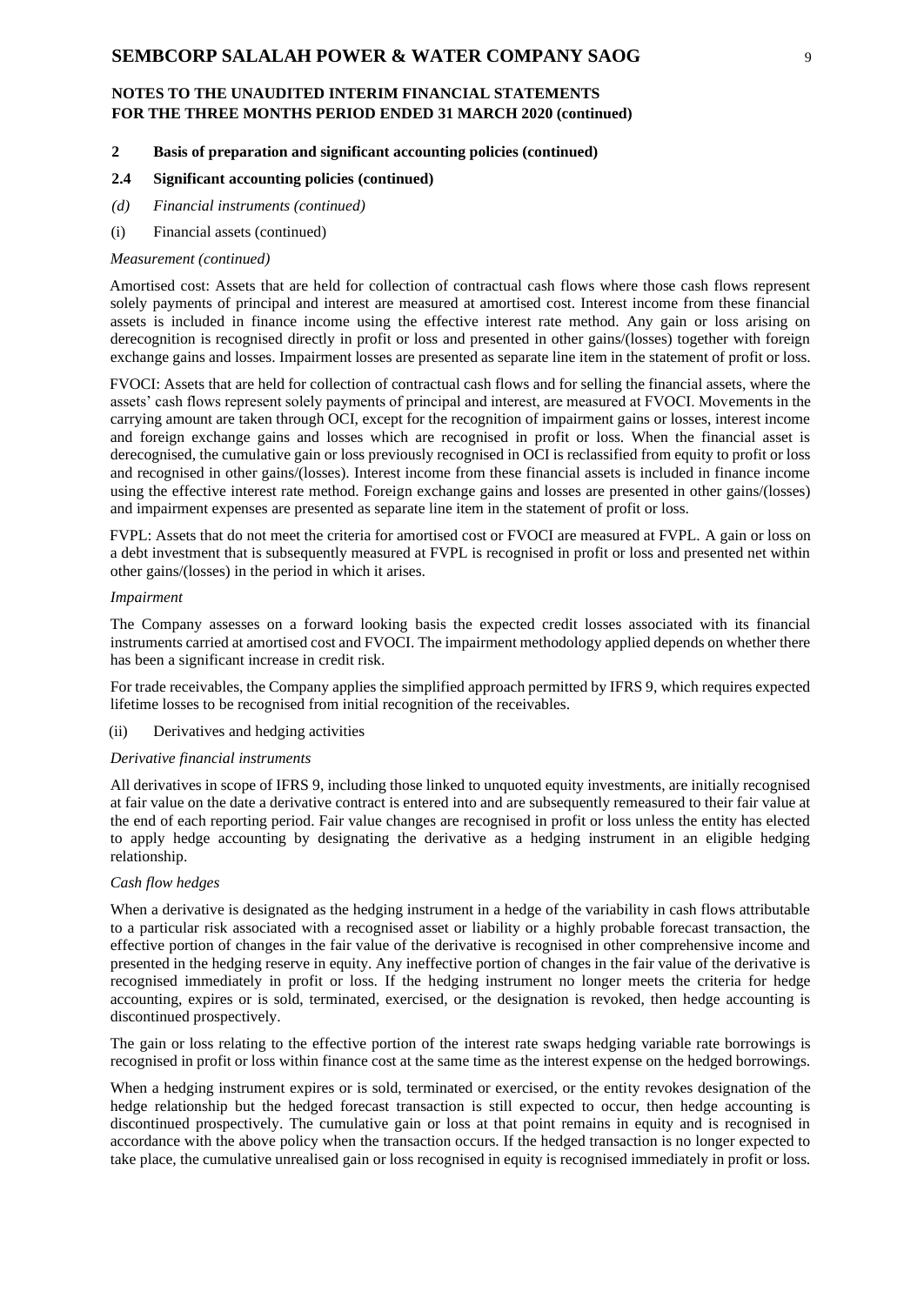#### **2 Basis of preparation and significant accounting policies (continued)**

#### **2.4 Significant accounting policies (continued)**

- *(d) Financial instruments (continued)*
- (i) Financial assets (continued)

#### *Measurement (continued)*

Amortised cost: Assets that are held for collection of contractual cash flows where those cash flows represent solely payments of principal and interest are measured at amortised cost. Interest income from these financial assets is included in finance income using the effective interest rate method. Any gain or loss arising on derecognition is recognised directly in profit or loss and presented in other gains/(losses) together with foreign exchange gains and losses. Impairment losses are presented as separate line item in the statement of profit or loss.

FVOCI: Assets that are held for collection of contractual cash flows and for selling the financial assets, where the assets' cash flows represent solely payments of principal and interest, are measured at FVOCI. Movements in the carrying amount are taken through OCI, except for the recognition of impairment gains or losses, interest income and foreign exchange gains and losses which are recognised in profit or loss. When the financial asset is derecognised, the cumulative gain or loss previously recognised in OCI is reclassified from equity to profit or loss and recognised in other gains/(losses). Interest income from these financial assets is included in finance income using the effective interest rate method. Foreign exchange gains and losses are presented in other gains/(losses) and impairment expenses are presented as separate line item in the statement of profit or loss.

FVPL: Assets that do not meet the criteria for amortised cost or FVOCI are measured at FVPL. A gain or loss on a debt investment that is subsequently measured at FVPL is recognised in profit or loss and presented net within other gains/(losses) in the period in which it arises.

#### *Impairment*

The Company assesses on a forward looking basis the expected credit losses associated with its financial instruments carried at amortised cost and FVOCI. The impairment methodology applied depends on whether there has been a significant increase in credit risk.

For trade receivables, the Company applies the simplified approach permitted by IFRS 9, which requires expected lifetime losses to be recognised from initial recognition of the receivables.

(ii) Derivatives and hedging activities

#### *Derivative financial instruments*

All derivatives in scope of IFRS 9, including those linked to unquoted equity investments, are initially recognised at fair value on the date a derivative contract is entered into and are subsequently remeasured to their fair value at the end of each reporting period. Fair value changes are recognised in profit or loss unless the entity has elected to apply hedge accounting by designating the derivative as a hedging instrument in an eligible hedging relationship.

#### *Cash flow hedges*

When a derivative is designated as the hedging instrument in a hedge of the variability in cash flows attributable to a particular risk associated with a recognised asset or liability or a highly probable forecast transaction, the effective portion of changes in the fair value of the derivative is recognised in other comprehensive income and presented in the hedging reserve in equity. Any ineffective portion of changes in the fair value of the derivative is recognised immediately in profit or loss. If the hedging instrument no longer meets the criteria for hedge accounting, expires or is sold, terminated, exercised, or the designation is revoked, then hedge accounting is discontinued prospectively.

The gain or loss relating to the effective portion of the interest rate swaps hedging variable rate borrowings is recognised in profit or loss within finance cost at the same time as the interest expense on the hedged borrowings.

When a hedging instrument expires or is sold, terminated or exercised, or the entity revokes designation of the hedge relationship but the hedged forecast transaction is still expected to occur, then hedge accounting is discontinued prospectively. The cumulative gain or loss at that point remains in equity and is recognised in accordance with the above policy when the transaction occurs. If the hedged transaction is no longer expected to take place, the cumulative unrealised gain or loss recognised in equity is recognised immediately in profit or loss.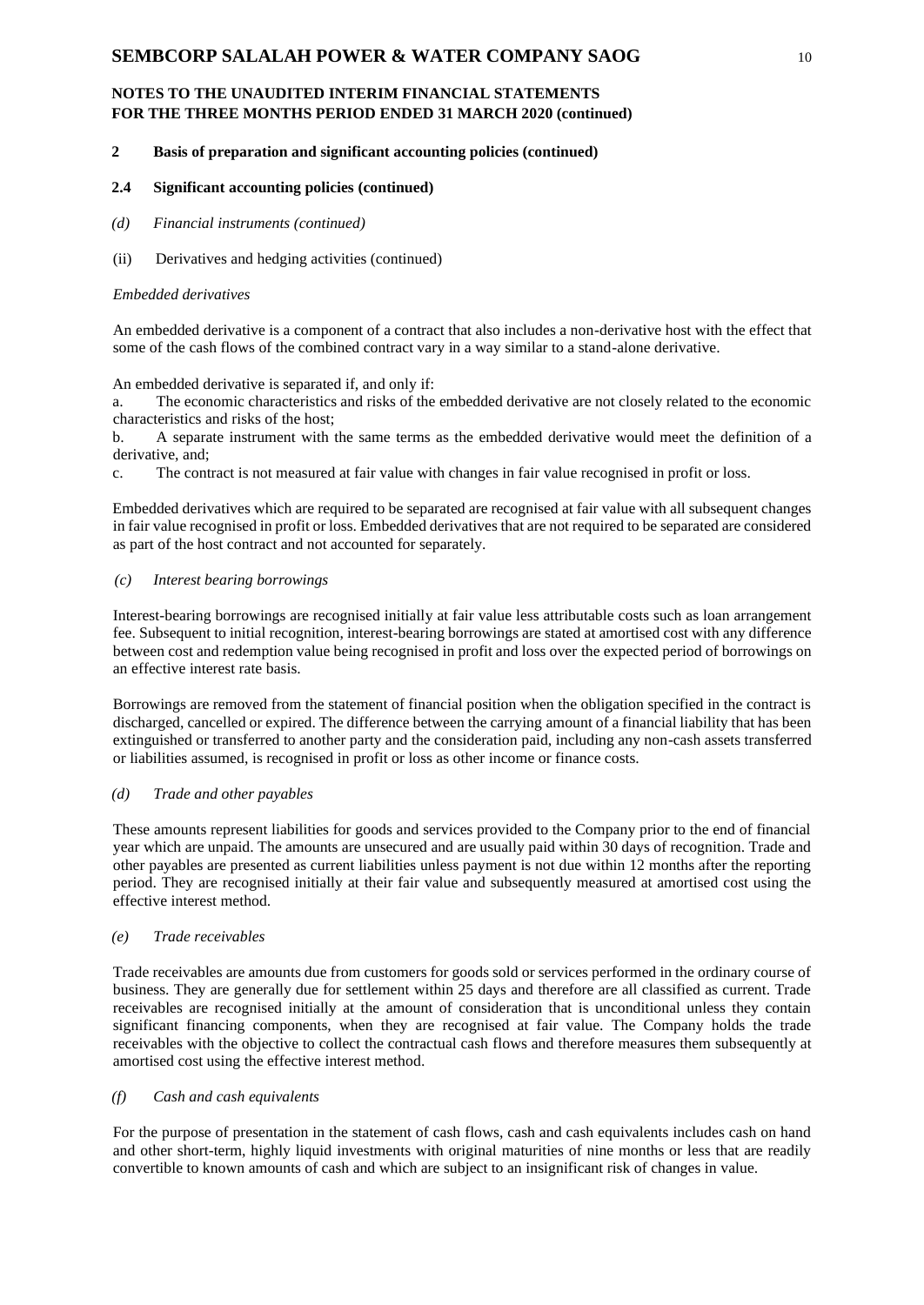### **2 Basis of preparation and significant accounting policies (continued)**

### **2.4 Significant accounting policies (continued)**

- *(d) Financial instruments (continued)*
- (ii) Derivatives and hedging activities (continued)

#### *Embedded derivatives*

An embedded derivative is a component of a contract that also includes a non-derivative host with the effect that some of the cash flows of the combined contract vary in a way similar to a stand-alone derivative.

#### An embedded derivative is separated if, and only if:

a. The economic characteristics and risks of the embedded derivative are not closely related to the economic characteristics and risks of the host;

b. A separate instrument with the same terms as the embedded derivative would meet the definition of a derivative, and;

c. The contract is not measured at fair value with changes in fair value recognised in profit or loss.

Embedded derivatives which are required to be separated are recognised at fair value with all subsequent changes in fair value recognised in profit or loss. Embedded derivatives that are not required to be separated are considered as part of the host contract and not accounted for separately.

### *(c) Interest bearing borrowings*

Interest-bearing borrowings are recognised initially at fair value less attributable costs such as loan arrangement fee. Subsequent to initial recognition, interest-bearing borrowings are stated at amortised cost with any difference between cost and redemption value being recognised in profit and loss over the expected period of borrowings on an effective interest rate basis.

Borrowings are removed from the statement of financial position when the obligation specified in the contract is discharged, cancelled or expired. The difference between the carrying amount of a financial liability that has been extinguished or transferred to another party and the consideration paid, including any non-cash assets transferred or liabilities assumed, is recognised in profit or loss as other income or finance costs.

#### *(d) Trade and other payables*

These amounts represent liabilities for goods and services provided to the Company prior to the end of financial year which are unpaid. The amounts are unsecured and are usually paid within 30 days of recognition. Trade and other payables are presented as current liabilities unless payment is not due within 12 months after the reporting period. They are recognised initially at their fair value and subsequently measured at amortised cost using the effective interest method.

#### *(e) Trade receivables*

Trade receivables are amounts due from customers for goods sold or services performed in the ordinary course of business. They are generally due for settlement within 25 days and therefore are all classified as current. Trade receivables are recognised initially at the amount of consideration that is unconditional unless they contain significant financing components, when they are recognised at fair value. The Company holds the trade receivables with the objective to collect the contractual cash flows and therefore measures them subsequently at amortised cost using the effective interest method.

### *(f) Cash and cash equivalents*

For the purpose of presentation in the statement of cash flows, cash and cash equivalents includes cash on hand and other short-term, highly liquid investments with original maturities of nine months or less that are readily convertible to known amounts of cash and which are subject to an insignificant risk of changes in value.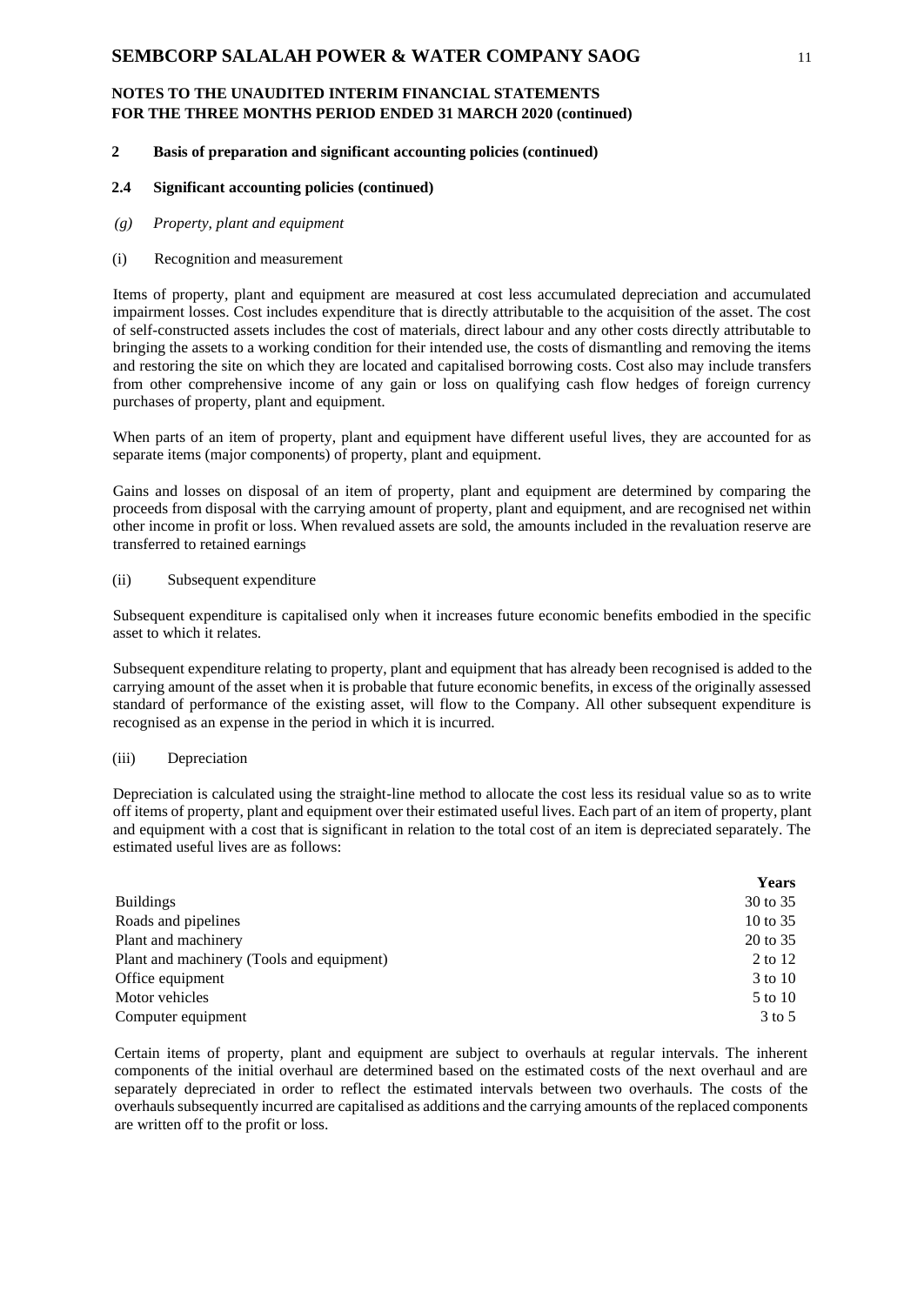### **2 Basis of preparation and significant accounting policies (continued)**

#### **2.4 Significant accounting policies (continued)**

*(g) Property, plant and equipment*

#### (i) Recognition and measurement

Items of property, plant and equipment are measured at cost less accumulated depreciation and accumulated impairment losses. Cost includes expenditure that is directly attributable to the acquisition of the asset. The cost of self-constructed assets includes the cost of materials, direct labour and any other costs directly attributable to bringing the assets to a working condition for their intended use, the costs of dismantling and removing the items and restoring the site on which they are located and capitalised borrowing costs. Cost also may include transfers from other comprehensive income of any gain or loss on qualifying cash flow hedges of foreign currency purchases of property, plant and equipment.

When parts of an item of property, plant and equipment have different useful lives, they are accounted for as separate items (major components) of property, plant and equipment.

Gains and losses on disposal of an item of property, plant and equipment are determined by comparing the proceeds from disposal with the carrying amount of property, plant and equipment, and are recognised net within other income in profit or loss. When revalued assets are sold, the amounts included in the revaluation reserve are transferred to retained earnings

#### (ii) Subsequent expenditure

Subsequent expenditure is capitalised only when it increases future economic benefits embodied in the specific asset to which it relates.

Subsequent expenditure relating to property, plant and equipment that has already been recognised is added to the carrying amount of the asset when it is probable that future economic benefits, in excess of the originally assessed standard of performance of the existing asset, will flow to the Company. All other subsequent expenditure is recognised as an expense in the period in which it is incurred.

### (iii) Depreciation

Depreciation is calculated using the straight-line method to allocate the cost less its residual value so as to write off items of property, plant and equipment over their estimated useful lives. Each part of an item of property, plant and equipment with a cost that is significant in relation to the total cost of an item is depreciated separately. The estimated useful lives are as follows:

|                                           | Years             |
|-------------------------------------------|-------------------|
| <b>Buildings</b>                          | 30 to 35          |
| Roads and pipelines                       | 10 to $35$        |
| Plant and machinery                       | 20 to 35          |
| Plant and machinery (Tools and equipment) | 2 to 12           |
| Office equipment                          | 3 to 10           |
| Motor vehicles                            | 5 to 10           |
| Computer equipment                        | $3 \text{ to } 5$ |

Certain items of property, plant and equipment are subject to overhauls at regular intervals. The inherent components of the initial overhaul are determined based on the estimated costs of the next overhaul and are separately depreciated in order to reflect the estimated intervals between two overhauls. The costs of the overhauls subsequently incurred are capitalised as additions and the carrying amounts of the replaced components are written off to the profit or loss.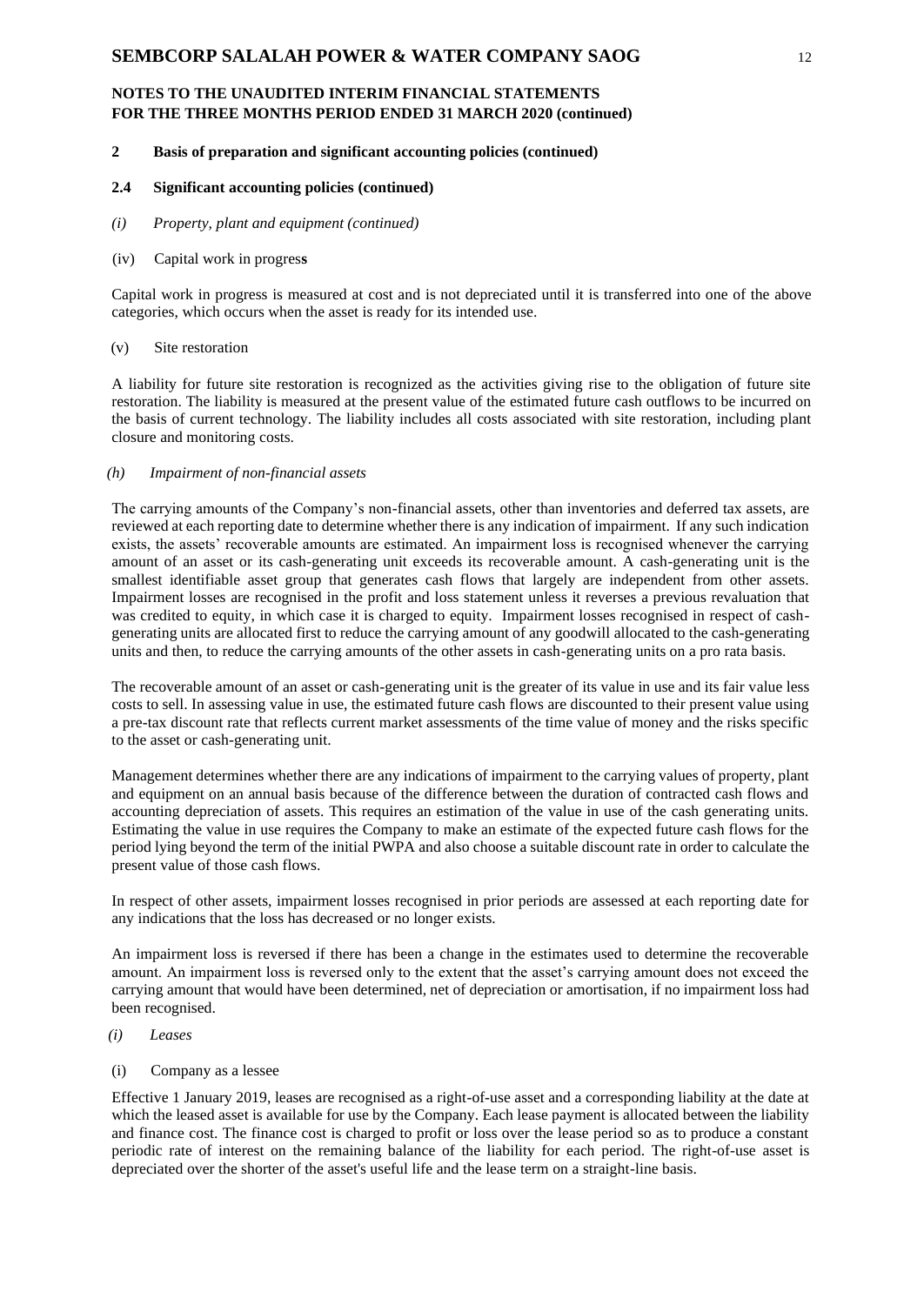### **2 Basis of preparation and significant accounting policies (continued)**

# **2.4 Significant accounting policies (continued)**

*(i) Property, plant and equipment (continued)*

#### (iv) Capital work in progres**s**

Capital work in progress is measured at cost and is not depreciated until it is transferred into one of the above categories, which occurs when the asset is ready for its intended use.

### (v) Site restoration

A liability for future site restoration is recognized as the activities giving rise to the obligation of future site restoration. The liability is measured at the present value of the estimated future cash outflows to be incurred on the basis of current technology. The liability includes all costs associated with site restoration, including plant closure and monitoring costs.

#### *(h) Impairment of non-financial assets*

The carrying amounts of the Company's non-financial assets, other than inventories and deferred tax assets, are reviewed at each reporting date to determine whether there is any indication of impairment. If any such indication exists, the assets' recoverable amounts are estimated. An impairment loss is recognised whenever the carrying amount of an asset or its cash-generating unit exceeds its recoverable amount. A cash-generating unit is the smallest identifiable asset group that generates cash flows that largely are independent from other assets. Impairment losses are recognised in the profit and loss statement unless it reverses a previous revaluation that was credited to equity, in which case it is charged to equity. Impairment losses recognised in respect of cashgenerating units are allocated first to reduce the carrying amount of any goodwill allocated to the cash-generating units and then, to reduce the carrying amounts of the other assets in cash-generating units on a pro rata basis.

The recoverable amount of an asset or cash-generating unit is the greater of its value in use and its fair value less costs to sell. In assessing value in use, the estimated future cash flows are discounted to their present value using a pre-tax discount rate that reflects current market assessments of the time value of money and the risks specific to the asset or cash-generating unit.

Management determines whether there are any indications of impairment to the carrying values of property, plant and equipment on an annual basis because of the difference between the duration of contracted cash flows and accounting depreciation of assets. This requires an estimation of the value in use of the cash generating units. Estimating the value in use requires the Company to make an estimate of the expected future cash flows for the period lying beyond the term of the initial PWPA and also choose a suitable discount rate in order to calculate the present value of those cash flows.

In respect of other assets, impairment losses recognised in prior periods are assessed at each reporting date for any indications that the loss has decreased or no longer exists.

An impairment loss is reversed if there has been a change in the estimates used to determine the recoverable amount. An impairment loss is reversed only to the extent that the asset's carrying amount does not exceed the carrying amount that would have been determined, net of depreciation or amortisation, if no impairment loss had been recognised.

### *(i) Leases*

(i) Company as a lessee

Effective 1 January 2019, leases are recognised as a right-of-use asset and a corresponding liability at the date at which the leased asset is available for use by the Company. Each lease payment is allocated between the liability and finance cost. The finance cost is charged to profit or loss over the lease period so as to produce a constant periodic rate of interest on the remaining balance of the liability for each period. The right-of-use asset is depreciated over the shorter of the asset's useful life and the lease term on a straight-line basis.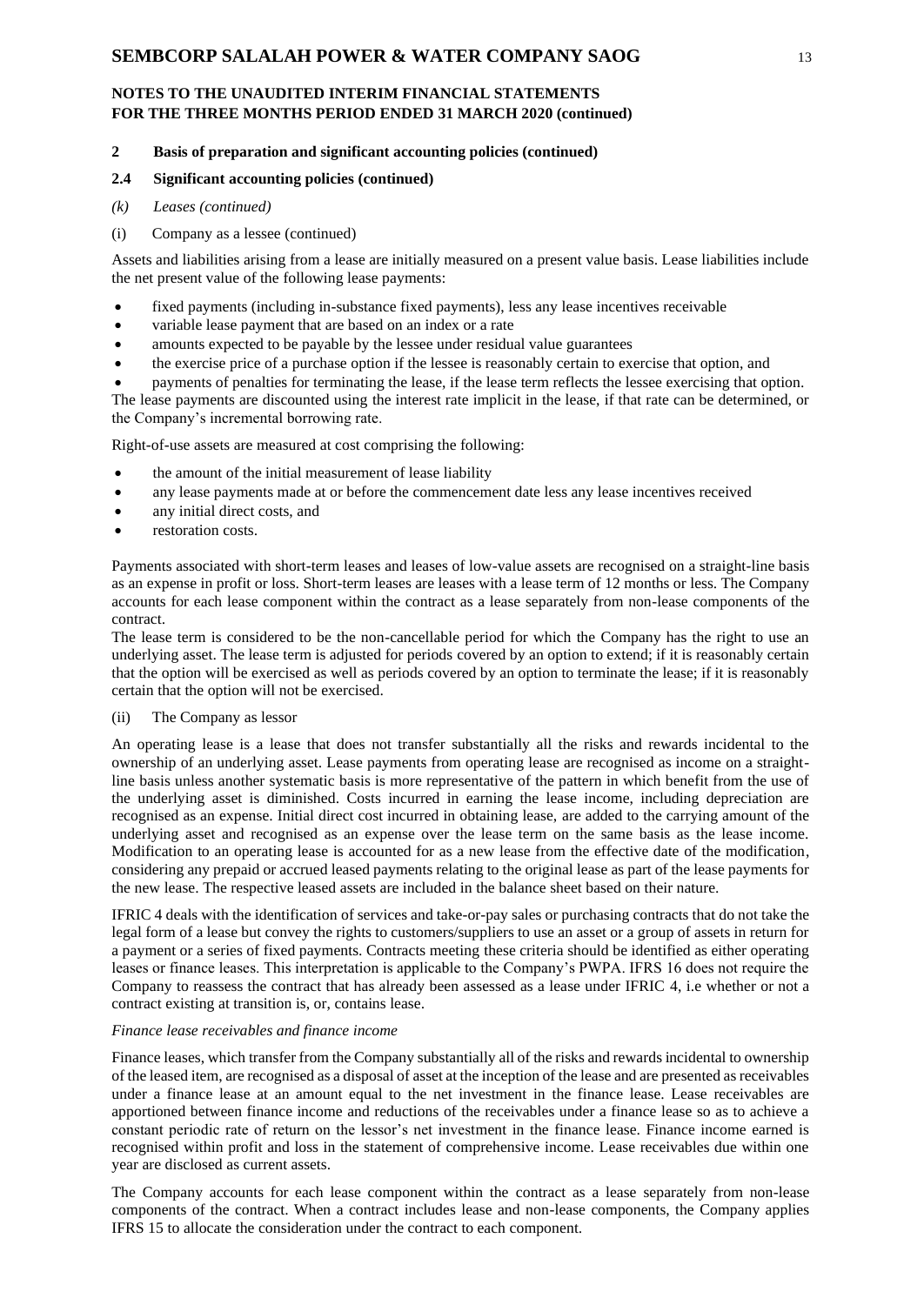### **2 Basis of preparation and significant accounting policies (continued)**

### **2.4 Significant accounting policies (continued)**

- *(k) Leases (continued)*
- (i) Company as a lessee (continued)

Assets and liabilities arising from a lease are initially measured on a present value basis. Lease liabilities include the net present value of the following lease payments:

- fixed payments (including in-substance fixed payments), less any lease incentives receivable
- variable lease payment that are based on an index or a rate
- amounts expected to be payable by the lessee under residual value guarantees
- the exercise price of a purchase option if the lessee is reasonably certain to exercise that option, and
- payments of penalties for terminating the lease, if the lease term reflects the lessee exercising that option.

The lease payments are discounted using the interest rate implicit in the lease, if that rate can be determined, or the Company's incremental borrowing rate.

Right-of-use assets are measured at cost comprising the following:

- the amount of the initial measurement of lease liability
- any lease payments made at or before the commencement date less any lease incentives received
- any initial direct costs, and
- restoration costs.

Payments associated with short-term leases and leases of low-value assets are recognised on a straight-line basis as an expense in profit or loss. Short-term leases are leases with a lease term of 12 months or less. The Company accounts for each lease component within the contract as a lease separately from non-lease components of the contract.

The lease term is considered to be the non-cancellable period for which the Company has the right to use an underlying asset. The lease term is adjusted for periods covered by an option to extend; if it is reasonably certain that the option will be exercised as well as periods covered by an option to terminate the lease; if it is reasonably certain that the option will not be exercised.

#### (ii) The Company as lessor

An operating lease is a lease that does not transfer substantially all the risks and rewards incidental to the ownership of an underlying asset. Lease payments from operating lease are recognised as income on a straightline basis unless another systematic basis is more representative of the pattern in which benefit from the use of the underlying asset is diminished. Costs incurred in earning the lease income, including depreciation are recognised as an expense. Initial direct cost incurred in obtaining lease, are added to the carrying amount of the underlying asset and recognised as an expense over the lease term on the same basis as the lease income. Modification to an operating lease is accounted for as a new lease from the effective date of the modification, considering any prepaid or accrued leased payments relating to the original lease as part of the lease payments for the new lease. The respective leased assets are included in the balance sheet based on their nature.

IFRIC 4 deals with the identification of services and take-or-pay sales or purchasing contracts that do not take the legal form of a lease but convey the rights to customers/suppliers to use an asset or a group of assets in return for a payment or a series of fixed payments. Contracts meeting these criteria should be identified as either operating leases or finance leases. This interpretation is applicable to the Company's PWPA. IFRS 16 does not require the Company to reassess the contract that has already been assessed as a lease under IFRIC 4, i.e whether or not a contract existing at transition is, or, contains lease.

### *Finance lease receivables and finance income*

Finance leases, which transfer from the Company substantially all of the risks and rewards incidental to ownership of the leased item, are recognised as a disposal of asset at the inception of the lease and are presented as receivables under a finance lease at an amount equal to the net investment in the finance lease. Lease receivables are apportioned between finance income and reductions of the receivables under a finance lease so as to achieve a constant periodic rate of return on the lessor's net investment in the finance lease. Finance income earned is recognised within profit and loss in the statement of comprehensive income. Lease receivables due within one year are disclosed as current assets.

The Company accounts for each lease component within the contract as a lease separately from non-lease components of the contract. When a contract includes lease and non-lease components, the Company applies IFRS 15 to allocate the consideration under the contract to each component.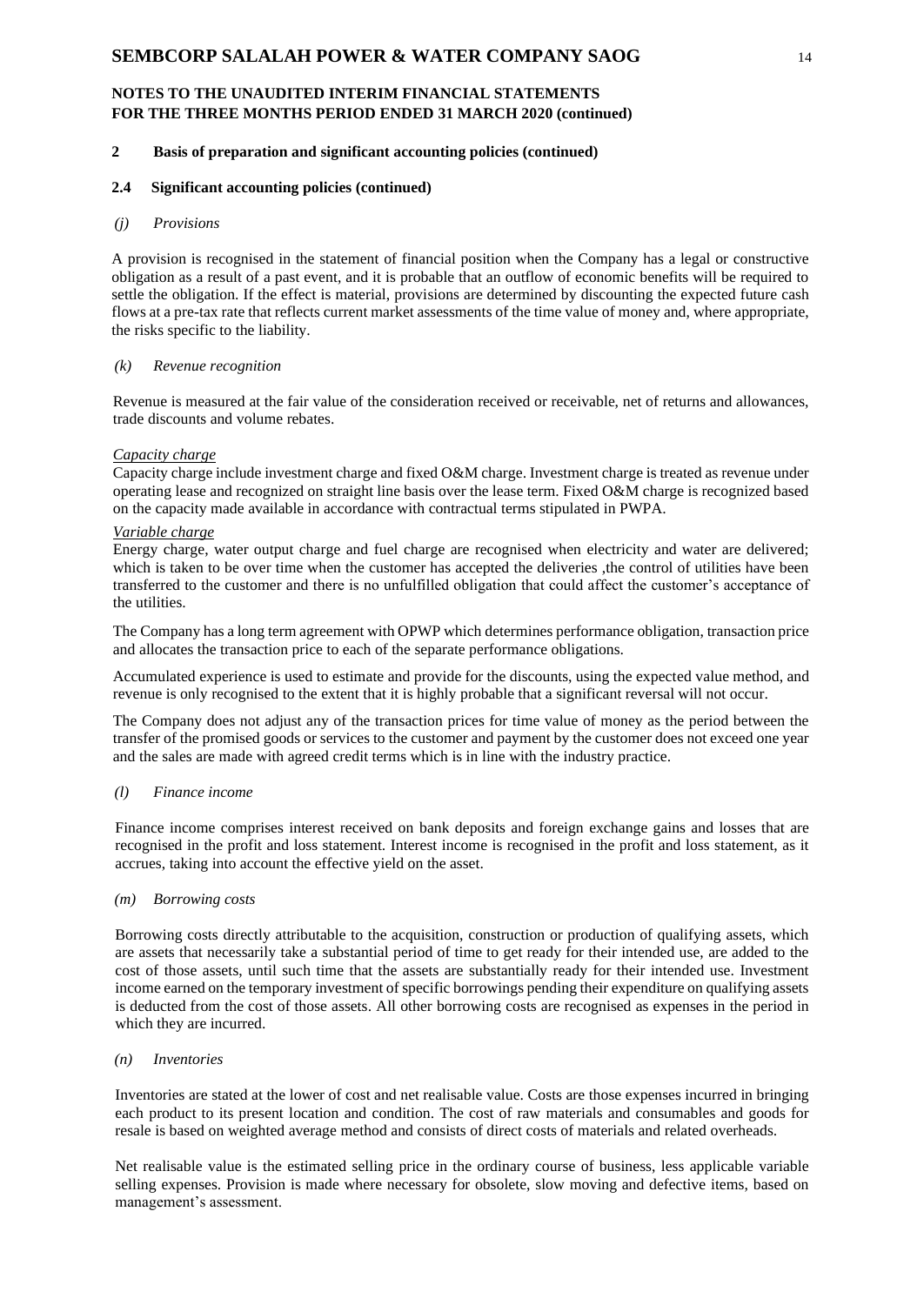### **2 Basis of preparation and significant accounting policies (continued)**

#### **2.4 Significant accounting policies (continued)**

#### *(j) Provisions*

A provision is recognised in the statement of financial position when the Company has a legal or constructive obligation as a result of a past event, and it is probable that an outflow of economic benefits will be required to settle the obligation. If the effect is material, provisions are determined by discounting the expected future cash flows at a pre-tax rate that reflects current market assessments of the time value of money and, where appropriate, the risks specific to the liability.

#### *(k) Revenue recognition*

Revenue is measured at the fair value of the consideration received or receivable, net of returns and allowances, trade discounts and volume rebates.

#### *Capacity charge*

Capacity charge include investment charge and fixed O&M charge. Investment charge is treated as revenue under operating lease and recognized on straight line basis over the lease term. Fixed O&M charge is recognized based on the capacity made available in accordance with contractual terms stipulated in PWPA.

#### *Variable charge*

Energy charge, water output charge and fuel charge are recognised when electricity and water are delivered; which is taken to be over time when the customer has accepted the deliveries ,the control of utilities have been transferred to the customer and there is no unfulfilled obligation that could affect the customer's acceptance of the utilities.

The Company has a long term agreement with OPWP which determines performance obligation, transaction price and allocates the transaction price to each of the separate performance obligations.

Accumulated experience is used to estimate and provide for the discounts, using the expected value method, and revenue is only recognised to the extent that it is highly probable that a significant reversal will not occur.

The Company does not adjust any of the transaction prices for time value of money as the period between the transfer of the promised goods or services to the customer and payment by the customer does not exceed one year and the sales are made with agreed credit terms which is in line with the industry practice.

#### *(l) Finance income*

Finance income comprises interest received on bank deposits and foreign exchange gains and losses that are recognised in the profit and loss statement. Interest income is recognised in the profit and loss statement, as it accrues, taking into account the effective yield on the asset.

#### *(m) Borrowing costs*

Borrowing costs directly attributable to the acquisition, construction or production of qualifying assets, which are assets that necessarily take a substantial period of time to get ready for their intended use, are added to the cost of those assets, until such time that the assets are substantially ready for their intended use. Investment income earned on the temporary investment of specific borrowings pending their expenditure on qualifying assets is deducted from the cost of those assets. All other borrowing costs are recognised as expenses in the period in which they are incurred.

### *(n) Inventories*

Inventories are stated at the lower of cost and net realisable value. Costs are those expenses incurred in bringing each product to its present location and condition. The cost of raw materials and consumables and goods for resale is based on weighted average method and consists of direct costs of materials and related overheads.

Net realisable value is the estimated selling price in the ordinary course of business, less applicable variable selling expenses. Provision is made where necessary for obsolete, slow moving and defective items, based on management's assessment.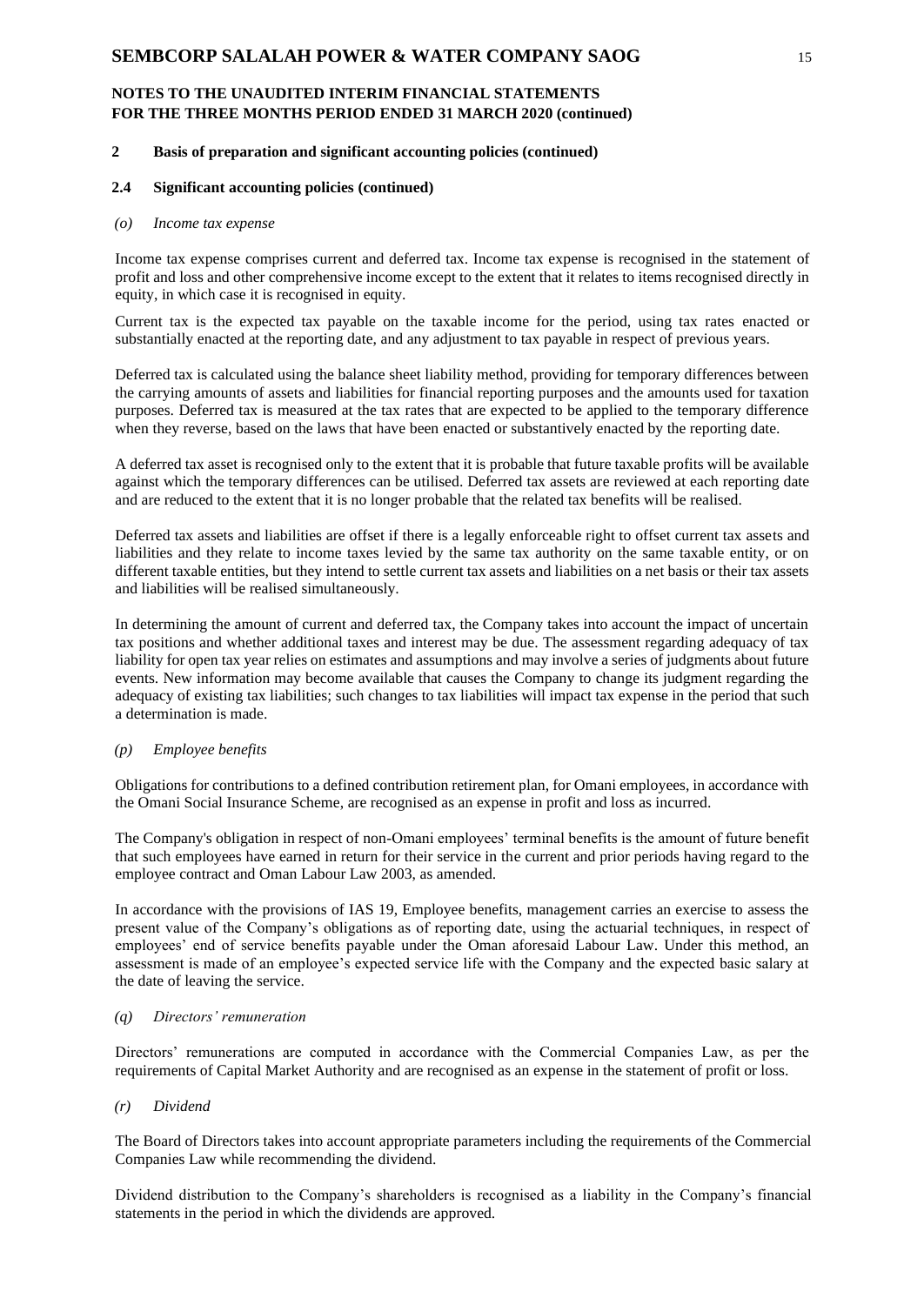### **2 Basis of preparation and significant accounting policies (continued)**

#### **2.4 Significant accounting policies (continued)**

### *(o) Income tax expense*

Income tax expense comprises current and deferred tax. Income tax expense is recognised in the statement of profit and loss and other comprehensive income except to the extent that it relates to items recognised directly in equity, in which case it is recognised in equity.

Current tax is the expected tax payable on the taxable income for the period, using tax rates enacted or substantially enacted at the reporting date, and any adjustment to tax payable in respect of previous years.

Deferred tax is calculated using the balance sheet liability method, providing for temporary differences between the carrying amounts of assets and liabilities for financial reporting purposes and the amounts used for taxation purposes. Deferred tax is measured at the tax rates that are expected to be applied to the temporary difference when they reverse, based on the laws that have been enacted or substantively enacted by the reporting date.

A deferred tax asset is recognised only to the extent that it is probable that future taxable profits will be available against which the temporary differences can be utilised. Deferred tax assets are reviewed at each reporting date and are reduced to the extent that it is no longer probable that the related tax benefits will be realised.

Deferred tax assets and liabilities are offset if there is a legally enforceable right to offset current tax assets and liabilities and they relate to income taxes levied by the same tax authority on the same taxable entity, or on different taxable entities, but they intend to settle current tax assets and liabilities on a net basis or their tax assets and liabilities will be realised simultaneously.

In determining the amount of current and deferred tax, the Company takes into account the impact of uncertain tax positions and whether additional taxes and interest may be due. The assessment regarding adequacy of tax liability for open tax year relies on estimates and assumptions and may involve a series of judgments about future events. New information may become available that causes the Company to change its judgment regarding the adequacy of existing tax liabilities; such changes to tax liabilities will impact tax expense in the period that such a determination is made.

#### *(p) Employee benefits*

Obligations for contributions to a defined contribution retirement plan, for Omani employees, in accordance with the Omani Social Insurance Scheme, are recognised as an expense in profit and loss as incurred.

The Company's obligation in respect of non-Omani employees' terminal benefits is the amount of future benefit that such employees have earned in return for their service in the current and prior periods having regard to the employee contract and Oman Labour Law 2003, as amended.

In accordance with the provisions of IAS 19, Employee benefits, management carries an exercise to assess the present value of the Company's obligations as of reporting date, using the actuarial techniques, in respect of employees' end of service benefits payable under the Oman aforesaid Labour Law. Under this method, an assessment is made of an employee's expected service life with the Company and the expected basic salary at the date of leaving the service.

#### *(q) Directors' remuneration*

Directors' remunerations are computed in accordance with the Commercial Companies Law, as per the requirements of Capital Market Authority and are recognised as an expense in the statement of profit or loss.

#### *(r) Dividend*

The Board of Directors takes into account appropriate parameters including the requirements of the Commercial Companies Law while recommending the dividend.

Dividend distribution to the Company's shareholders is recognised as a liability in the Company's financial statements in the period in which the dividends are approved.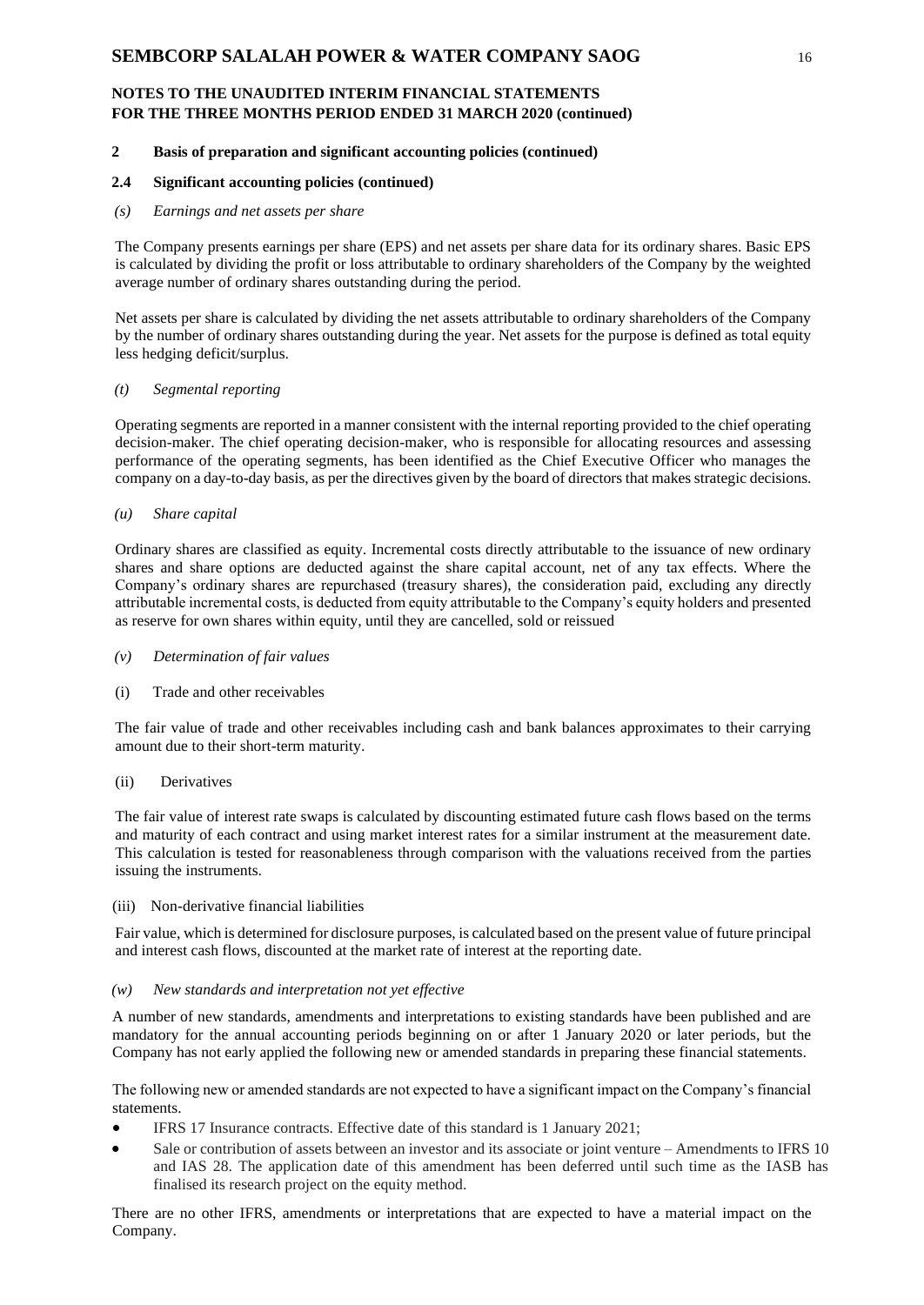### **2 Basis of preparation and significant accounting policies (continued)**

#### **2.4 Significant accounting policies (continued)**

#### *(s) Earnings and net assets per share*

The Company presents earnings per share (EPS) and net assets per share data for its ordinary shares. Basic EPS is calculated by dividing the profit or loss attributable to ordinary shareholders of the Company by the weighted average number of ordinary shares outstanding during the period.

Net assets per share is calculated by dividing the net assets attributable to ordinary shareholders of the Company by the number of ordinary shares outstanding during the year. Net assets for the purpose is defined as total equity less hedging deficit/surplus.

#### *(t) Segmental reporting*

Operating segments are reported in a manner consistent with the internal reporting provided to the chief operating decision-maker. The chief operating decision-maker, who is responsible for allocating resources and assessing performance of the operating segments, has been identified as the Chief Executive Officer who manages the company on a day-to-day basis, as per the directives given by the board of directors that makes strategic decisions.

#### *(u) Share capital*

Ordinary shares are classified as equity. Incremental costs directly attributable to the issuance of new ordinary shares and share options are deducted against the share capital account, net of any tax effects. Where the Company's ordinary shares are repurchased (treasury shares), the consideration paid, excluding any directly attributable incremental costs, is deducted from equity attributable to the Company's equity holders and presented as reserve for own shares within equity, until they are cancelled, sold or reissued

*(v) Determination of fair values*

#### (i) Trade and other receivables

The fair value of trade and other receivables including cash and bank balances approximates to their carrying amount due to their short-term maturity.

#### (ii) Derivatives

The fair value of interest rate swaps is calculated by discounting estimated future cash flows based on the terms and maturity of each contract and using market interest rates for a similar instrument at the measurement date. This calculation is tested for reasonableness through comparison with the valuations received from the parties issuing the instruments.

#### (iii) Non-derivative financial liabilities

Fair value, which is determined for disclosure purposes, is calculated based on the present value of future principal and interest cash flows, discounted at the market rate of interest at the reporting date.

#### *(w) New standards and interpretation not yet effective*

A number of new standards, amendments and interpretations to existing standards have been published and are mandatory for the annual accounting periods beginning on or after 1 January 2020 or later periods, but the Company has not early applied the following new or amended standards in preparing these financial statements.

The following new or amended standards are not expected to have a significant impact on the Company's financial statements.

- IFRS 17 Insurance contracts. Effective date of this standard is 1 January 2021;
- Sale or contribution of assets between an investor and its associate or joint venture Amendments to IFRS 10 and IAS 28. The application date of this amendment has been deferred until such time as the IASB has finalised its research project on the equity method.

There are no other IFRS, amendments or interpretations that are expected to have a material impact on the Company.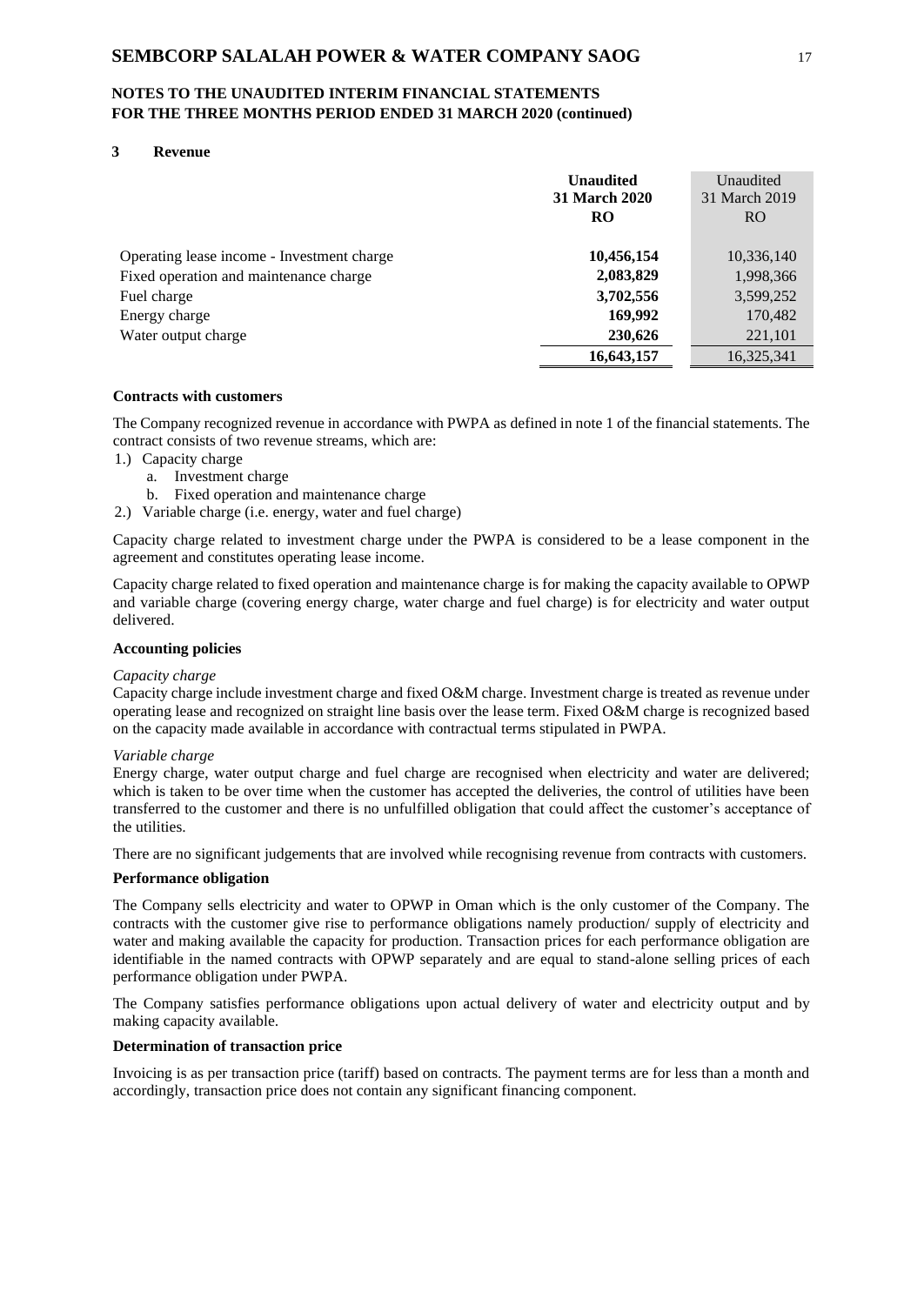### **3 Revenue**

|                                            | <b>Unaudited</b><br>31 March 2020<br><b>RO</b> | Unaudited<br>31 March 2019<br>R <sub>O</sub> |
|--------------------------------------------|------------------------------------------------|----------------------------------------------|
| Operating lease income - Investment charge | 10,456,154                                     | 10,336,140                                   |
| Fixed operation and maintenance charge     | 2,083,829                                      | 1,998,366                                    |
| Fuel charge                                | 3,702,556                                      | 3,599,252                                    |
| Energy charge                              | 169,992                                        | 170,482                                      |
| Water output charge                        | 230,626                                        | 221,101                                      |
|                                            | 16,643,157                                     | 16,325,341                                   |

## **Contracts with customers**

The Company recognized revenue in accordance with PWPA as defined in note 1 of the financial statements. The contract consists of two revenue streams, which are:

- 1.) Capacity charge
	- a. Investment charge
	- b. Fixed operation and maintenance charge
- 2.) Variable charge (i.e. energy, water and fuel charge)

Capacity charge related to investment charge under the PWPA is considered to be a lease component in the agreement and constitutes operating lease income.

Capacity charge related to fixed operation and maintenance charge is for making the capacity available to OPWP and variable charge (covering energy charge, water charge and fuel charge) is for electricity and water output delivered.

#### **Accounting policies**

#### *Capacity charge*

Capacity charge include investment charge and fixed O&M charge. Investment charge is treated as revenue under operating lease and recognized on straight line basis over the lease term. Fixed O&M charge is recognized based on the capacity made available in accordance with contractual terms stipulated in PWPA.

#### *Variable charge*

Energy charge, water output charge and fuel charge are recognised when electricity and water are delivered; which is taken to be over time when the customer has accepted the deliveries, the control of utilities have been transferred to the customer and there is no unfulfilled obligation that could affect the customer's acceptance of the utilities.

There are no significant judgements that are involved while recognising revenue from contracts with customers.

#### **Performance obligation**

The Company sells electricity and water to OPWP in Oman which is the only customer of the Company. The contracts with the customer give rise to performance obligations namely production/ supply of electricity and water and making available the capacity for production. Transaction prices for each performance obligation are identifiable in the named contracts with OPWP separately and are equal to stand-alone selling prices of each performance obligation under PWPA.

The Company satisfies performance obligations upon actual delivery of water and electricity output and by making capacity available.

#### **Determination of transaction price**

Invoicing is as per transaction price (tariff) based on contracts. The payment terms are for less than a month and accordingly, transaction price does not contain any significant financing component.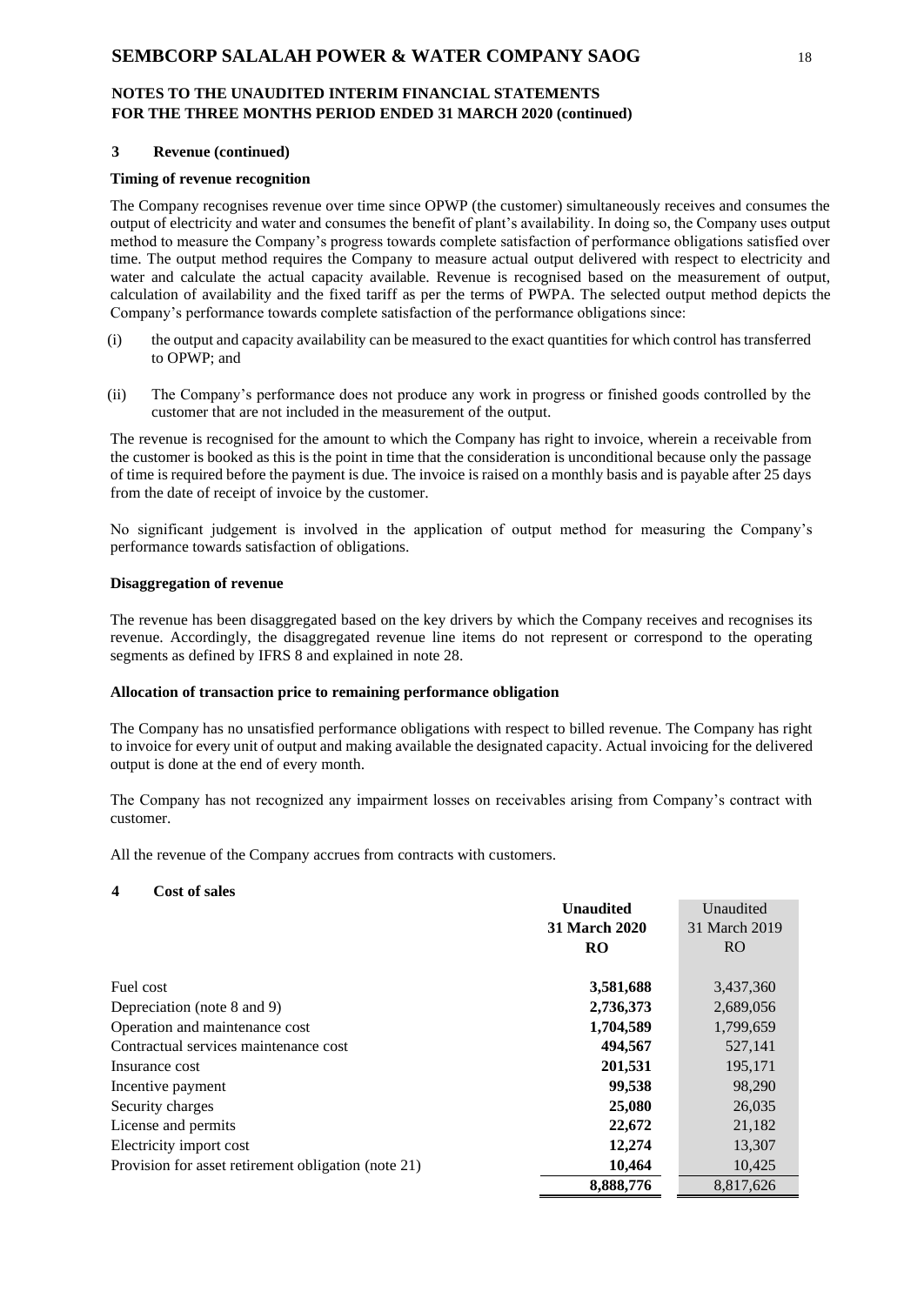#### **3 Revenue (continued)**

### **Timing of revenue recognition**

The Company recognises revenue over time since OPWP (the customer) simultaneously receives and consumes the output of electricity and water and consumes the benefit of plant's availability. In doing so, the Company uses output method to measure the Company's progress towards complete satisfaction of performance obligations satisfied over time. The output method requires the Company to measure actual output delivered with respect to electricity and water and calculate the actual capacity available. Revenue is recognised based on the measurement of output, calculation of availability and the fixed tariff as per the terms of PWPA. The selected output method depicts the Company's performance towards complete satisfaction of the performance obligations since:

- (i) the output and capacity availability can be measured to the exact quantities for which control has transferred to OPWP; and
- (ii) The Company's performance does not produce any work in progress or finished goods controlled by the customer that are not included in the measurement of the output.

The revenue is recognised for the amount to which the Company has right to invoice, wherein a receivable from the customer is booked as this is the point in time that the consideration is unconditional because only the passage of time is required before the payment is due. The invoice is raised on a monthly basis and is payable after 25 days from the date of receipt of invoice by the customer.

No significant judgement is involved in the application of output method for measuring the Company's performance towards satisfaction of obligations.

### **Disaggregation of revenue**

The revenue has been disaggregated based on the key drivers by which the Company receives and recognises its revenue. Accordingly, the disaggregated revenue line items do not represent or correspond to the operating segments as defined by IFRS 8 and explained in note 28.

#### **Allocation of transaction price to remaining performance obligation**

The Company has no unsatisfied performance obligations with respect to billed revenue. The Company has right to invoice for every unit of output and making available the designated capacity. Actual invoicing for the delivered output is done at the end of every month.

The Company has not recognized any impairment losses on receivables arising from Company's contract with customer.

All the revenue of the Company accrues from contracts with customers.

#### **4 Cost of sales**

|                                                     | <b>Unaudited</b>     | Unaudited     |
|-----------------------------------------------------|----------------------|---------------|
|                                                     | <b>31 March 2020</b> | 31 March 2019 |
|                                                     | <b>RO</b>            | RO.           |
| Fuel cost                                           | 3,581,688            | 3,437,360     |
| Depreciation (note 8 and 9)                         | 2,736,373            | 2,689,056     |
| Operation and maintenance cost                      | 1,704,589            | 1,799,659     |
| Contractual services maintenance cost               | 494,567              | 527,141       |
| Insurance cost                                      | 201,531              | 195,171       |
| Incentive payment                                   | 99,538               | 98,290        |
| Security charges                                    | 25,080               | 26,035        |
| License and permits                                 | 22,672               | 21,182        |
| Electricity import cost                             | 12,274               | 13,307        |
| Provision for asset retirement obligation (note 21) | 10,464               | 10,425        |
|                                                     | 8,888,776            | 8,817,626     |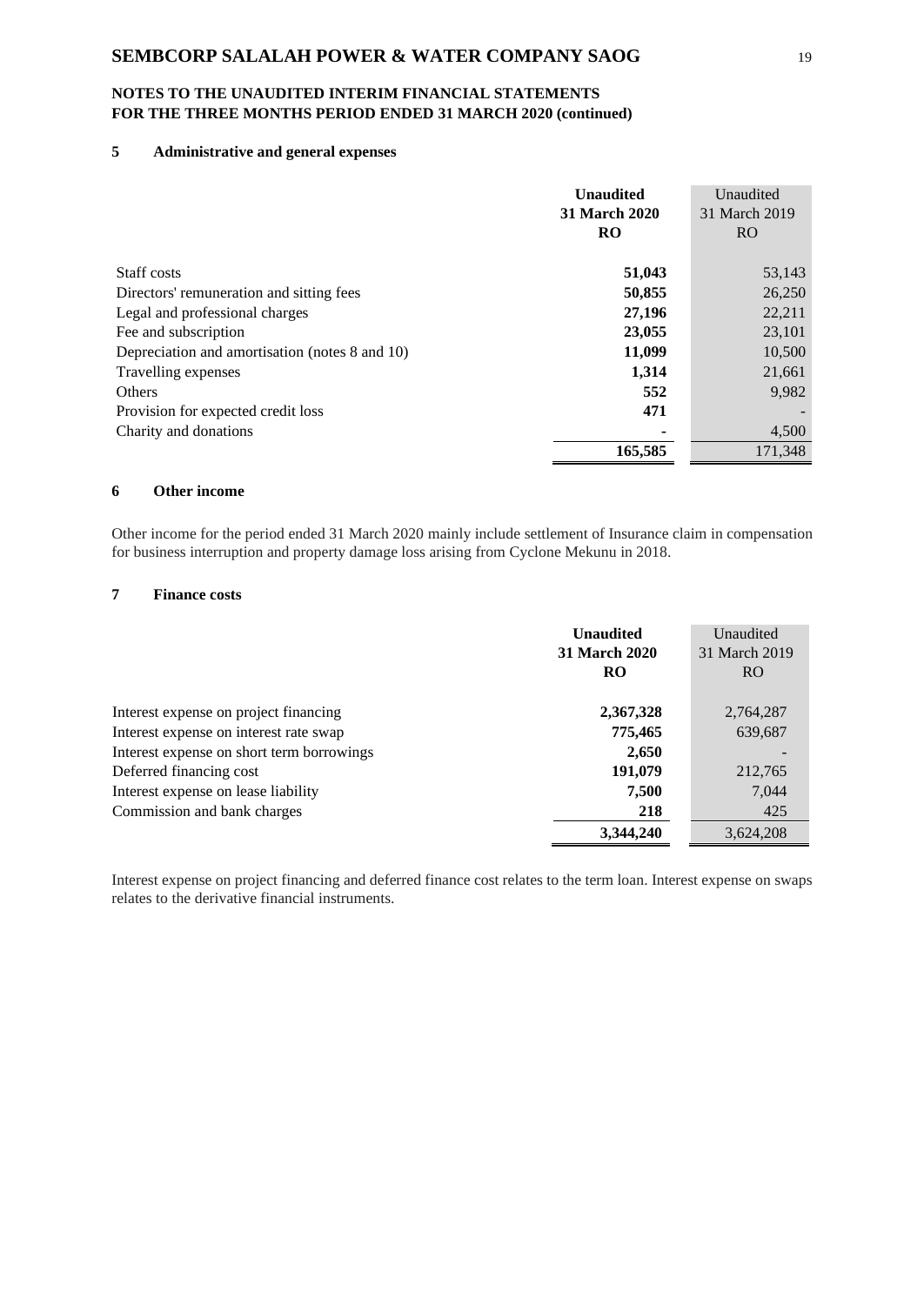### **5 Administrative and general expenses**

|                                                | <b>Unaudited</b><br><b>31 March 2020</b><br>RO | Unaudited<br>31 March 2019<br>R <sub>O</sub> |
|------------------------------------------------|------------------------------------------------|----------------------------------------------|
| Staff costs                                    | 51,043                                         | 53,143                                       |
| Directors' remuneration and sitting fees       | 50,855                                         | 26,250                                       |
| Legal and professional charges                 | 27,196                                         | 22,211                                       |
| Fee and subscription                           | 23,055                                         | 23,101                                       |
| Depreciation and amortisation (notes 8 and 10) | 11,099                                         | 10,500                                       |
| Travelling expenses                            | 1,314                                          | 21,661                                       |
| <b>Others</b>                                  | 552                                            | 9,982                                        |
| Provision for expected credit loss             | 471                                            |                                              |
| Charity and donations                          |                                                | 4,500                                        |
|                                                | 165,585                                        | 171,348                                      |

### **6 Other income**

Other income for the period ended 31 March 2020 mainly include settlement of Insurance claim in compensation for business interruption and property damage loss arising from Cyclone Mekunu in 2018.

# **7 Finance costs**

|                                           | <b>Unaudited</b><br><b>31 March 2020</b><br><b>RO</b> | Unaudited<br>31 March 2019<br>R <sub>O</sub> |
|-------------------------------------------|-------------------------------------------------------|----------------------------------------------|
| Interest expense on project financing     | 2,367,328                                             | 2,764,287                                    |
| Interest expense on interest rate swap    | 775,465                                               | 639,687                                      |
| Interest expense on short term borrowings | 2,650                                                 |                                              |
| Deferred financing cost                   | 191,079                                               | 212,765                                      |
| Interest expense on lease liability       | 7.500                                                 | 7.044                                        |
| Commission and bank charges               | 218                                                   | 425                                          |
|                                           | 3,344,240                                             | 3,624,208                                    |

Interest expense on project financing and deferred finance cost relates to the term loan. Interest expense on swaps relates to the derivative financial instruments.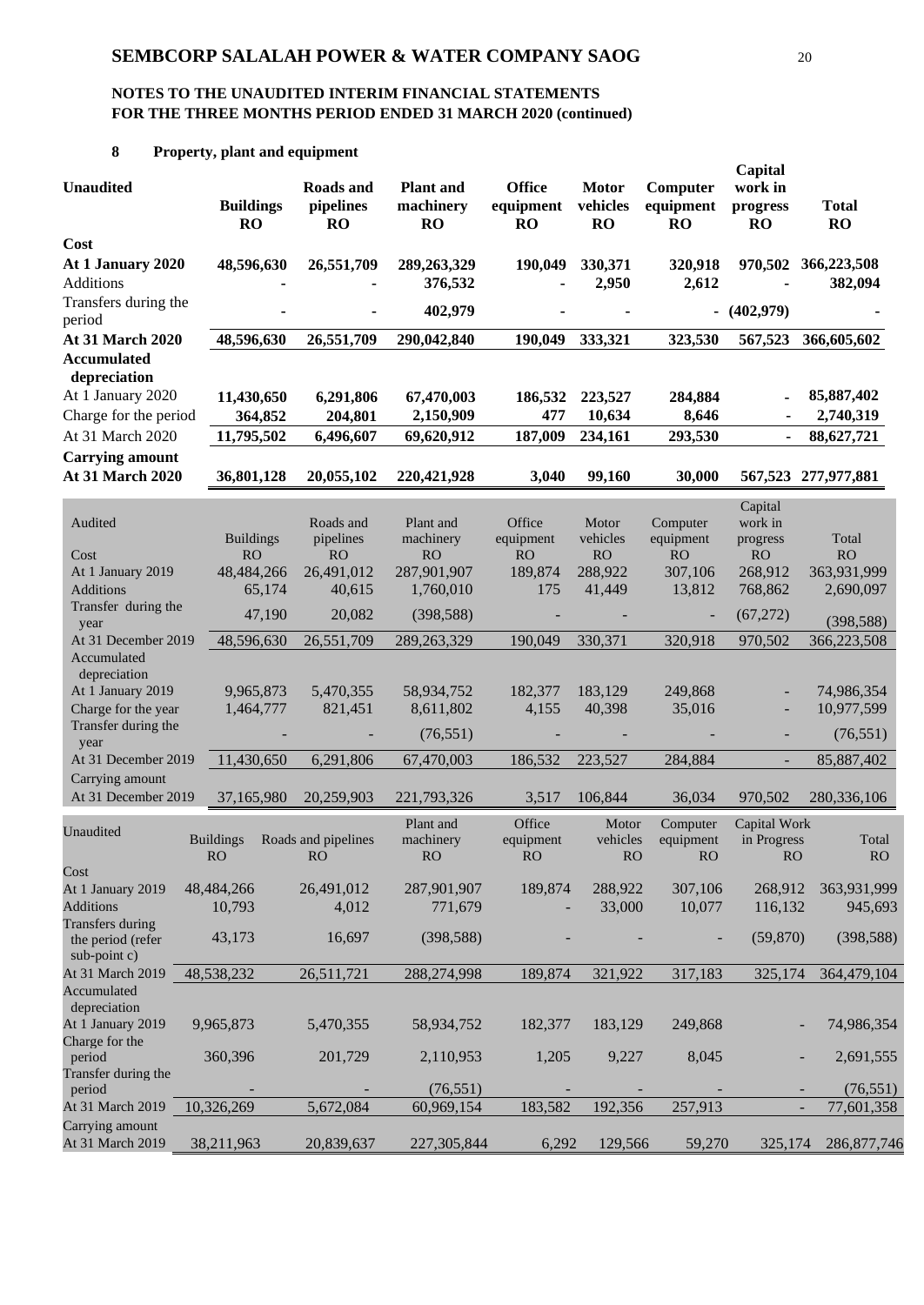# **8 Property, plant and equipment**

| <b>Unaudited</b>                                                        | <b>Buildings</b><br><b>RO</b>                         | <b>Roads</b> and<br>pipelines<br><b>RO</b>                  | <b>Plant</b> and<br>machinery<br><b>RO</b>                      | <b>Office</b><br>equipment<br><b>RO</b>                | <b>Motor</b><br>vehicles<br>RO               | Computer<br>equipment<br><b>RO</b>                      | Capital<br>work in<br>progress<br><b>RO</b>                       | <b>Total</b><br><b>RO</b>               |
|-------------------------------------------------------------------------|-------------------------------------------------------|-------------------------------------------------------------|-----------------------------------------------------------------|--------------------------------------------------------|----------------------------------------------|---------------------------------------------------------|-------------------------------------------------------------------|-----------------------------------------|
| Cost<br>At 1 January 2020<br>Additions                                  | 48,596,630                                            | 26,551,709                                                  | 289, 263, 329<br>376,532                                        | 190,049                                                | 330,371<br>2,950                             | 320,918<br>2,612                                        | 970,502                                                           | 366,223,508<br>382,094                  |
| Transfers during the                                                    |                                                       |                                                             | 402,979                                                         |                                                        |                                              |                                                         | $- (402,979)$                                                     |                                         |
| period<br><b>At 31 March 2020</b>                                       | 48,596,630                                            | 26,551,709                                                  | 290,042,840                                                     | 190,049                                                | 333,321                                      | 323,530                                                 | 567,523                                                           | 366,605,602                             |
| <b>Accumulated</b><br>depreciation                                      |                                                       |                                                             |                                                                 |                                                        |                                              |                                                         |                                                                   |                                         |
| At 1 January 2020                                                       | 11,430,650                                            | 6,291,806                                                   | 67,470,003                                                      | 186,532                                                | 223,527                                      | 284,884                                                 | $\overline{\phantom{0}}$                                          | 85,887,402                              |
| Charge for the period                                                   | 364,852                                               | 204,801                                                     | 2,150,909                                                       | 477                                                    | 10,634                                       | 8,646                                                   | $\blacksquare$                                                    | 2,740,319                               |
| At 31 March 2020                                                        | 11,795,502                                            | 6,496,607                                                   | 69,620,912                                                      | 187,009                                                | 234,161                                      | 293,530                                                 | $\blacksquare$                                                    | 88,627,721                              |
| <b>Carrying amount</b><br><b>At 31 March 2020</b>                       | 36,801,128                                            | 20,055,102                                                  | 220,421,928                                                     | 3,040                                                  | 99,160                                       | 30,000                                                  |                                                                   | 567,523 277,977,881                     |
| Audited<br>Cost<br>At 1 January 2019<br><b>Additions</b>                | <b>Buildings</b><br><b>RO</b><br>48,484,266<br>65,174 | Roads and<br>pipelines<br><b>RO</b><br>26,491,012<br>40,615 | Plant and<br>machinery<br><b>RO</b><br>287,901,907<br>1,760,010 | Office<br>equipment<br><sub>RO</sub><br>189,874<br>175 | Motor<br>vehicles<br>RO<br>288,922<br>41,449 | Computer<br>equipment<br><b>RO</b><br>307,106<br>13,812 | Capital<br>work in<br>progress<br><b>RO</b><br>268,912<br>768,862 | Total<br>RO<br>363,931,999<br>2,690,097 |
| Transfer during the<br>year                                             | 47,190                                                | 20,082                                                      | (398, 588)                                                      |                                                        |                                              |                                                         | (67,272)                                                          | (398, 588)                              |
| At 31 December 2019                                                     | 48,596,630                                            | 26,551,709                                                  | 289, 263, 329                                                   | 190,049                                                | 330,371                                      | 320,918                                                 | 970,502                                                           | 366,223,508                             |
| Accumulated<br>depreciation<br>At 1 January 2019<br>Charge for the year | 9,965,873<br>1,464,777                                | 5,470,355<br>821,451                                        | 58,934,752<br>8,611,802                                         | 182,377<br>4,155                                       | 183,129<br>40,398                            | 249,868<br>35,016                                       | $\qquad \qquad \blacksquare$                                      | 74,986,354<br>10,977,599                |
| Transfer during the                                                     |                                                       |                                                             | (76, 551)                                                       |                                                        |                                              |                                                         | Ξ                                                                 | (76, 551)                               |
| year                                                                    |                                                       |                                                             |                                                                 |                                                        |                                              |                                                         |                                                                   |                                         |
| At 31 December 2019<br>Carrying amount                                  | 11,430,650                                            | 6,291,806                                                   | 67,470,003                                                      | 186,532                                                | 223,527                                      | 284,884                                                 | ÷,                                                                | 85,887,402                              |
| At 31 December 2019                                                     | 37,165,980                                            | 20,259,903                                                  | 221,793,326                                                     | 3,517                                                  | 106,844                                      | 36,034                                                  | 970,502                                                           | 280,336,106                             |
| Unaudited                                                               | <b>Buildings</b><br>RO                                | Roads and pipelines<br>RO                                   | Plant and<br>machinery<br>RO                                    | Office<br>equipment<br>$\rm \mathop{RO}$               | Motor<br>vehicles<br>RO                      | Computer<br>equipment<br>RO                             | Capital Work<br>in Progress<br>RO                                 | Total<br>RO                             |
| Cost<br>At 1 January 2019                                               | 48,484,266                                            | 26,491,012                                                  | 287,901,907                                                     | 189,874                                                | 288,922                                      | 307,106                                                 | 268,912                                                           | 363,931,999                             |
| <b>Additions</b>                                                        | 10,793                                                | 4,012                                                       | 771,679                                                         |                                                        | 33,000                                       | 10,077                                                  | 116,132                                                           | 945,693                                 |
| <b>Transfers during</b><br>the period (refer<br>sub-point c)            | 43,173                                                | 16,697                                                      | (398, 588)                                                      |                                                        |                                              |                                                         | (59, 870)                                                         | (398, 588)                              |
| At 31 March 2019                                                        | 48,538,232                                            | 26,511,721                                                  | 288,274,998                                                     | 189,874                                                | 321,922                                      | 317,183                                                 | 325,174                                                           | 364,479,104                             |
| Accumulated<br>depreciation<br>At 1 January 2019                        | 9,965,873                                             | 5,470,355                                                   | 58,934,752                                                      | 182,377                                                | 183,129                                      | 249,868                                                 |                                                                   | 74,986,354                              |
| Charge for the<br>period<br>Transfer during the                         | 360,396                                               | 201,729                                                     | 2,110,953                                                       | 1,205                                                  | 9,227                                        | 8,045                                                   |                                                                   | 2,691,555                               |
| period                                                                  |                                                       |                                                             | (76, 551)                                                       |                                                        |                                              |                                                         |                                                                   | (76, 551)                               |
| At 31 March 2019                                                        | 10,326,269                                            | 5,672,084                                                   | 60,969,154                                                      | 183,582                                                | 192,356                                      | 257,913                                                 |                                                                   | 77,601,358                              |
| Carrying amount<br>At 31 March 2019                                     | 38,211,963                                            | 20,839,637                                                  | 227,305,844                                                     | 6,292                                                  | 129,566                                      | 59,270                                                  | 325,174                                                           | 286,877,746                             |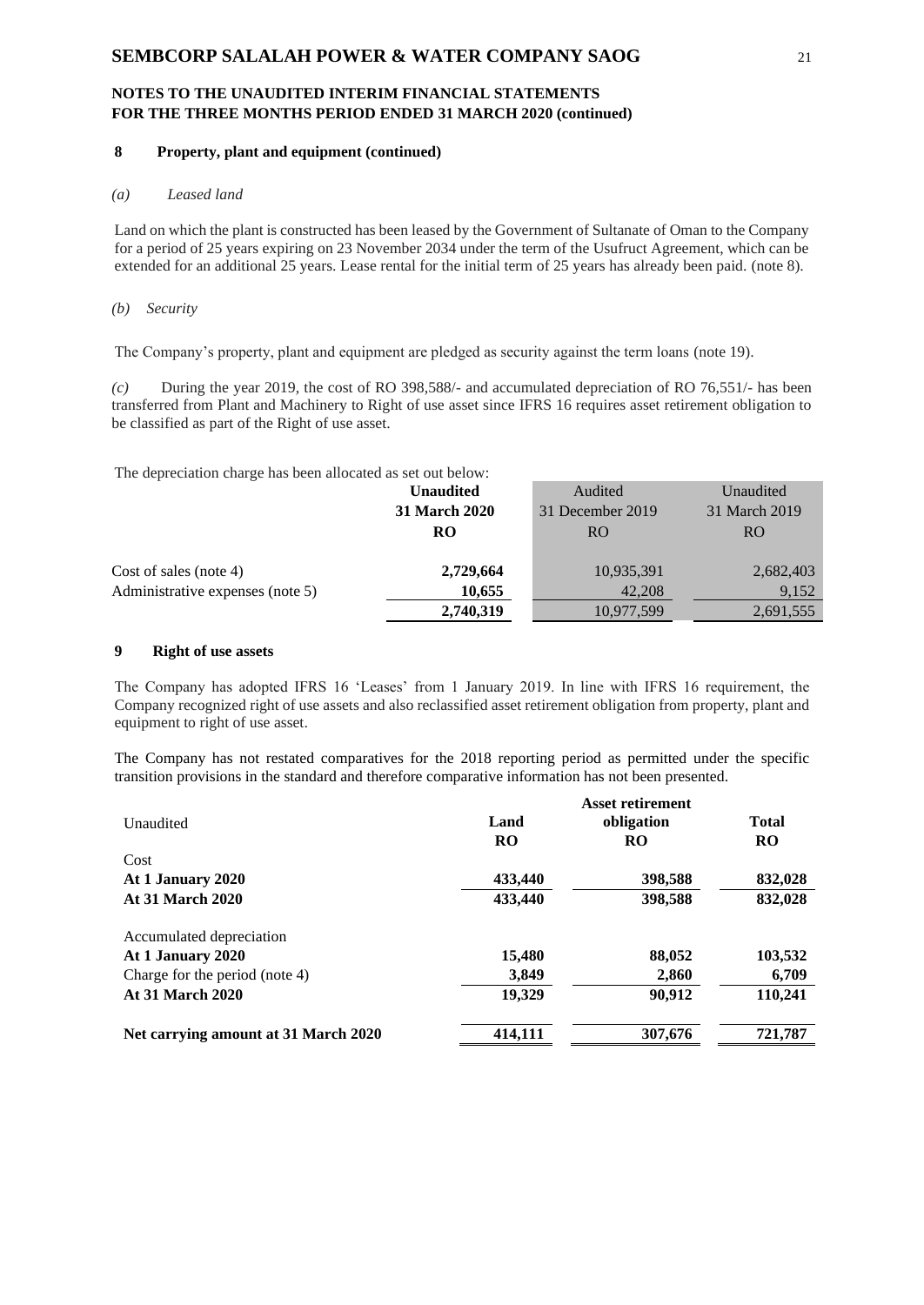### **8 Property, plant and equipment (continued)**

### *(a) Leased land*

Land on which the plant is constructed has been leased by the Government of Sultanate of Oman to the Company for a period of 25 years expiring on 23 November 2034 under the term of the Usufruct Agreement, which can be extended for an additional 25 years. Lease rental for the initial term of 25 years has already been paid. (note 8).

#### *(b) Security*

The Company's property, plant and equipment are pledged as security against the term loans (note 19).

*(c)* During the year 2019, the cost of RO 398,588/- and accumulated depreciation of RO 76,551/- has been transferred from Plant and Machinery to Right of use asset since IFRS 16 requires asset retirement obligation to be classified as part of the Right of use asset.

The depreciation charge has been allocated as set out below:

|                                  | <b>Unaudited</b>     | Audited          | Unaudited     |
|----------------------------------|----------------------|------------------|---------------|
|                                  | <b>31 March 2020</b> | 31 December 2019 | 31 March 2019 |
|                                  | RO                   | RO.              | RO.           |
|                                  |                      |                  |               |
| Cost of sales (note 4)           | 2,729,664            | 10,935,391       | 2,682,403     |
| Administrative expenses (note 5) | 10,655               | 42,208           | 9,152         |
|                                  | 2,740,319            | 10,977,599       | 2,691,555     |
|                                  |                      |                  |               |

### **9 Right of use assets**

The Company has adopted IFRS 16 'Leases' from 1 January 2019. In line with IFRS 16 requirement, the Company recognized right of use assets and also reclassified asset retirement obligation from property, plant and equipment to right of use asset.

The Company has not restated comparatives for the 2018 reporting period as permitted under the specific transition provisions in the standard and therefore comparative information has not been presented.

|                                      |           | <b>Asset retirement</b> |              |
|--------------------------------------|-----------|-------------------------|--------------|
| Unaudited                            | Land      | obligation              | <b>Total</b> |
|                                      | <b>RO</b> | RO                      | <b>RO</b>    |
| Cost                                 |           |                         |              |
| At 1 January 2020                    | 433,440   | 398,588                 | 832,028      |
| <b>At 31 March 2020</b>              | 433,440   | 398,588                 | 832,028      |
| Accumulated depreciation             |           |                         |              |
| At 1 January 2020                    | 15,480    | 88,052                  | 103,532      |
| Charge for the period (note 4)       | 3,849     | 2,860                   | 6,709        |
| <b>At 31 March 2020</b>              | 19,329    | 90,912                  | 110,241      |
| Net carrying amount at 31 March 2020 | 414,111   | 307,676                 | 721,787      |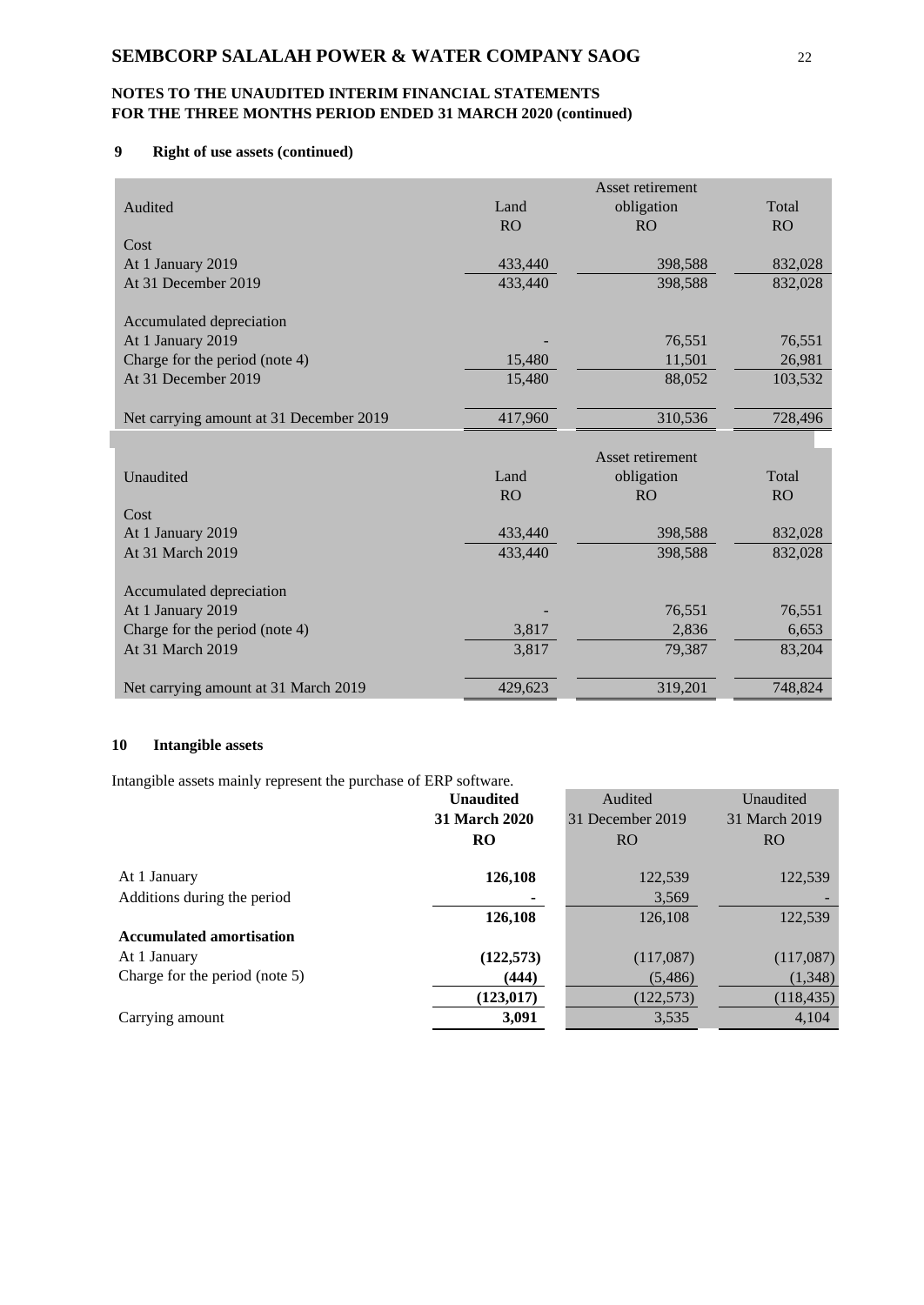# **9 Right of use assets (continued)**

|                                         |           | Asset retirement |           |
|-----------------------------------------|-----------|------------------|-----------|
| Audited                                 | Land      | obligation       | Total     |
|                                         | <b>RO</b> | <b>RO</b>        | <b>RO</b> |
| Cost                                    |           |                  |           |
| At 1 January 2019                       | 433,440   | 398,588          | 832,028   |
| At 31 December 2019                     | 433,440   | 398,588          | 832,028   |
|                                         |           |                  |           |
| Accumulated depreciation                |           |                  |           |
| At 1 January 2019                       |           | 76,551           | 76,551    |
| Charge for the period (note 4)          | 15,480    | 11,501           | 26,981    |
| At 31 December 2019                     | 15,480    | 88,052           | 103,532   |
|                                         |           |                  |           |
| Net carrying amount at 31 December 2019 | 417,960   | 310,536          | 728,496   |
|                                         |           |                  |           |
|                                         |           | Asset retirement |           |
| Unaudited                               | Land      | obligation       | Total     |
|                                         | <b>RO</b> | <b>RO</b>        | RO        |
| Cost                                    |           |                  |           |
| At 1 January 2019                       | 433,440   | 398,588          | 832,028   |
| At 31 March 2019                        | 433,440   | 398,588          | 832,028   |
|                                         |           |                  |           |
| Accumulated depreciation                |           |                  |           |
| At 1 January 2019                       |           | 76,551           | 76,551    |
| Charge for the period (note 4)          | 3,817     | 2,836            | 6,653     |
| At 31 March 2019                        | 3,817     | 79,387           | 83,204    |
|                                         |           |                  |           |
| Net carrying amount at 31 March 2019    | 429,623   | 319,201          | 748,824   |

# **10 Intangible assets**

Intangible assets mainly represent the purchase of ERP software.

|                                 | <b>Unaudited</b> | Audited          | Unaudited       |
|---------------------------------|------------------|------------------|-----------------|
|                                 | 31 March 2020    | 31 December 2019 | 31 March 2019   |
|                                 | <b>RO</b>        | <b>RO</b>        | RO <sub>1</sub> |
| At 1 January                    | 126,108          | 122,539          | 122,539         |
| Additions during the period     |                  | 3,569            |                 |
|                                 | 126,108          | 126,108          | 122,539         |
| <b>Accumulated amortisation</b> |                  |                  |                 |
| At 1 January                    | (122, 573)       | (117,087)        | (117,087)       |
| Charge for the period (note 5)  | (444)            | (5,486)          | (1,348)         |
|                                 | (123, 017)       | (122, 573)       | (118, 435)      |
| Carrying amount                 | 3,091            | 3,535            | 4,104           |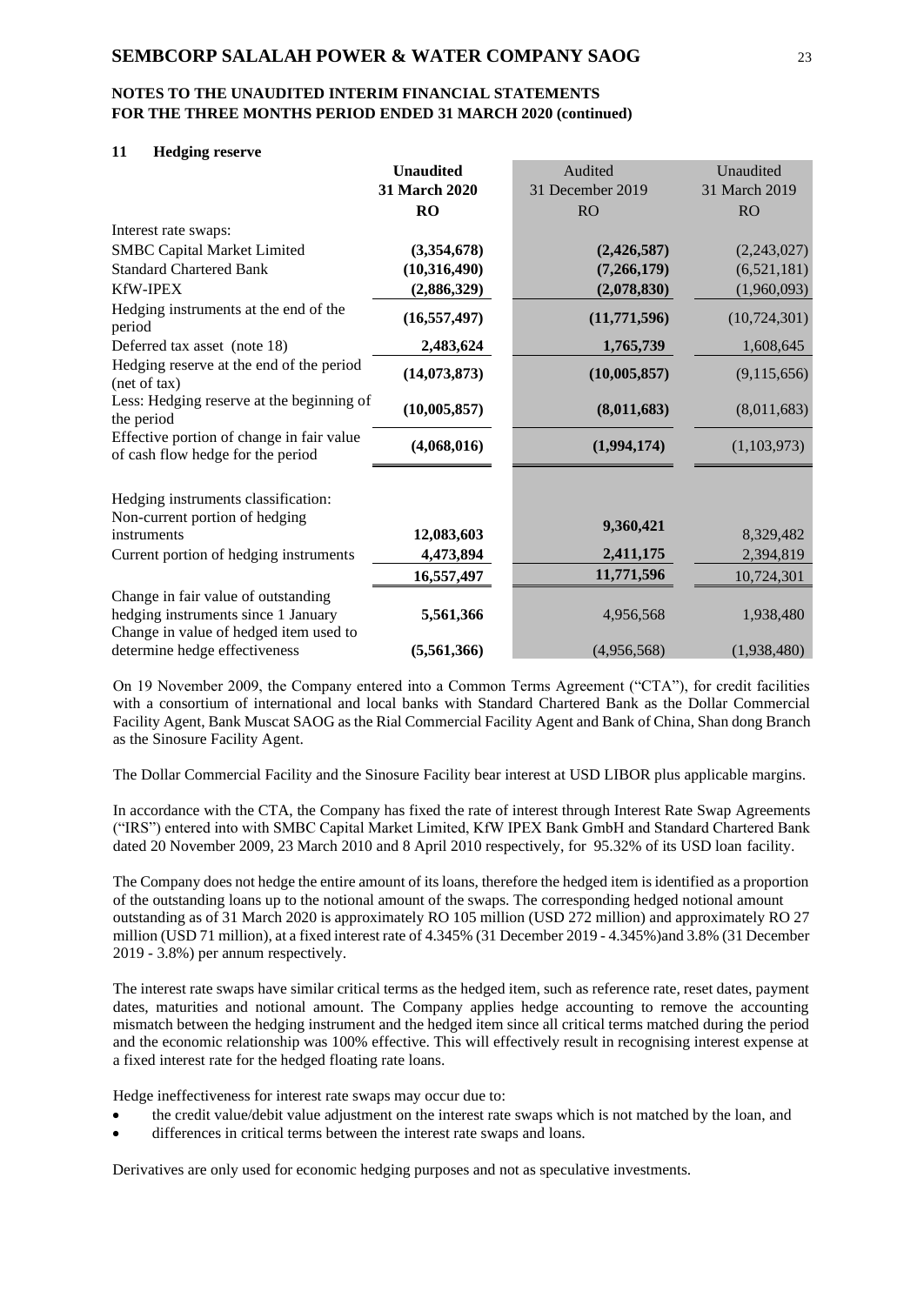#### **11 Hedging reserve**

|                                                                                                                      | <b>Unaudited</b> | Audited          | Unaudited      |
|----------------------------------------------------------------------------------------------------------------------|------------------|------------------|----------------|
|                                                                                                                      | 31 March 2020    | 31 December 2019 | 31 March 2019  |
|                                                                                                                      | RO               | <b>RO</b>        | <b>RO</b>      |
| Interest rate swaps:                                                                                                 |                  |                  |                |
| <b>SMBC Capital Market Limited</b>                                                                                   | (3,354,678)      | (2,426,587)      | (2,243,027)    |
| <b>Standard Chartered Bank</b>                                                                                       | (10,316,490)     | (7,266,179)      | (6,521,181)    |
| <b>KfW-IPEX</b>                                                                                                      | (2,886,329)      | (2,078,830)      | (1,960,093)    |
| Hedging instruments at the end of the<br>period                                                                      | (16, 557, 497)   | (11,771,596)     | (10, 724, 301) |
| Deferred tax asset (note 18)                                                                                         | 2,483,624        | 1,765,739        | 1,608,645      |
| Hedging reserve at the end of the period<br>(net of tax)                                                             | (14, 073, 873)   | (10,005,857)     | (9,115,656)    |
| Less: Hedging reserve at the beginning of<br>the period                                                              | (10,005,857)     | (8,011,683)      | (8,011,683)    |
| Effective portion of change in fair value<br>of cash flow hedge for the period                                       | (4,068,016)      | (1,994,174)      | (1,103,973)    |
| Hedging instruments classification:<br>Non-current portion of hedging<br>instruments                                 | 12,083,603       | 9,360,421        | 8,329,482      |
| Current portion of hedging instruments                                                                               | 4,473,894        | 2,411,175        | 2,394,819      |
|                                                                                                                      | 16,557,497       | 11,771,596       | 10,724,301     |
| Change in fair value of outstanding<br>hedging instruments since 1 January<br>Change in value of hedged item used to | 5,561,366        | 4,956,568        | 1,938,480      |
| determine hedge effectiveness                                                                                        | (5,561,366)      | (4,956,568)      | (1,938,480)    |

On 19 November 2009, the Company entered into a Common Terms Agreement ("CTA"), for credit facilities with a consortium of international and local banks with Standard Chartered Bank as the Dollar Commercial Facility Agent, Bank Muscat SAOG as the Rial Commercial Facility Agent and Bank of China, Shan dong Branch as the Sinosure Facility Agent.

The Dollar Commercial Facility and the Sinosure Facility bear interest at USD LIBOR plus applicable margins.

In accordance with the CTA, the Company has fixed the rate of interest through Interest Rate Swap Agreements ("IRS") entered into with SMBC Capital Market Limited, KfW IPEX Bank GmbH and Standard Chartered Bank dated 20 November 2009, 23 March 2010 and 8 April 2010 respectively, for 95.32% of its USD loan facility.

The Company does not hedge the entire amount of its loans, therefore the hedged item is identified as a proportion of the outstanding loans up to the notional amount of the swaps. The corresponding hedged notional amount outstanding as of 31 March 2020 is approximately RO 105 million (USD 272 million) and approximately RO 27 million (USD 71 million), at a fixed interest rate of 4.345% (31 December 2019 - 4.345%)and 3.8% (31 December 2019 - 3.8%) per annum respectively.

The interest rate swaps have similar critical terms as the hedged item, such as reference rate, reset dates, payment dates, maturities and notional amount. The Company applies hedge accounting to remove the accounting mismatch between the hedging instrument and the hedged item since all critical terms matched during the period and the economic relationship was 100% effective. This will effectively result in recognising interest expense at a fixed interest rate for the hedged floating rate loans.

Hedge ineffectiveness for interest rate swaps may occur due to:

- the credit value/debit value adjustment on the interest rate swaps which is not matched by the loan, and
- differences in critical terms between the interest rate swaps and loans.

Derivatives are only used for economic hedging purposes and not as speculative investments.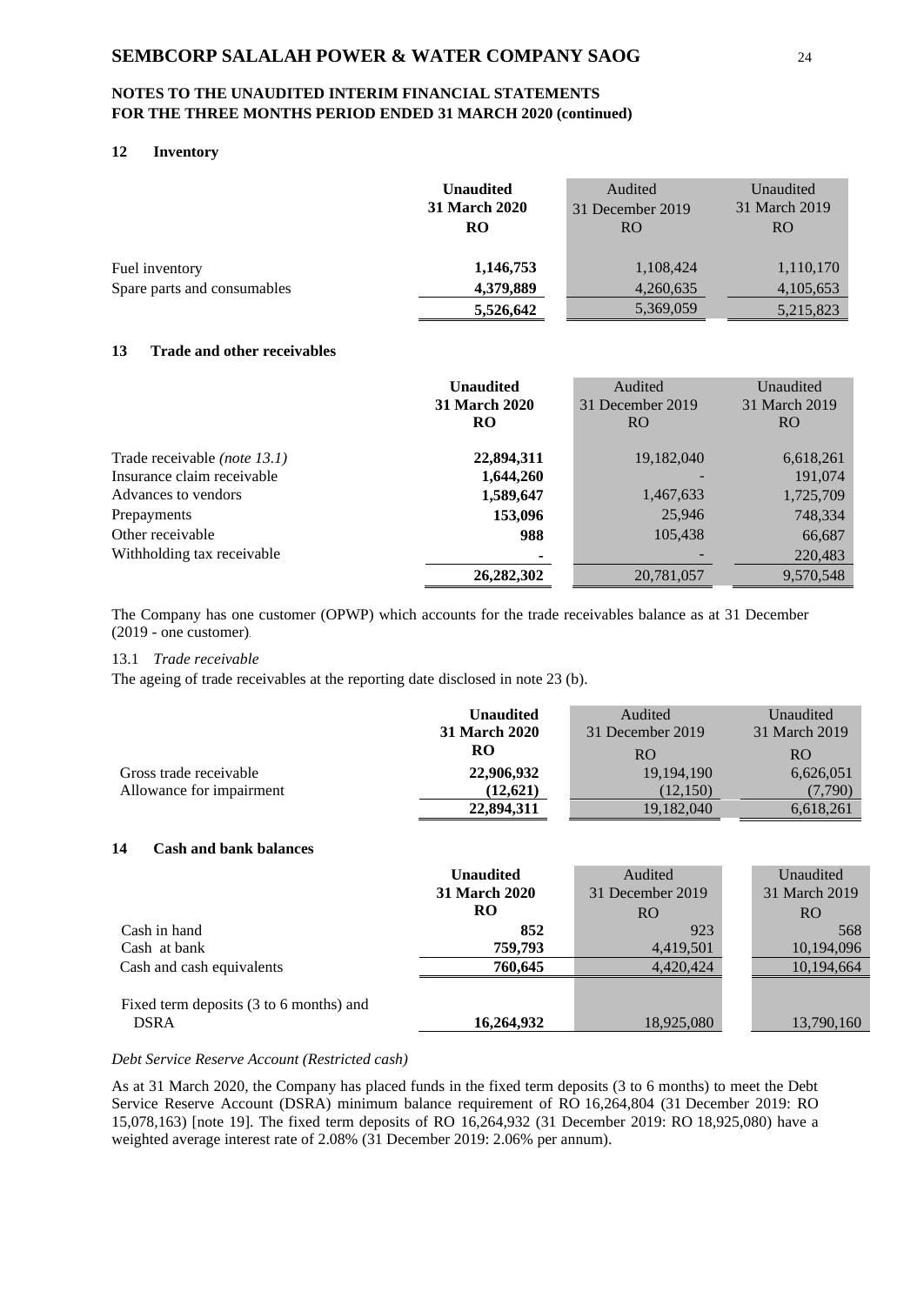# **NOTES TO THE UNAUDITED INTERIM FINANCIAL STATEMENTS FOR THE THREE MONTHS PERIOD ENDED 31 MARCH 2020 (continued)**

# **12 Inventory**

|                             | <b>Unaudited</b><br><b>31 March 2020</b> | Audited<br>31 December 2019 | Unaudited<br>31 March 2019 |
|-----------------------------|------------------------------------------|-----------------------------|----------------------------|
|                             | <b>RO</b>                                | RO.                         | RO.                        |
| Fuel inventory              | 1,146,753                                | 1,108,424                   | 1,110,170                  |
| Spare parts and consumables | 4,379,889                                | 4,260,635                   | 4,105,653                  |
|                             | 5,526,642                                | 5,369,059                   | 5,215,823                  |

### **13 Trade and other receivables**

|                                     | <b>Unaudited</b><br><b>31 March 2020</b><br>RO | Audited<br>31 December 2019<br>RO. | Unaudited<br>31 March 2019<br>RO. |
|-------------------------------------|------------------------------------------------|------------------------------------|-----------------------------------|
| Trade receivable <i>(note 13.1)</i> | 22,894,311                                     | 19,182,040                         | 6,618,261                         |
| Insurance claim receivable          | 1,644,260                                      |                                    | 191,074                           |
| Advances to vendors                 | 1,589,647                                      | 1,467,633                          | 1,725,709                         |
| Prepayments                         | 153,096                                        | 25,946                             | 748,334                           |
| Other receivable                    | 988                                            | 105,438                            | 66,687                            |
| Withholding tax receivable          | ۰                                              |                                    | 220,483                           |
|                                     | 26,282,302                                     | 20,781,057                         | 9,570,548                         |

The Company has one customer (OPWP) which accounts for the trade receivables balance as at 31 December (2019 - one customer).

### 13.1 *Trade receivable*

The ageing of trade receivables at the reporting date disclosed in note 23 (b).

|                          | <b>Unaudited</b>     | Audited          | Unaudited     |
|--------------------------|----------------------|------------------|---------------|
|                          | <b>31 March 2020</b> | 31 December 2019 | 31 March 2019 |
|                          | RO                   | RO               | RO.           |
| Gross trade receivable   | 22,906,932           | 19, 194, 190     | 6,626,051     |
| Allowance for impairment | (12.621)             | (12,150)         | (7.790)       |
|                          | 22,894,311           | 19,182,040       | 6,618,261     |

### **14 Cash and bank balances**

|                                                        | <b>Unaudited</b>     | Audited          | Unaudited     |
|--------------------------------------------------------|----------------------|------------------|---------------|
|                                                        | <b>31 March 2020</b> | 31 December 2019 | 31 March 2019 |
|                                                        | RO                   | RO.              | RO.           |
| Cash in hand                                           | 852                  | 923              | 568           |
| Cash at bank                                           | 759,793              | 4,419,501        | 10,194,096    |
| Cash and cash equivalents                              | 760.645              | 4.420.424        | 10,194,664    |
| Fixed term deposits (3 to 6 months) and<br><b>DSRA</b> | 16,264,932           | 18,925,080       | 13,790,160    |

#### *Debt Service Reserve Account (Restricted cash)*

As at 31 March 2020, the Company has placed funds in the fixed term deposits (3 to 6 months) to meet the Debt Service Reserve Account (DSRA) minimum balance requirement of RO 16,264,804 (31 December 2019: RO 15,078,163) [note 19]. The fixed term deposits of RO 16,264,932 (31 December 2019: RO 18,925,080) have a weighted average interest rate of 2.08% (31 December 2019: 2.06% per annum).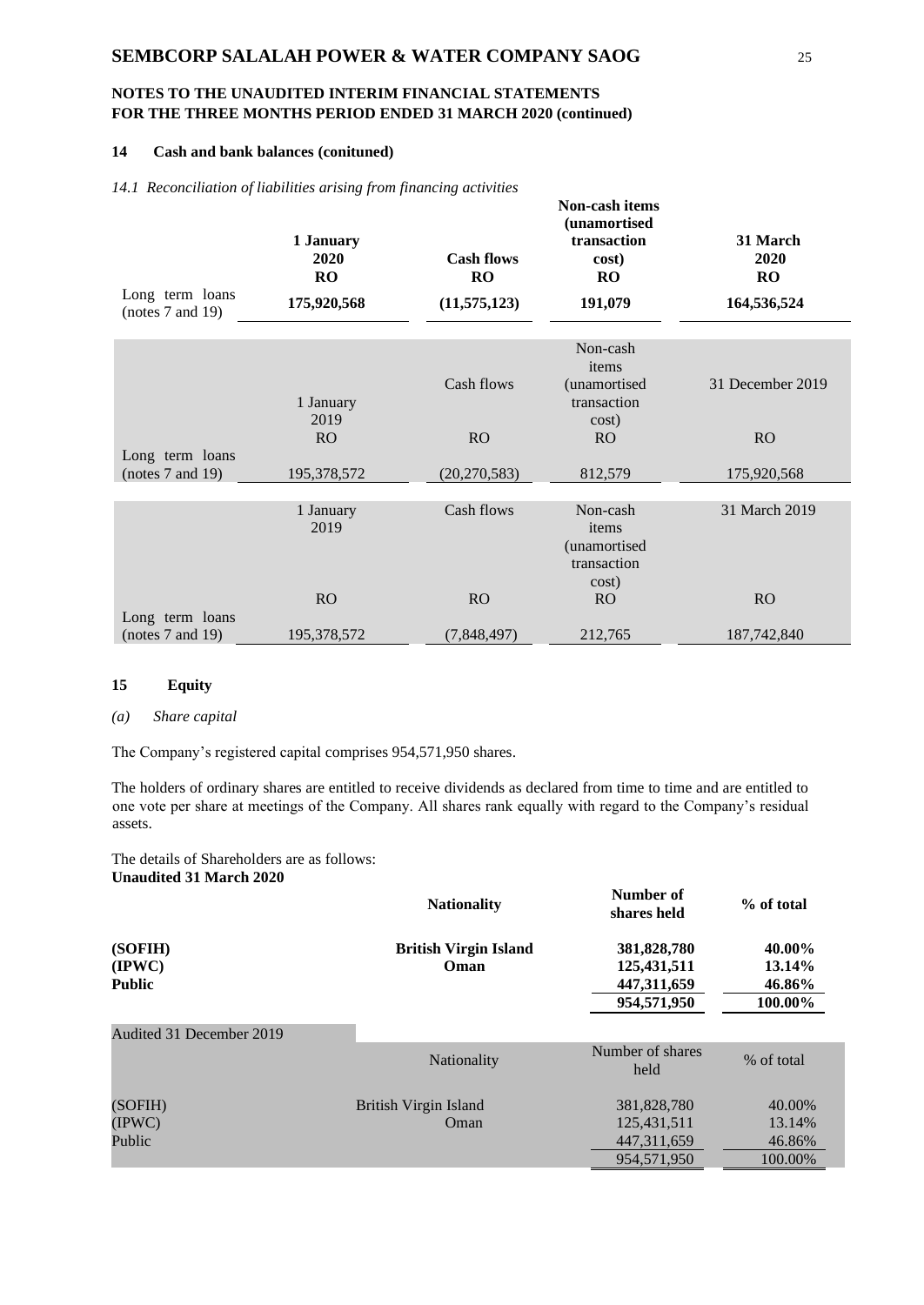### **14 Cash and bank balances (conituned)**

|  | 14.1 Reconciliation of liabilities arising from financing activities |  |  |  |  |  |
|--|----------------------------------------------------------------------|--|--|--|--|--|
|--|----------------------------------------------------------------------|--|--|--|--|--|

| Long term loans<br>(notes $7$ and $19$ ) | $\ldots$<br>1 January<br>2020<br>RO<br>175,920,568 | <b>Cash flows</b><br>RO<br>(11, 575, 123) | <b>Non-cash items</b><br>(unamortised<br>transaction<br>cost)<br>RO<br>191,079 | 31 March<br>2020<br>RO<br>164,536,524 |
|------------------------------------------|----------------------------------------------------|-------------------------------------------|--------------------------------------------------------------------------------|---------------------------------------|
|                                          |                                                    |                                           | Non-cash<br>items                                                              |                                       |
|                                          | 1 January                                          | Cash flows                                | (unamortised<br>transaction                                                    | 31 December 2019                      |
| Long term loans                          | 2019<br>R <sub>O</sub>                             | RO                                        | cost)<br>R <sub>O</sub>                                                        | RO                                    |
| (notes $7$ and $19$ )                    | 195,378,572                                        | (20, 270, 583)                            | 812,579                                                                        | 175,920,568                           |
|                                          | 1 January<br>2019                                  | Cash flows                                | Non-cash<br>items<br>(unamortised<br>transaction                               | 31 March 2019                         |
| Long term loans                          | RO                                                 | RO                                        | cost)<br><b>RO</b>                                                             | R <sub>O</sub>                        |
| (notes 7 and 19)                         | 195,378,572                                        | (7,848,497)                               | 212,765                                                                        | 187,742,840                           |

### **15 Equity**

#### *(a) Share capital*

The Company's registered capital comprises 954,571,950 shares.

The holders of ordinary shares are entitled to receive dividends as declared from time to time and are entitled to one vote per share at meetings of the Company. All shares rank equally with regard to the Company's residual assets.

The details of Shareholders are as follows: **Unaudited 31 March 2020**

|                                             | <b>Nationality</b>                   | Number of<br>shares held                                 | % of total                            |
|---------------------------------------------|--------------------------------------|----------------------------------------------------------|---------------------------------------|
| (SOFIH)<br>$(\text{IPWC})$<br><b>Public</b> | <b>British Virgin Island</b><br>Oman | 381,828,780<br>125,431,511<br>447,311,659<br>954,571,950 | 40.00%<br>13.14%<br>46.86%<br>100.00% |
| Audited 31 December 2019                    |                                      |                                                          |                                       |
|                                             | Nationality                          | Number of shares<br>held                                 | % of total                            |
| (SOFIH)                                     | British Virgin Island                | 381,828,780                                              | 40.00%                                |
| (IPWC)                                      | Oman                                 | 125,431,511                                              | 13.14%                                |
| Public                                      |                                      | 447, 311, 659                                            | 46.86%                                |
|                                             |                                      | 954,571,950                                              | 100.00%                               |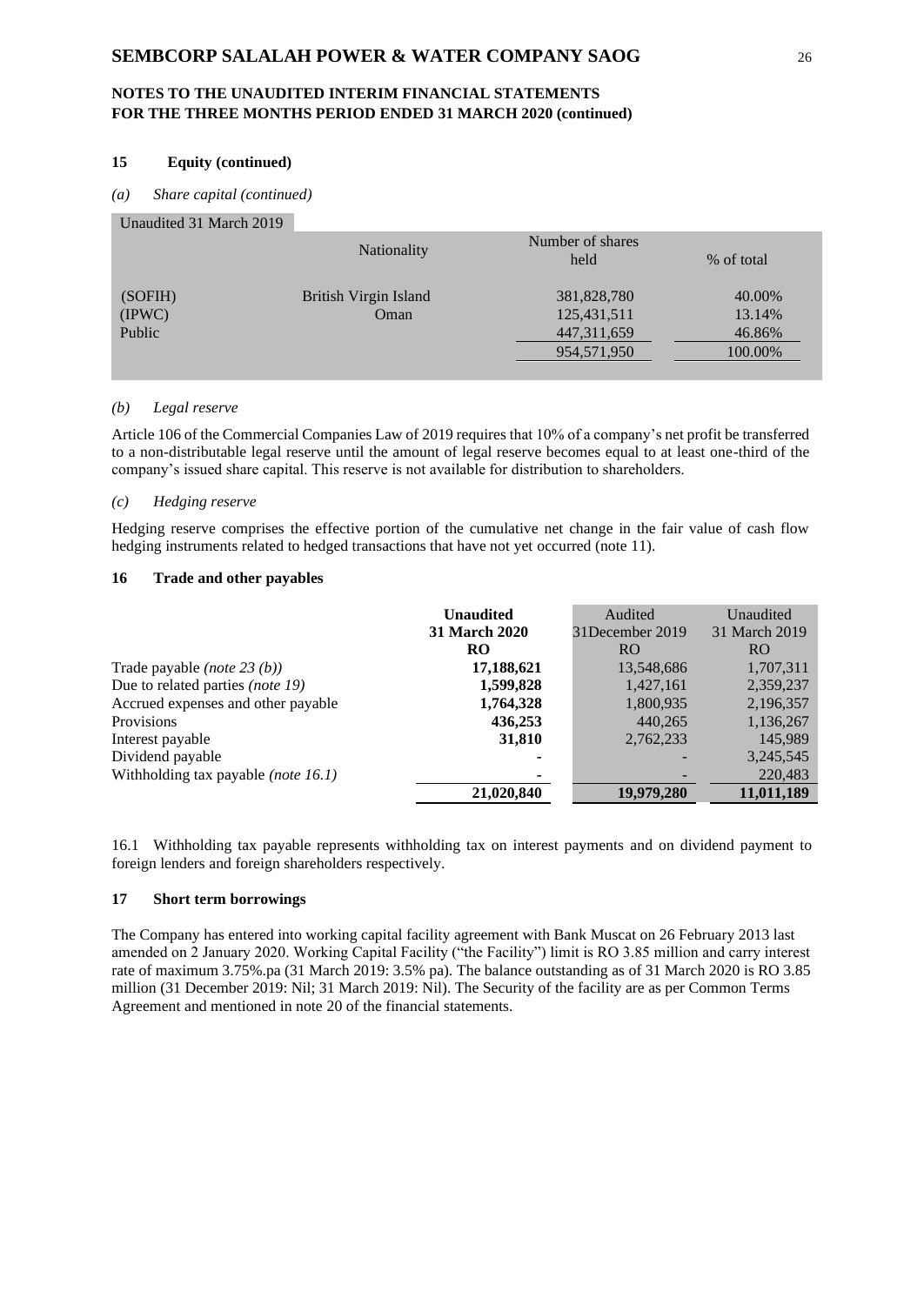### **15 Equity (continued)**

#### *(a) Share capital (continued)*

#### Unaudited 31 March 2019

|         | Nationality           | Number of shares<br>held | % of total |
|---------|-----------------------|--------------------------|------------|
| (SOFIH) | British Virgin Island | 381,828,780              | 40.00%     |
| (IPWC)  | Oman                  | 125,431,511              | 13.14%     |
| Public  |                       | 447, 311, 659            | 46.86%     |
|         |                       | 954,571,950              | 100.00%    |
|         |                       |                          |            |

#### *(b) Legal reserve*

Article 106 of the Commercial Companies Law of 2019 requires that 10% of a company's net profit be transferred to a non-distributable legal reserve until the amount of legal reserve becomes equal to at least one-third of the company's issued share capital. This reserve is not available for distribution to shareholders.

#### *(c) Hedging reserve*

Hedging reserve comprises the effective portion of the cumulative net change in the fair value of cash flow hedging instruments related to hedged transactions that have not yet occurred (note 11).

#### **16 Trade and other payables**

|                                       | <b>Unaudited</b>     | Audited         | Unaudited     |
|---------------------------------------|----------------------|-----------------|---------------|
|                                       | <b>31 March 2020</b> | 31December 2019 | 31 March 2019 |
|                                       | <b>RO</b>            | R <sub>O</sub>  | RO.           |
| Trade payable ( <i>note</i> $23(b)$ ) | 17,188,621           | 13,548,686      | 1,707,311     |
| Due to related parties (note 19)      | 1,599,828            | 1,427,161       | 2,359,237     |
| Accrued expenses and other payable    | 1,764,328            | 1,800,935       | 2,196,357     |
| <b>Provisions</b>                     | 436,253              | 440,265         | 1,136,267     |
| Interest payable                      | 31,810               | 2,762,233       | 145,989       |
| Dividend payable                      |                      |                 | 3,245,545     |
| Withholding tax payable (note 16.1)   |                      |                 | 220,483       |
|                                       | 21,020,840           | 19,979,280      | 11,011,189    |

16.1 Withholding tax payable represents withholding tax on interest payments and on dividend payment to foreign lenders and foreign shareholders respectively.

#### **17 Short term borrowings**

The Company has entered into working capital facility agreement with Bank Muscat on 26 February 2013 last amended on 2 January 2020. Working Capital Facility ("the Facility") limit is RO 3.85 million and carry interest rate of maximum 3.75%.pa (31 March 2019: 3.5% pa). The balance outstanding as of 31 March 2020 is RO 3.85 million (31 December 2019: Nil; 31 March 2019: Nil). The Security of the facility are as per Common Terms Agreement and mentioned in note 20 of the financial statements.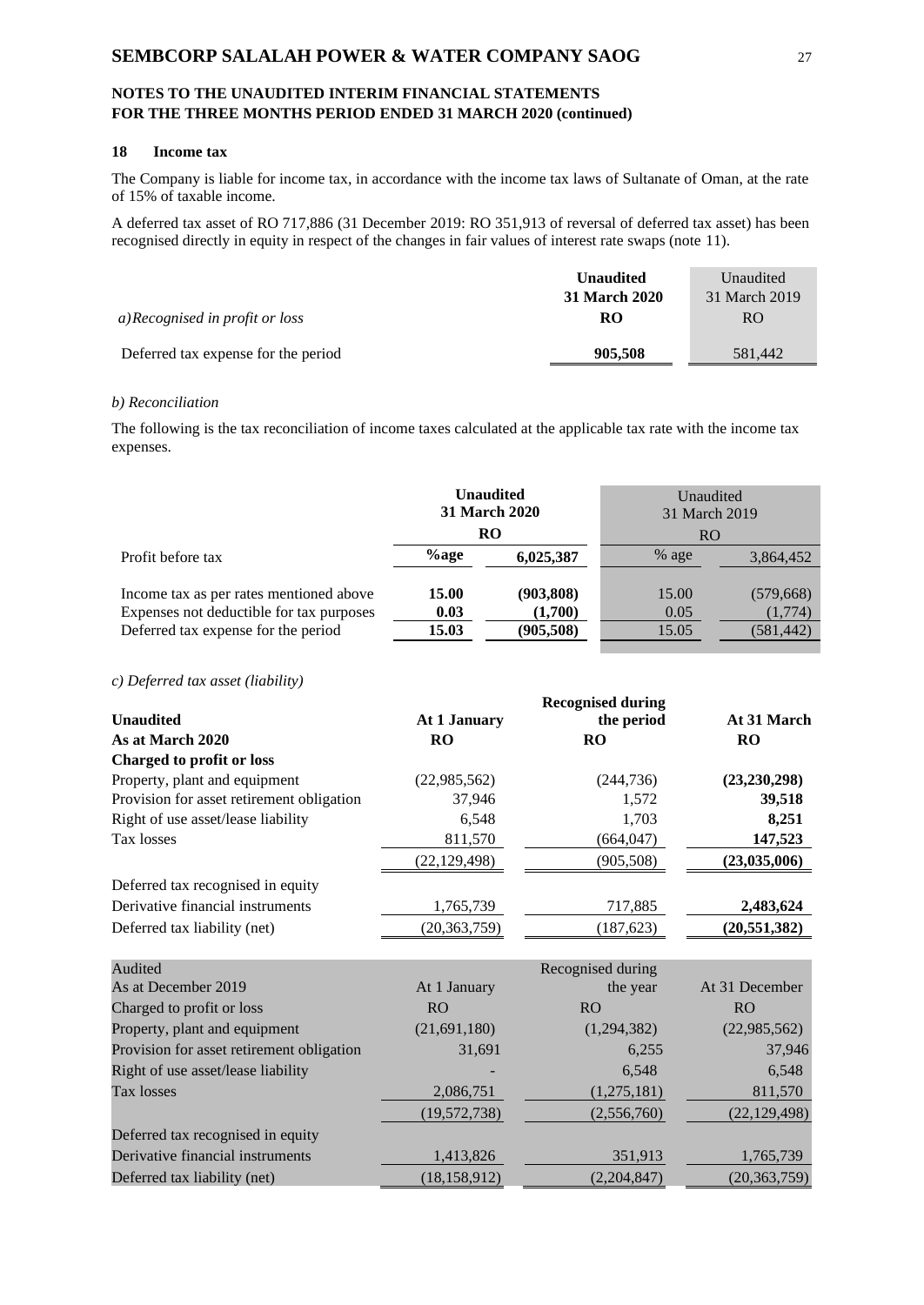# **18 Income tax**

The Company is liable for income tax, in accordance with the income tax laws of Sultanate of Oman, at the rate of 15% of taxable income.

A deferred tax asset of RO 717,886 (31 December 2019: RO 351,913 of reversal of deferred tax asset) has been recognised directly in equity in respect of the changes in fair values of interest rate swaps (note 11).

|                                     | <b>Unaudited</b> | Unaudited     |
|-------------------------------------|------------------|---------------|
|                                     | 31 March 2020    | 31 March 2019 |
| a)Recognised in profit or loss      | RO               | RO.           |
| Deferred tax expense for the period | 905,508          | 581.442       |

# *b) Reconciliation*

The following is the tax reconciliation of income taxes calculated at the applicable tax rate with the income tax expenses.

|                                                                                                                            |                        | <b>Unaudited</b><br><b>31 March 2020</b> | Unaudited<br>31 March 2019 |                                     |
|----------------------------------------------------------------------------------------------------------------------------|------------------------|------------------------------------------|----------------------------|-------------------------------------|
|                                                                                                                            |                        | <b>RO</b>                                | RO.                        |                                     |
| Profit before tax                                                                                                          | $\%$ age               | 6,025,387                                | % age                      | 3,864,452                           |
| Income tax as per rates mentioned above<br>Expenses not deductible for tax purposes<br>Deferred tax expense for the period | 15.00<br>0.03<br>15.03 | (903, 808)<br>(1,700)<br>(905, 508)      | 15.00<br>0.05<br>15.05     | (579, 668)<br>(1,774)<br>(581, 442) |

### *c) Deferred tax asset (liability)*

|                                           | <b>Recognised during</b> |            |                |
|-------------------------------------------|--------------------------|------------|----------------|
| <b>Unaudited</b>                          | At 1 January             | the period | At 31 March    |
| As at March 2020                          | <b>RO</b>                | <b>RO</b>  | <b>RO</b>      |
| Charged to profit or loss                 |                          |            |                |
| Property, plant and equipment             | (22,985,562)             | (244, 736) | (23, 230, 298) |
| Provision for asset retirement obligation | 37,946                   | 1,572      | 39,518         |
| Right of use asset/lease liability        | 6,548                    | 1,703      | 8,251          |
| Tax losses                                | 811,570                  | (664, 047) | 147,523        |
|                                           | (22, 129, 498)           | (905, 508) | (23,035,006)   |
| Deferred tax recognised in equity         |                          |            |                |
| Derivative financial instruments          | 1,765,739                | 717,885    | 2,483,624      |
| Deferred tax liability (net)              | (20, 363, 759)           | (187, 623) | (20, 551, 382) |
|                                           |                          |            |                |

| Audited                                   |                | Recognised during |                |
|-------------------------------------------|----------------|-------------------|----------------|
| As at December 2019                       | At 1 January   | the year          | At 31 December |
| Charged to profit or loss                 | <b>RO</b>      | RO <sub>1</sub>   | RO             |
| Property, plant and equipment             | (21, 691, 180) | (1,294,382)       | (22,985,562)   |
| Provision for asset retirement obligation | 31,691         | 6,255             | 37,946         |
| Right of use asset/lease liability        |                | 6,548             | 6,548          |
| Tax losses                                | 2,086,751      | (1,275,181)       | 811,570        |
|                                           | (19, 572, 738) | (2,556,760)       | (22, 129, 498) |
| Deferred tax recognised in equity         |                |                   |                |
| Derivative financial instruments          | 1,413,826      | 351,913           | 1,765,739      |
| Deferred tax liability (net)              | (18, 158, 912) | (2,204,847)       | (20, 363, 759) |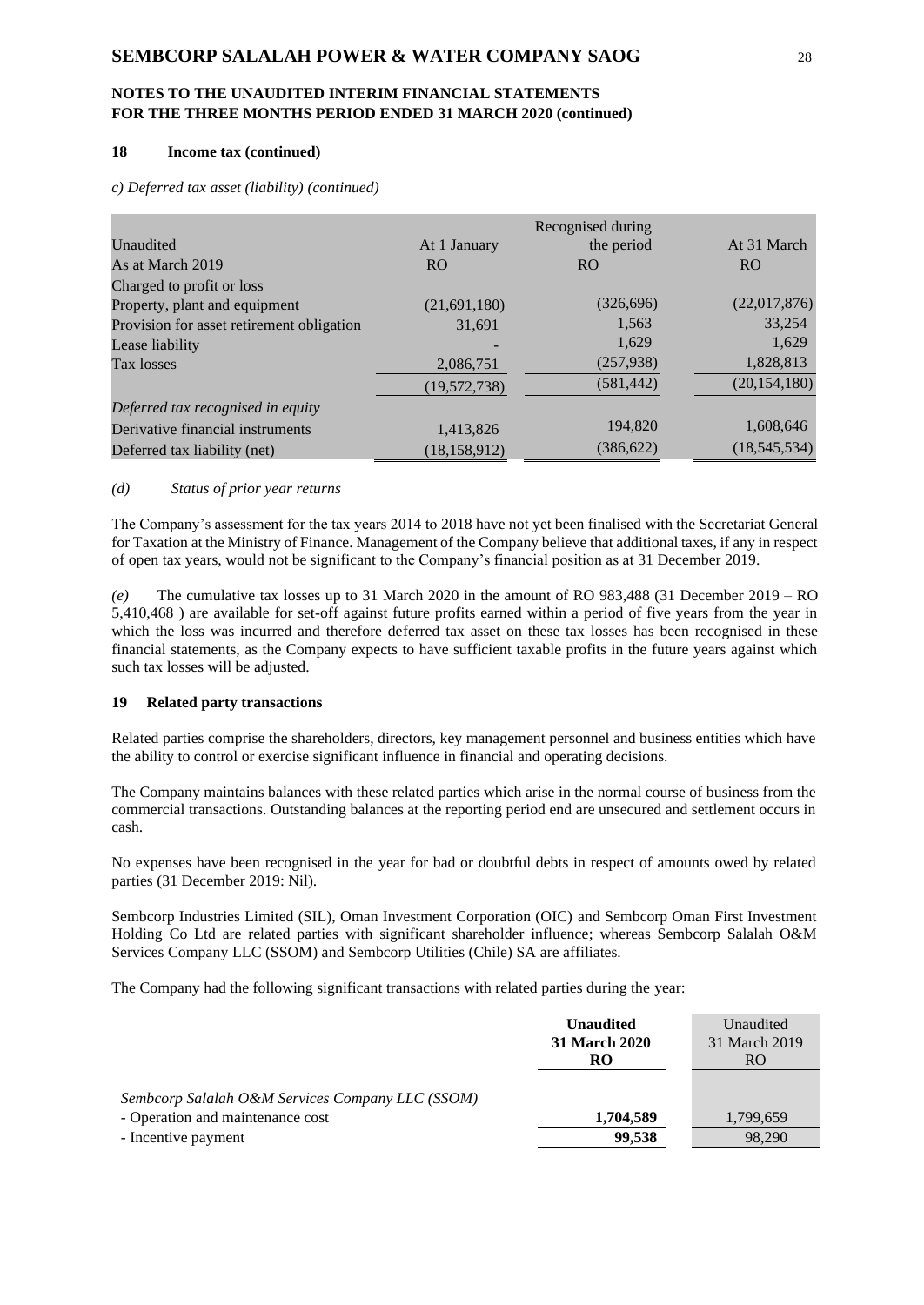# **NOTES TO THE UNAUDITED INTERIM FINANCIAL STATEMENTS FOR THE THREE MONTHS PERIOD ENDED 31 MARCH 2020 (continued)**

#### **18 Income tax (continued)**

*c) Deferred tax asset (liability) (continued)*

|                                           |                | Recognised during |                |
|-------------------------------------------|----------------|-------------------|----------------|
| Unaudited                                 | At 1 January   | the period        | At 31 March    |
| As at March 2019                          | R <sub>O</sub> | <b>RO</b>         | R <sub>O</sub> |
| Charged to profit or loss                 |                |                   |                |
| Property, plant and equipment             | (21,691,180)   | (326,696)         | (22,017,876)   |
| Provision for asset retirement obligation | 31.691         | 1,563             | 33,254         |
| Lease liability                           |                | 1,629             | 1,629          |
| Tax losses                                | 2,086,751      | (257, 938)        | 1,828,813      |
|                                           | (19, 572, 738) | (581, 442)        | (20, 154, 180) |
| Deferred tax recognised in equity         |                |                   |                |
| Derivative financial instruments          | 1,413,826      | 194,820           | 1,608,646      |
| Deferred tax liability (net)              | (18, 158, 912) | (386, 622)        | (18, 545, 534) |

### *(d) Status of prior year returns*

The Company's assessment for the tax years 2014 to 2018 have not yet been finalised with the Secretariat General for Taxation at the Ministry of Finance. Management of the Company believe that additional taxes, if any in respect of open tax years, would not be significant to the Company's financial position as at 31 December 2019.

*(e)* The cumulative tax losses up to 31 March 2020 in the amount of RO 983,488 (31 December 2019 – RO 5,410,468 ) are available for set-off against future profits earned within a period of five years from the year in which the loss was incurred and therefore deferred tax asset on these tax losses has been recognised in these financial statements, as the Company expects to have sufficient taxable profits in the future years against which such tax losses will be adjusted.

### **19 Related party transactions**

Related parties comprise the shareholders, directors, key management personnel and business entities which have the ability to control or exercise significant influence in financial and operating decisions.

The Company maintains balances with these related parties which arise in the normal course of business from the commercial transactions. Outstanding balances at the reporting period end are unsecured and settlement occurs in cash.

No expenses have been recognised in the year for bad or doubtful debts in respect of amounts owed by related parties (31 December 2019: Nil).

Sembcorp Industries Limited (SIL), Oman Investment Corporation (OIC) and Sembcorp Oman First Investment Holding Co Ltd are related parties with significant shareholder influence; whereas Sembcorp Salalah O&M Services Company LLC (SSOM) and Sembcorp Utilities (Chile) SA are affiliates.

The Company had the following significant transactions with related parties during the year:

|                                                                                      | <b>Unaudited</b><br>31 March 2020<br>RO | Unaudited<br>31 March 2019<br>RO. |
|--------------------------------------------------------------------------------------|-----------------------------------------|-----------------------------------|
| Sembcorp Salalah O&M Services Company LLC (SSOM)<br>- Operation and maintenance cost | 1,704,589                               | 1,799,659                         |
| - Incentive payment                                                                  | 99.538                                  | 98,290                            |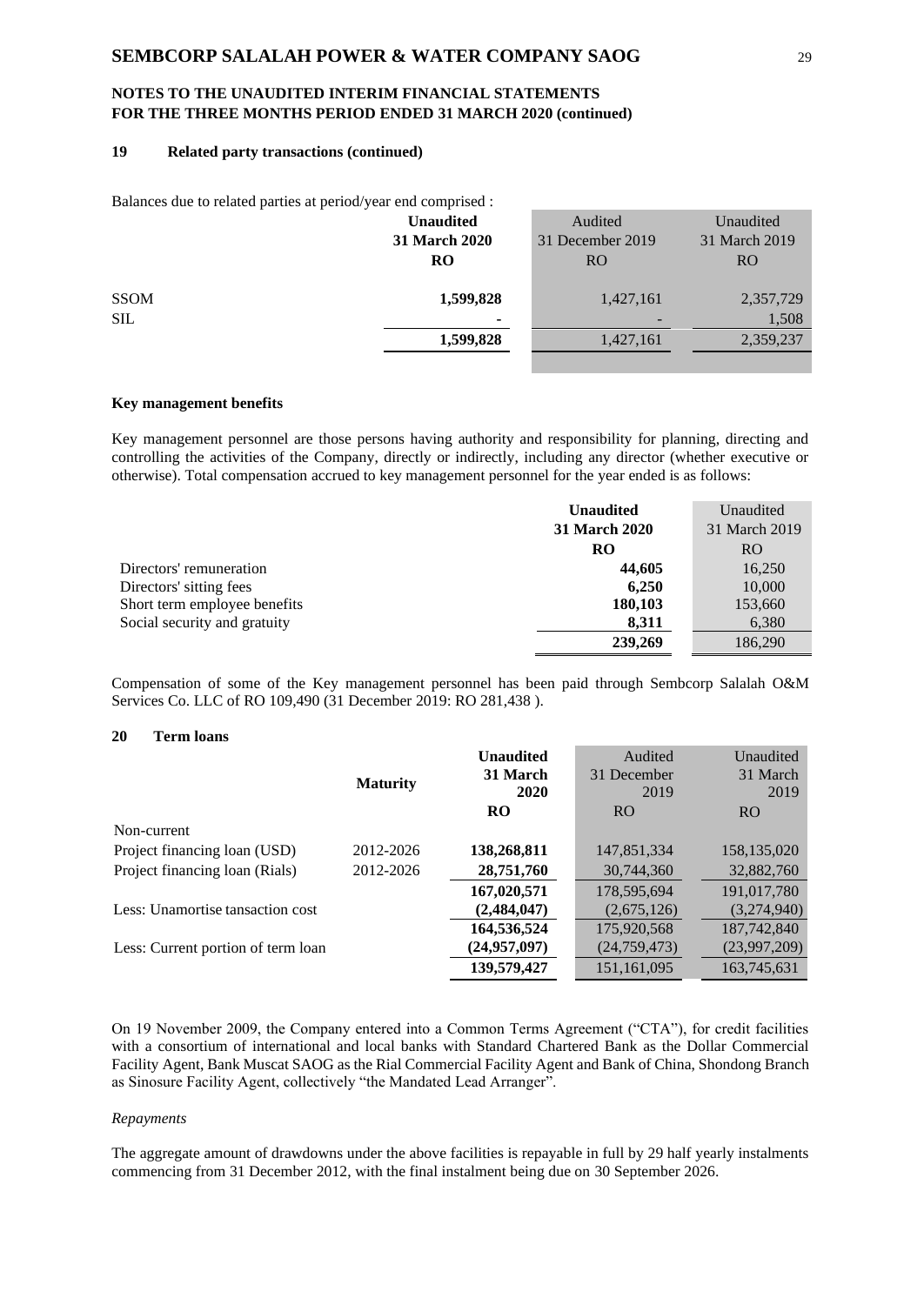### **19 Related party transactions (continued)**

| Balances due to related parties at period/year end comprised : |                      |                  |               |
|----------------------------------------------------------------|----------------------|------------------|---------------|
|                                                                | <b>Unaudited</b>     | Audited          | Unaudited     |
|                                                                | <b>31 March 2020</b> | 31 December 2019 | 31 March 2019 |
|                                                                | <b>RO</b>            | <b>RO</b>        | <b>RO</b>     |
|                                                                |                      |                  |               |
| <b>SSOM</b>                                                    | 1,599,828            | 1,427,161        | 2,357,729     |
| <b>SIL</b>                                                     | ۰                    |                  | 1,508         |
|                                                                | 1,599,828            | 1,427,161        | 2,359,237     |
|                                                                |                      |                  |               |

#### **Key management benefits**

Key management personnel are those persons having authority and responsibility for planning, directing and controlling the activities of the Company, directly or indirectly, including any director (whether executive or otherwise). Total compensation accrued to key management personnel for the year ended is as follows:

|                              | <b>Unaudited</b>     | Unaudited     |
|------------------------------|----------------------|---------------|
|                              | <b>31 March 2020</b> | 31 March 2019 |
|                              | RO                   | RO.           |
| Directors' remuneration      | 44,605               | 16,250        |
| Directors' sitting fees      | 6,250                | 10,000        |
| Short term employee benefits | 180,103              | 153,660       |
| Social security and gratuity | 8,311                | 6,380         |
|                              | 239,269              | 186,290       |

Compensation of some of the Key management personnel has been paid through Sembcorp Salalah O&M Services Co. LLC of RO 109,490 (31 December 2019: RO 281,438 ).

### **20 Term loans**

|                                    |                 | <b>Unaudited</b><br>31 March | Audited<br>31 December | Unaudited<br>31 March |
|------------------------------------|-----------------|------------------------------|------------------------|-----------------------|
|                                    | <b>Maturity</b> | 2020                         | 2019                   | 2019                  |
|                                    |                 | <b>RO</b>                    | <b>RO</b>              | R <sub>O</sub>        |
| Non-current                        |                 |                              |                        |                       |
| Project financing loan (USD)       | 2012-2026       | 138,268,811                  | 147,851,334            | 158, 135, 020         |
| Project financing loan (Rials)     | 2012-2026       | 28,751,760                   | 30,744,360             | 32,882,760            |
|                                    |                 | 167,020,571                  | 178,595,694            | 191,017,780           |
| Less: Unamortise tansaction cost   |                 | (2,484,047)                  | (2,675,126)            | (3,274,940)           |
|                                    |                 | 164,536,524                  | 175,920,568            | 187,742,840           |
| Less: Current portion of term loan |                 | (24, 957, 097)               | (24, 759, 473)         | (23,997,209)          |
|                                    |                 | 139,579,427                  | 151,161,095            | 163,745,631           |

On 19 November 2009, the Company entered into a Common Terms Agreement ("CTA"), for credit facilities with a consortium of international and local banks with Standard Chartered Bank as the Dollar Commercial Facility Agent, Bank Muscat SAOG as the Rial Commercial Facility Agent and Bank of China, Shondong Branch as Sinosure Facility Agent, collectively "the Mandated Lead Arranger".

#### *Repayments*

The aggregate amount of drawdowns under the above facilities is repayable in full by 29 half yearly instalments commencing from 31 December 2012, with the final instalment being due on 30 September 2026.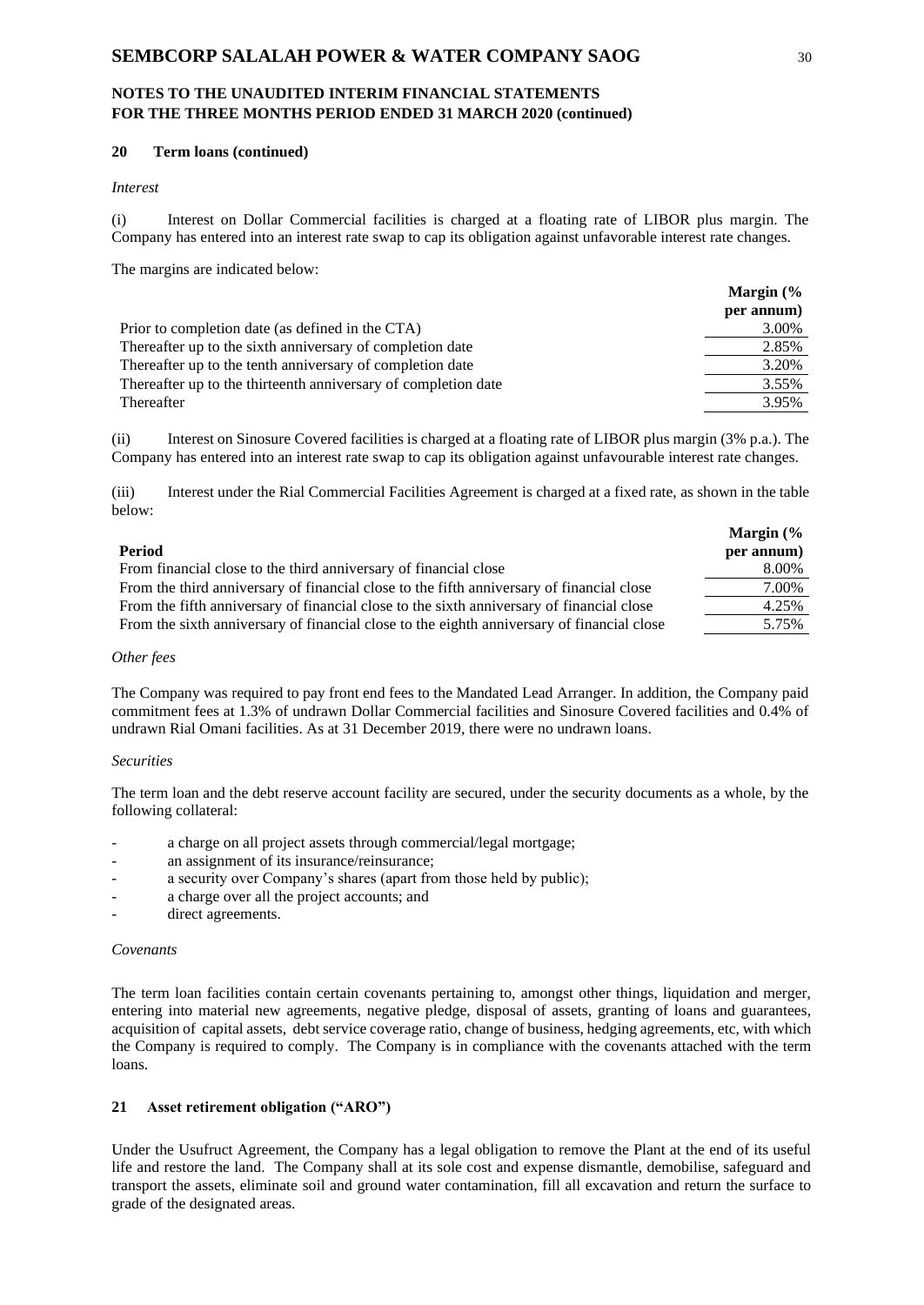#### **20 Term loans (continued)**

*Interest* 

(i) Interest on Dollar Commercial facilities is charged at a floating rate of LIBOR plus margin. The Company has entered into an interest rate swap to cap its obligation against unfavorable interest rate changes.

The margins are indicated below:

|                                                                | Margin $\frac{6}{6}$ |
|----------------------------------------------------------------|----------------------|
|                                                                | per annum)           |
| Prior to completion date (as defined in the CTA)               | 3.00%                |
| Thereafter up to the sixth anniversary of completion date      | 2.85%                |
| Thereafter up to the tenth anniversary of completion date      | 3.20%                |
| Thereafter up to the thirteenth anniversary of completion date | 3.55%                |
| Thereafter                                                     | 3.95%                |

(ii) Interest on Sinosure Covered facilities is charged at a floating rate of LIBOR plus margin (3% p.a.). The Company has entered into an interest rate swap to cap its obligation against unfavourable interest rate changes.

(iii) Interest under the Rial Commercial Facilities Agreement is charged at a fixed rate, as shown in the table below:

|                                                                                            | Margin $%$ |
|--------------------------------------------------------------------------------------------|------------|
| Period                                                                                     | per annum) |
| From financial close to the third anniversary of financial close                           | 8.00%      |
| From the third anniversary of financial close to the fifth anniversary of financial close  | 7.00%      |
| From the fifth anniversary of financial close to the sixth anniversary of financial close  | 4.25%      |
| From the sixth anniversary of financial close to the eighth anniversary of financial close | 5.75%      |

#### *Other fees*

The Company was required to pay front end fees to the Mandated Lead Arranger. In addition, the Company paid commitment fees at 1.3% of undrawn Dollar Commercial facilities and Sinosure Covered facilities and 0.4% of undrawn Rial Omani facilities. As at 31 December 2019, there were no undrawn loans.

#### *Securities*

The term loan and the debt reserve account facility are secured, under the security documents as a whole, by the following collateral:

- a charge on all project assets through commercial/legal mortgage;
- an assignment of its insurance/reinsurance;
- a security over Company's shares (apart from those held by public);
- a charge over all the project accounts; and
- direct agreements.

#### *Covenants*

The term loan facilities contain certain covenants pertaining to, amongst other things, liquidation and merger, entering into material new agreements, negative pledge, disposal of assets, granting of loans and guarantees, acquisition of capital assets, debt service coverage ratio, change of business, hedging agreements, etc, with which the Company is required to comply. The Company is in compliance with the covenants attached with the term loans.

### **21 Asset retirement obligation ("ARO")**

Under the Usufruct Agreement, the Company has a legal obligation to remove the Plant at the end of its useful life and restore the land. The Company shall at its sole cost and expense dismantle, demobilise, safeguard and transport the assets, eliminate soil and ground water contamination, fill all excavation and return the surface to grade of the designated areas.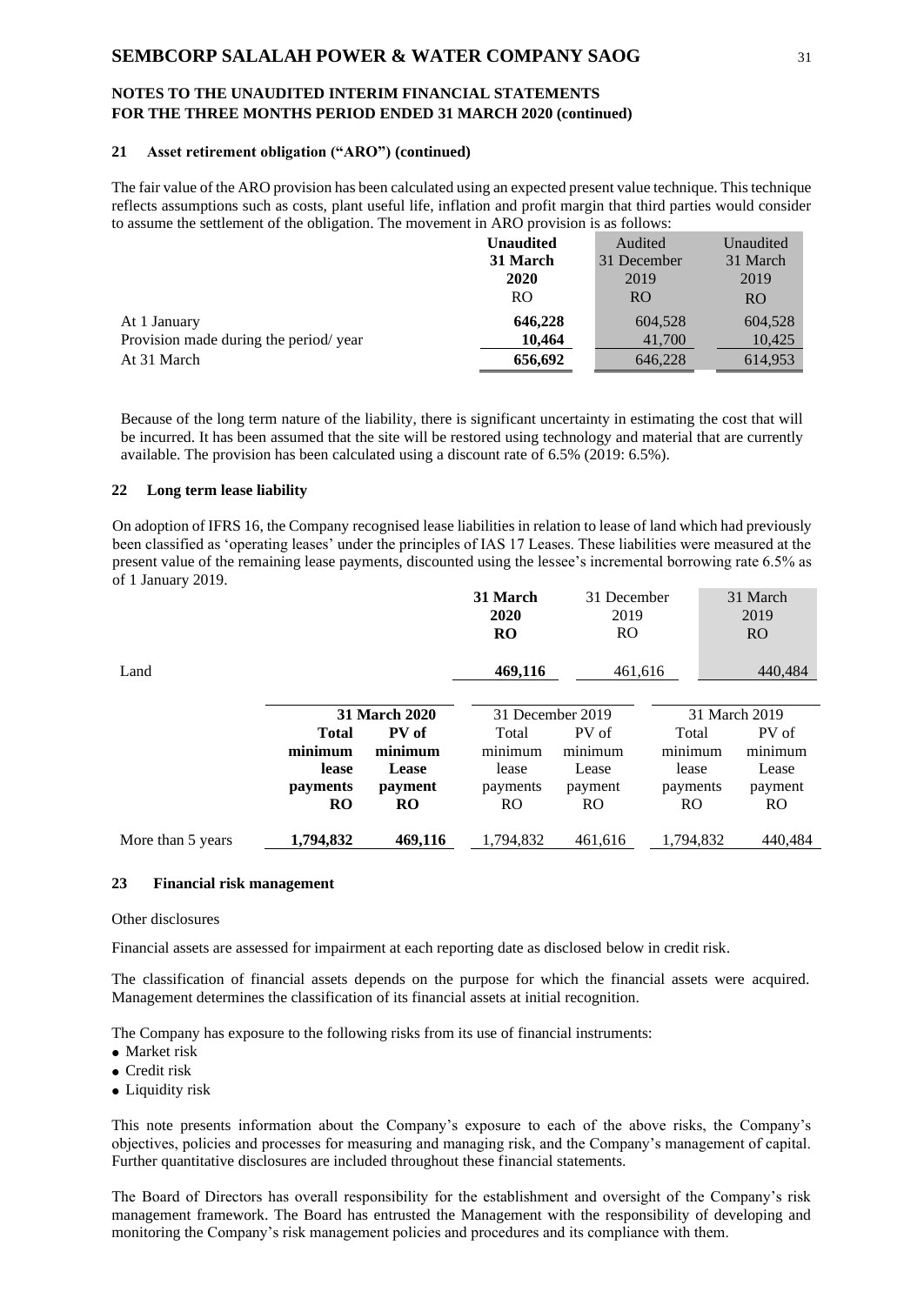#### **21 Asset retirement obligation ("ARO") (continued)**

The fair value of the ARO provision has been calculated using an expected present value technique. This technique reflects assumptions such as costs, plant useful life, inflation and profit margin that third parties would consider to assume the settlement of the obligation. The movement in ARO provision is as follows:

|                                       | <b>Unaudited</b> | Audited     | Unaudited      |
|---------------------------------------|------------------|-------------|----------------|
|                                       | 31 March         | 31 December | 31 March       |
|                                       | 2020             | 2019        | 2019           |
|                                       | R <sub>O</sub>   | RO.         | R <sub>O</sub> |
| At 1 January                          | 646,228          | 604,528     | 604,528        |
| Provision made during the period/year | 10.464           | 41,700      | 10,425         |
| At 31 March                           | 656,692          | 646,228     | 614,953        |

Because of the long term nature of the liability, there is significant uncertainty in estimating the cost that will be incurred. It has been assumed that the site will be restored using technology and material that are currently available. The provision has been calculated using a discount rate of 6.5% (2019: 6.5%).

#### **22 Long term lease liability**

On adoption of IFRS 16, the Company recognised lease liabilities in relation to lease of land which had previously been classified as 'operating leases' under the principles of IAS 17 Leases. These liabilities were measured at the present value of the remaining lease payments, discounted using the lessee's incremental borrowing rate 6.5% as of 1 January 2019.

|                                |                      | 31 March<br>2020<br><b>RO</b> | 31 December<br>2019<br><b>RO</b> |           | 31 March<br>2019<br><b>RO</b> |
|--------------------------------|----------------------|-------------------------------|----------------------------------|-----------|-------------------------------|
| Land                           |                      | 469,116                       | 461.616                          |           | 440.484                       |
|                                | <b>31 March 2020</b> |                               | 31 December 2019                 |           | 31 March 2019                 |
| <b>Total</b>                   | PV of                | Total                         | PV of                            | Total     | PV of                         |
| minimum                        | minimum              | minimum                       | minimum                          | minimum   | minimum                       |
| lease                          | <b>Lease</b>         | lease                         | Lease                            | lease     | Lease                         |
| payments                       | payment              | payments                      | payment                          | payments  | payment                       |
| <b>RO</b>                      | <b>RO</b>            | RO.                           | R <sub>O</sub>                   | RO.       | RO.                           |
| 1,794,832<br>More than 5 years | 469,116              | 1,794,832                     | 461,616                          | 1,794,832 | 440,484                       |

#### **23 Financial risk management**

#### Other disclosures

Financial assets are assessed for impairment at each reporting date as disclosed below in credit risk.

The classification of financial assets depends on the purpose for which the financial assets were acquired. Management determines the classification of its financial assets at initial recognition.

The Company has exposure to the following risks from its use of financial instruments:

- Market risk
- Credit risk
- Liquidity risk

This note presents information about the Company's exposure to each of the above risks, the Company's objectives, policies and processes for measuring and managing risk, and the Company's management of capital. Further quantitative disclosures are included throughout these financial statements.

The Board of Directors has overall responsibility for the establishment and oversight of the Company's risk management framework. The Board has entrusted the Management with the responsibility of developing and monitoring the Company's risk management policies and procedures and its compliance with them.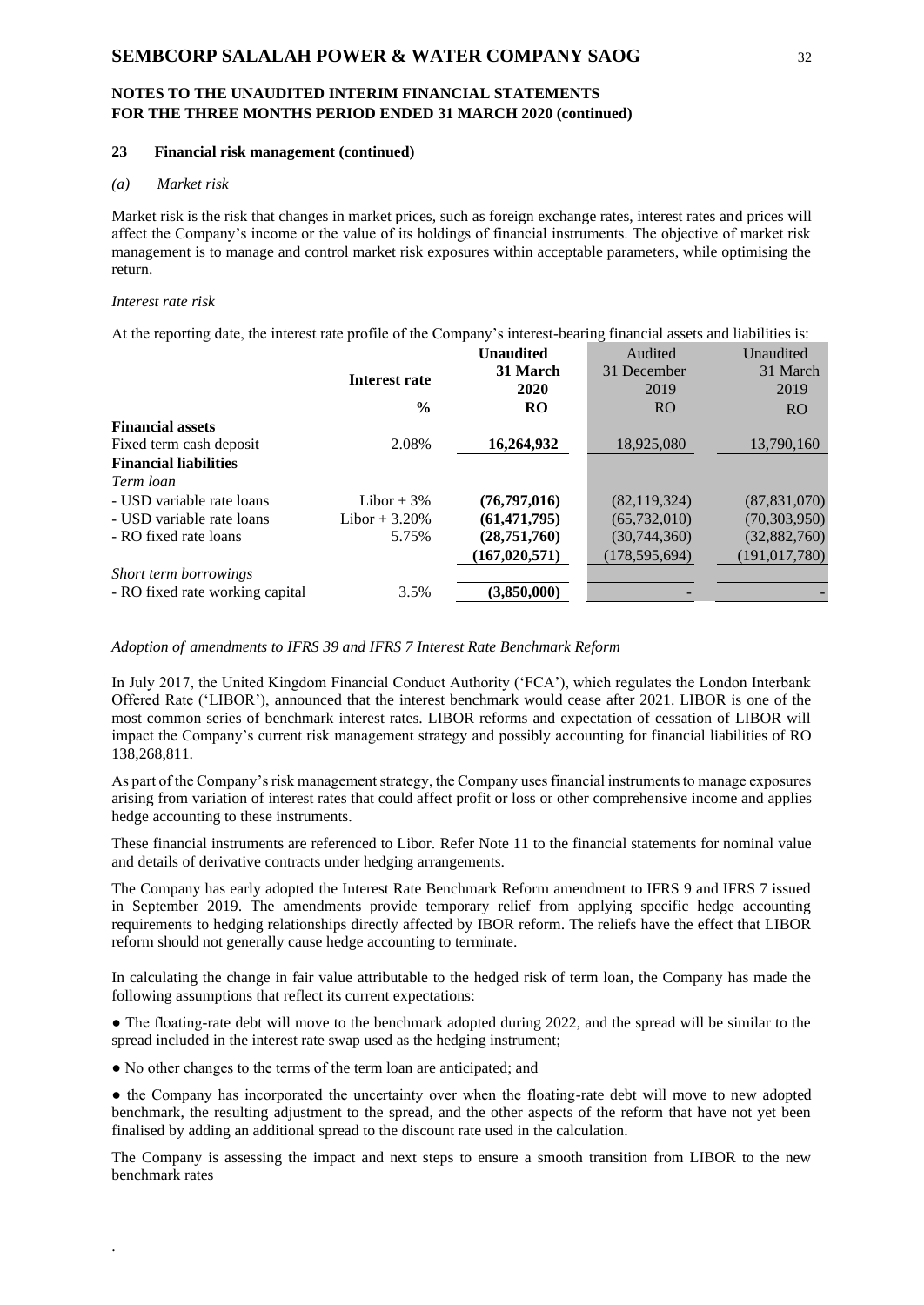#### **23 Financial risk management (continued)**

### *(a) Market risk*

Market risk is the risk that changes in market prices, such as foreign exchange rates, interest rates and prices will affect the Company's income or the value of its holdings of financial instruments. The objective of market risk management is to manage and control market risk exposures within acceptable parameters, while optimising the return.

### *Interest rate risk*

.

At the reporting date, the interest rate profile of the Company's interest-bearing financial assets and liabilities is:

|                                 |                 | <b>Unaudited</b> | Audited         | Unaudited       |
|---------------------------------|-----------------|------------------|-----------------|-----------------|
|                                 | Interest rate   | 31 March         | 31 December     | 31 March        |
|                                 |                 | 2020             | 2019            | 2019            |
|                                 | $\frac{6}{9}$   | <b>RO</b>        | <b>RO</b>       | <b>RO</b>       |
| <b>Financial assets</b>         |                 |                  |                 |                 |
| Fixed term cash deposit         | 2.08%           | 16,264,932       | 18,925,080      | 13,790,160      |
| <b>Financial liabilities</b>    |                 |                  |                 |                 |
| Term loan                       |                 |                  |                 |                 |
| - USD variable rate loans       | Libor $+3\%$    | (76, 797, 016)   | (82, 119, 324)  | (87, 831, 070)  |
| - USD variable rate loans       | Libor + $3.20%$ | (61, 471, 795)   | (65, 732, 010)  | (70, 303, 950)  |
| - RO fixed rate loans           | 5.75%           | (28, 751, 760)   | (30,744,360)    | (32, 882, 760)  |
|                                 |                 | (167, 020, 571)  | (178, 595, 694) | (191, 017, 780) |
| Short term borrowings           |                 |                  |                 |                 |
| - RO fixed rate working capital | 3.5%            | (3.850.000)      |                 |                 |
|                                 |                 |                  |                 |                 |

*Adoption of amendments to IFRS 39 and IFRS 7 Interest Rate Benchmark Reform*

In July 2017, the United Kingdom Financial Conduct Authority ('FCA'), which regulates the London Interbank Offered Rate ('LIBOR'), announced that the interest benchmark would cease after 2021. LIBOR is one of the most common series of benchmark interest rates. LIBOR reforms and expectation of cessation of LIBOR will impact the Company's current risk management strategy and possibly accounting for financial liabilities of RO 138,268,811.

As part of the Company's risk management strategy, the Company uses financial instruments to manage exposures arising from variation of interest rates that could affect profit or loss or other comprehensive income and applies hedge accounting to these instruments.

These financial instruments are referenced to Libor. Refer Note 11 to the financial statements for nominal value and details of derivative contracts under hedging arrangements.

The Company has early adopted the Interest Rate Benchmark Reform amendment to IFRS 9 and IFRS 7 issued in September 2019. The amendments provide temporary relief from applying specific hedge accounting requirements to hedging relationships directly affected by IBOR reform. The reliefs have the effect that LIBOR reform should not generally cause hedge accounting to terminate.

In calculating the change in fair value attributable to the hedged risk of term loan, the Company has made the following assumptions that reflect its current expectations:

• The floating-rate debt will move to the benchmark adopted during 2022, and the spread will be similar to the spread included in the interest rate swap used as the hedging instrument;

● No other changes to the terms of the term loan are anticipated; and

• the Company has incorporated the uncertainty over when the floating-rate debt will move to new adopted benchmark, the resulting adjustment to the spread, and the other aspects of the reform that have not yet been finalised by adding an additional spread to the discount rate used in the calculation.

The Company is assessing the impact and next steps to ensure a smooth transition from LIBOR to the new benchmark rates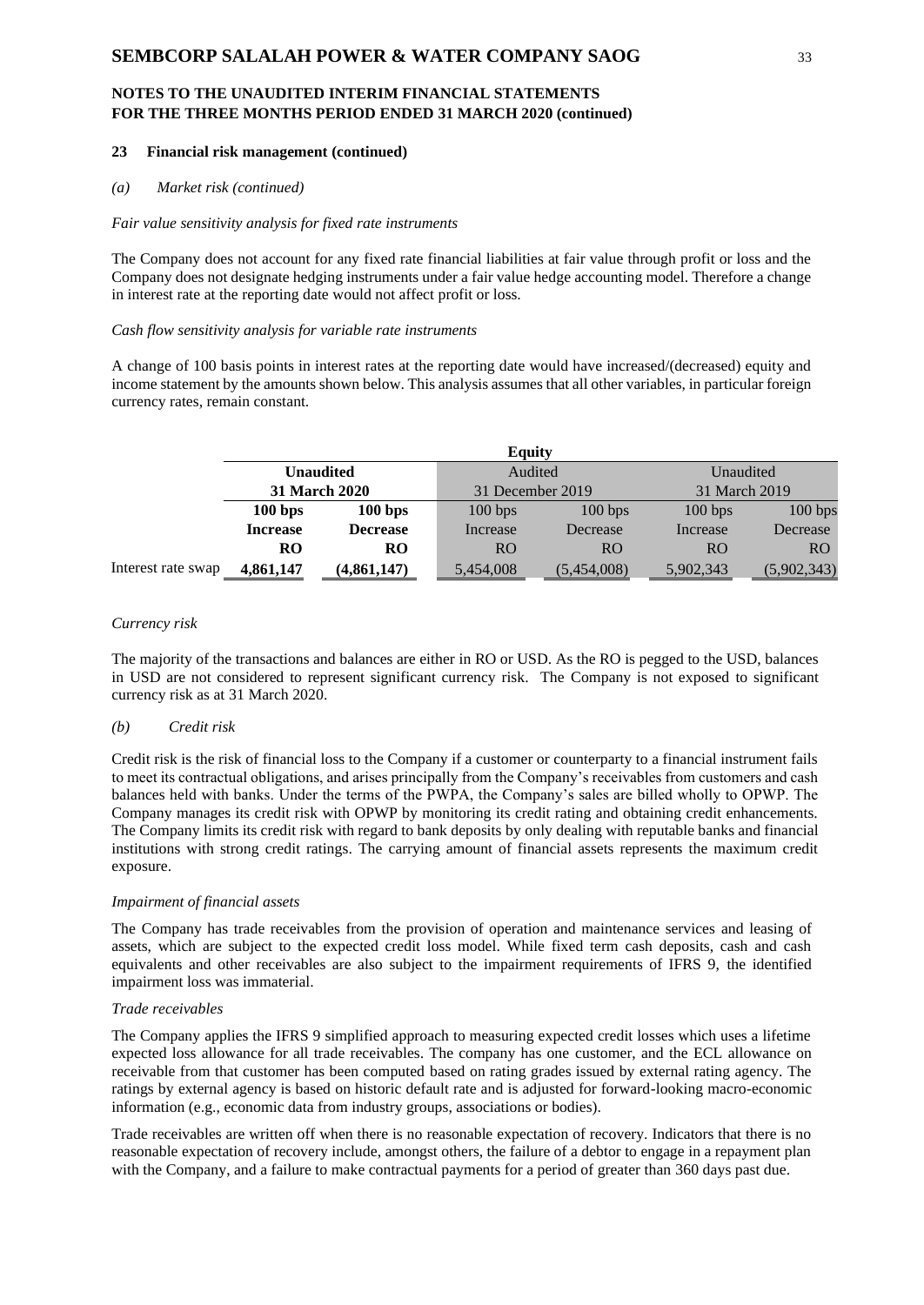#### **23 Financial risk management (continued)**

#### *(a) Market risk (continued)*

#### *Fair value sensitivity analysis for fixed rate instruments*

The Company does not account for any fixed rate financial liabilities at fair value through profit or loss and the Company does not designate hedging instruments under a fair value hedge accounting model. Therefore a change in interest rate at the reporting date would not affect profit or loss.

### *Cash flow sensitivity analysis for variable rate instruments*

A change of 100 basis points in interest rates at the reporting date would have increased/(decreased) equity and income statement by the amounts shown below. This analysis assumes that all other variables, in particular foreign currency rates, remain constant.

|                    | <b>Equity</b>                            |                 |                  |             |               |             |  |
|--------------------|------------------------------------------|-----------------|------------------|-------------|---------------|-------------|--|
|                    | <b>Unaudited</b><br><b>31 March 2020</b> |                 | Audited          |             | Unaudited     |             |  |
|                    |                                          |                 | 31 December 2019 |             | 31 March 2019 |             |  |
|                    | 100 bps                                  | 100 bps         | 100 bps          | 100 bps     | 100 bps       | 100 bps     |  |
|                    | <b>Increase</b>                          | <b>Decrease</b> | Increase         | Decrease    | Increase      | Decrease    |  |
|                    | <b>RO</b>                                | RO              | R <sub>O</sub>   | RO          | RO            | RO.         |  |
| Interest rate swap | 4,861,147                                | (4,861,147)     | 5,454,008        | (5,454,008) | 5,902,343     | (5,902,343) |  |

#### *Currency risk*

The majority of the transactions and balances are either in RO or USD. As the RO is pegged to the USD, balances in USD are not considered to represent significant currency risk. The Company is not exposed to significant currency risk as at 31 March 2020.

#### *(b) Credit risk*

Credit risk is the risk of financial loss to the Company if a customer or counterparty to a financial instrument fails to meet its contractual obligations, and arises principally from the Company's receivables from customers and cash balances held with banks. Under the terms of the PWPA, the Company's sales are billed wholly to OPWP. The Company manages its credit risk with OPWP by monitoring its credit rating and obtaining credit enhancements. The Company limits its credit risk with regard to bank deposits by only dealing with reputable banks and financial institutions with strong credit ratings. The carrying amount of financial assets represents the maximum credit exposure.

#### *Impairment of financial assets*

The Company has trade receivables from the provision of operation and maintenance services and leasing of assets, which are subject to the expected credit loss model. While fixed term cash deposits, cash and cash equivalents and other receivables are also subject to the impairment requirements of IFRS 9, the identified impairment loss was immaterial.

### *Trade receivables*

The Company applies the IFRS 9 simplified approach to measuring expected credit losses which uses a lifetime expected loss allowance for all trade receivables. The company has one customer, and the ECL allowance on receivable from that customer has been computed based on rating grades issued by external rating agency. The ratings by external agency is based on historic default rate and is adjusted for forward-looking macro-economic information (e.g., economic data from industry groups, associations or bodies).

Trade receivables are written off when there is no reasonable expectation of recovery. Indicators that there is no reasonable expectation of recovery include, amongst others, the failure of a debtor to engage in a repayment plan with the Company, and a failure to make contractual payments for a period of greater than 360 days past due.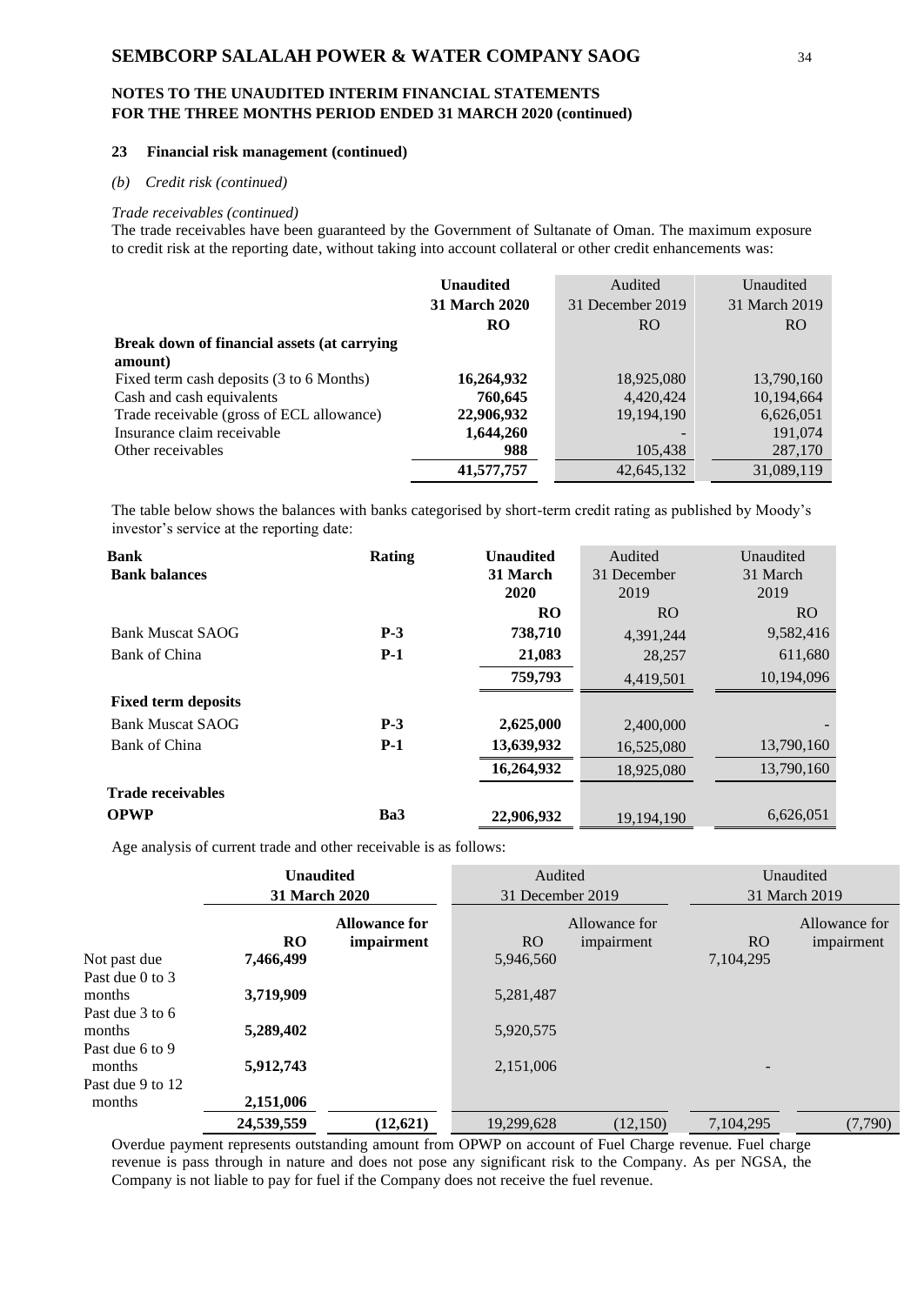# **NOTES TO THE UNAUDITED INTERIM FINANCIAL STATEMENTS FOR THE THREE MONTHS PERIOD ENDED 31 MARCH 2020 (continued)**

#### **23 Financial risk management (continued)**

### *(b) Credit risk (continued)*

#### *Trade receivables (continued)*

The trade receivables have been guaranteed by the Government of Sultanate of Oman. The maximum exposure to credit risk at the reporting date, without taking into account collateral or other credit enhancements was:

|                                             | <b>Unaudited</b>     | Audited          | Unaudited      |
|---------------------------------------------|----------------------|------------------|----------------|
|                                             | <b>31 March 2020</b> | 31 December 2019 | 31 March 2019  |
|                                             | <b>RO</b>            | R <sub>O</sub>   | R <sub>O</sub> |
| Break down of financial assets (at carrying |                      |                  |                |
| amount)                                     |                      |                  |                |
| Fixed term cash deposits (3 to 6 Months)    | 16,264,932           | 18,925,080       | 13,790,160     |
| Cash and cash equivalents                   | 760,645              | 4,420,424        | 10,194,664     |
| Trade receivable (gross of ECL allowance)   | 22,906,932           | 19, 194, 190     | 6,626,051      |
| Insurance claim receivable                  | 1,644,260            |                  | 191,074        |
| Other receivables                           | 988                  | 105,438          | 287,170        |
|                                             | 41,577,757           | 42,645,132       | 31,089,119     |

The table below shows the balances with banks categorised by short-term credit rating as published by Moody's investor's service at the reporting date:

| <b>Bank</b>                | Rating | <b>Unaudited</b> | Audited     | Unaudited  |
|----------------------------|--------|------------------|-------------|------------|
| <b>Bank balances</b>       |        | 31 March         | 31 December | 31 March   |
|                            |        | 2020             | 2019        | 2019       |
|                            |        | <b>RO</b>        | <b>RO</b>   | RO.        |
| <b>Bank Muscat SAOG</b>    | $P-3$  | 738,710          | 4,391,244   | 9,582,416  |
| Bank of China              | $P-1$  | 21,083           | 28,257      | 611,680    |
|                            |        | 759,793          | 4,419,501   | 10.194.096 |
| <b>Fixed term deposits</b> |        |                  |             |            |
| <b>Bank Muscat SAOG</b>    | $P-3$  | 2,625,000        | 2,400,000   |            |
| Bank of China              | $P-1$  | 13,639,932       | 16,525,080  | 13,790,160 |
|                            |        | 16,264,932       | 18,925,080  | 13,790,160 |
| <b>Trade receivables</b>   |        |                  |             |            |
| <b>OPWP</b>                | Ba3    | 22,906,932       | 19.194.190  | 6,626,051  |

Age analysis of current trade and other receivable is as follows:

|                                                        | <b>Unaudited</b><br>31 March 2020 |                                    | Audited<br>31 December 2019 |                             | Unaudited<br>31 March 2019 |                             |
|--------------------------------------------------------|-----------------------------------|------------------------------------|-----------------------------|-----------------------------|----------------------------|-----------------------------|
|                                                        | <b>RO</b>                         | <b>Allowance for</b><br>impairment | RO.                         | Allowance for<br>impairment | RO.                        | Allowance for<br>impairment |
| Not past due                                           | 7,466,499                         |                                    | 5,946,560                   |                             | 7,104,295                  |                             |
| Past due 0 to 3<br>months<br>Past due 3 to 6<br>months | 3,719,909<br>5,289,402            |                                    | 5,281,487<br>5,920,575      |                             |                            |                             |
| Past due 6 to 9<br>months                              | 5,912,743                         |                                    | 2,151,006                   |                             |                            |                             |
| Past due 9 to 12<br>months                             | 2,151,006                         |                                    |                             |                             |                            |                             |
|                                                        | 24,539,559                        | (12,621)                           | 19,299,628                  | (12, 150)                   | 7.104.295                  | (7,790)                     |

Overdue payment represents outstanding amount from OPWP on account of Fuel Charge revenue. Fuel charge revenue is pass through in nature and does not pose any significant risk to the Company. As per NGSA, the Company is not liable to pay for fuel if the Company does not receive the fuel revenue.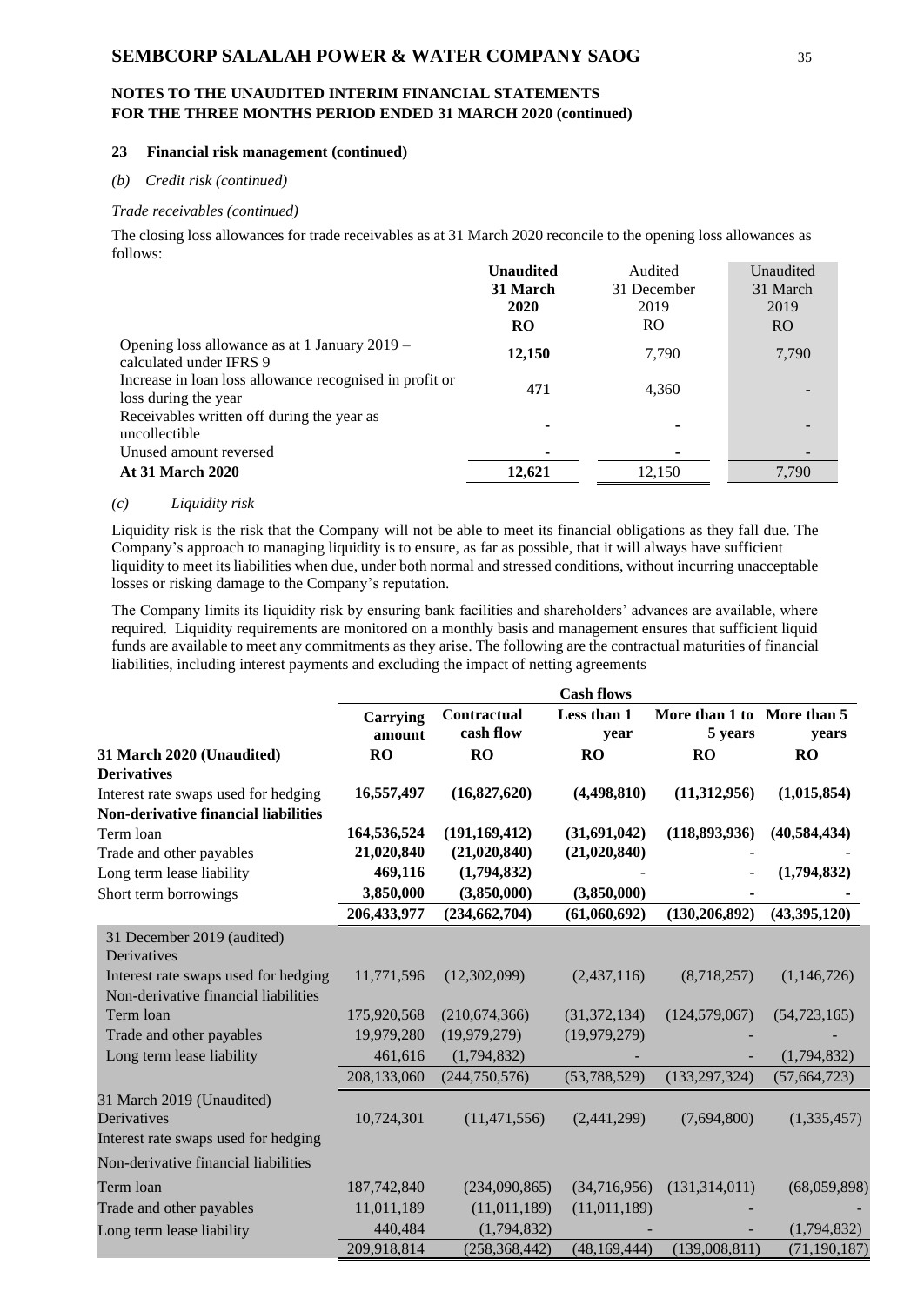# **NOTES TO THE UNAUDITED INTERIM FINANCIAL STATEMENTS FOR THE THREE MONTHS PERIOD ENDED 31 MARCH 2020 (continued)**

#### **23 Financial risk management (continued)**

#### *(b) Credit risk (continued)*

### *Trade receivables (continued)*

The closing loss allowances for trade receivables as at 31 March 2020 reconcile to the opening loss allowances as follows:

|                                                                                 | <b>Unaudited</b> | Audited        | Unaudited      |
|---------------------------------------------------------------------------------|------------------|----------------|----------------|
|                                                                                 | 31 March         | 31 December    | 31 March       |
|                                                                                 | 2020             | 2019           | 2019           |
|                                                                                 | RO               | R <sub>O</sub> | R <sub>O</sub> |
| Opening loss allowance as at 1 January 2019 –<br>calculated under IFRS 9        | 12,150           | 7,790          | 7,790          |
| Increase in loan loss allowance recognised in profit or<br>loss during the year | 471              | 4,360          |                |
| Receivables written off during the year as<br>uncollectible                     |                  | ٠              |                |
| Unused amount reversed                                                          |                  | ٠              |                |
| <b>At 31 March 2020</b>                                                         | 12,621           | 12,150         | 7,790          |

#### *(c) Liquidity risk*

Liquidity risk is the risk that the Company will not be able to meet its financial obligations as they fall due. The Company's approach to managing liquidity is to ensure, as far as possible, that it will always have sufficient liquidity to meet its liabilities when due, under both normal and stressed conditions, without incurring unacceptable losses or risking damage to the Company's reputation.

The Company limits its liquidity risk by ensuring bank facilities and shareholders' advances are available, where required. Liquidity requirements are monitored on a monthly basis and management ensures that sufficient liquid funds are available to meet any commitments as they arise. The following are the contractual maturities of financial liabilities, including interest payments and excluding the impact of netting agreements

|                                                                              |                    |                          | <b>Cash flows</b>   |                                       |                |
|------------------------------------------------------------------------------|--------------------|--------------------------|---------------------|---------------------------------------|----------------|
|                                                                              | Carrying<br>amount | Contractual<br>cash flow | Less than 1<br>year | More than 1 to More than 5<br>5 years | years          |
| 31 March 2020 (Unaudited)                                                    | <b>RO</b>          | <b>RO</b>                | <b>RO</b>           | <b>RO</b>                             | <b>RO</b>      |
| <b>Derivatives</b>                                                           |                    |                          |                     |                                       |                |
| Interest rate swaps used for hedging                                         | 16,557,497         | (16,827,620)             | (4,498,810)         | (11,312,956)                          | (1,015,854)    |
| <b>Non-derivative financial liabilities</b>                                  |                    |                          |                     |                                       |                |
| Term loan                                                                    | 164,536,524        | (191, 169, 412)          | (31,691,042)        | (118, 893, 936)                       | (40, 584, 434) |
| Trade and other payables                                                     | 21,020,840         | (21,020,840)             | (21,020,840)        |                                       |                |
| Long term lease liability                                                    | 469,116            | (1,794,832)              |                     |                                       | (1,794,832)    |
| Short term borrowings                                                        | 3,850,000          | (3,850,000)              | (3,850,000)         |                                       |                |
|                                                                              | 206,433,977        | (234, 662, 704)          | (61,060,692)        | (130, 206, 892)                       | (43,395,120)   |
| 31 December 2019 (audited)<br>Derivatives                                    |                    |                          |                     |                                       |                |
| Interest rate swaps used for hedging<br>Non-derivative financial liabilities | 11,771,596         | (12,302,099)             | (2,437,116)         | (8,718,257)                           | (1,146,726)    |
|                                                                              |                    |                          |                     |                                       |                |
| Term loan                                                                    | 175,920,568        | (210, 674, 366)          | (31, 372, 134)      | (124, 579, 067)                       | (54, 723, 165) |
| Trade and other payables                                                     | 19,979,280         | (19,979,279)             | (19,979,279)        |                                       |                |
| Long term lease liability                                                    | 461,616            | (1,794,832)              |                     |                                       | (1,794,832)    |
|                                                                              | 208,133,060        | (244,750,576)            | (53,788,529)        | (133, 297, 324)                       | (57, 664, 723) |
| 31 March 2019 (Unaudited)                                                    |                    |                          |                     |                                       |                |
| Derivatives                                                                  | 10,724,301         | (11, 471, 556)           | (2,441,299)         | (7,694,800)                           | (1,335,457)    |
| Interest rate swaps used for hedging                                         |                    |                          |                     |                                       |                |
| Non-derivative financial liabilities                                         |                    |                          |                     |                                       |                |
| Term loan                                                                    | 187,742,840        | (234,090,865)            | (34,716,956)        | (131, 314, 011)                       | (68,059,898)   |
| Trade and other payables                                                     | 11,011,189         | (11,011,189)             | (11, 011, 189)      |                                       |                |
| Long term lease liability                                                    | 440,484            | (1,794,832)              |                     |                                       | (1,794,832)    |
|                                                                              | 209,918,814        | (258, 368, 442)          | (48, 169, 444)      | (139,008,811)                         | (71, 190, 187) |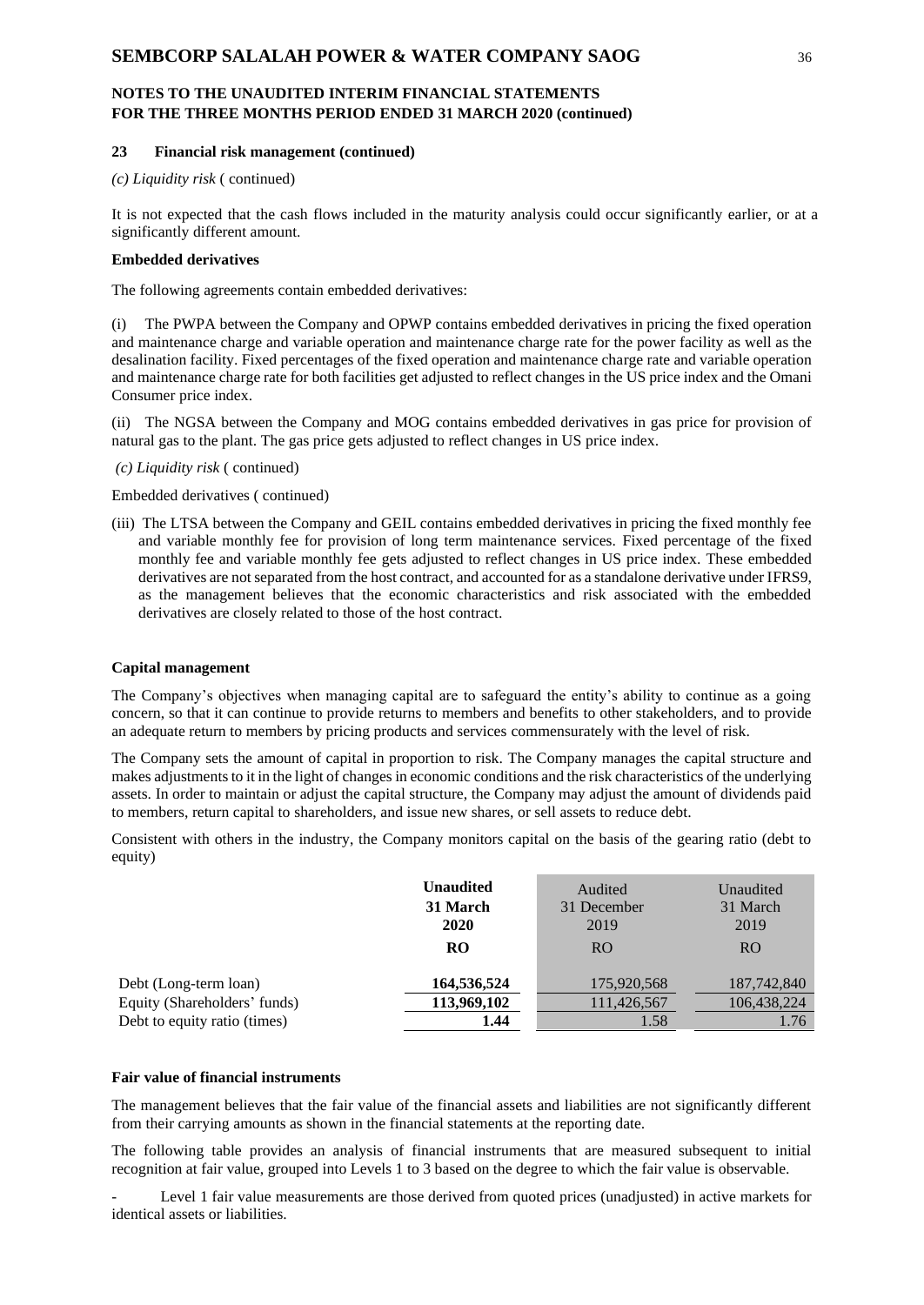#### **23 Financial risk management (continued)**

*(c) Liquidity risk* ( continued)

It is not expected that the cash flows included in the maturity analysis could occur significantly earlier, or at a significantly different amount.

#### **Embedded derivatives**

The following agreements contain embedded derivatives:

(i) The PWPA between the Company and OPWP contains embedded derivatives in pricing the fixed operation and maintenance charge and variable operation and maintenance charge rate for the power facility as well as the desalination facility. Fixed percentages of the fixed operation and maintenance charge rate and variable operation and maintenance charge rate for both facilities get adjusted to reflect changes in the US price index and the Omani Consumer price index.

(ii) The NGSA between the Company and MOG contains embedded derivatives in gas price for provision of natural gas to the plant. The gas price gets adjusted to reflect changes in US price index.

*(c) Liquidity risk* ( continued)

Embedded derivatives ( continued)

(iii) The LTSA between the Company and GEIL contains embedded derivatives in pricing the fixed monthly fee and variable monthly fee for provision of long term maintenance services. Fixed percentage of the fixed monthly fee and variable monthly fee gets adjusted to reflect changes in US price index. These embedded derivatives are not separated from the host contract, and accounted for as a standalone derivative under IFRS9, as the management believes that the economic characteristics and risk associated with the embedded derivatives are closely related to those of the host contract.

#### **Capital management**

The Company's objectives when managing capital are to safeguard the entity's ability to continue as a going concern, so that it can continue to provide returns to members and benefits to other stakeholders, and to provide an adequate return to members by pricing products and services commensurately with the level of risk.

The Company sets the amount of capital in proportion to risk. The Company manages the capital structure and makes adjustments to it in the light of changes in economic conditions and the risk characteristics of the underlying assets. In order to maintain or adjust the capital structure, the Company may adjust the amount of dividends paid to members, return capital to shareholders, and issue new shares, or sell assets to reduce debt.

Consistent with others in the industry, the Company monitors capital on the basis of the gearing ratio (debt to equity)

|                              | <b>Unaudited</b> | Audited        | Unaudited      |
|------------------------------|------------------|----------------|----------------|
|                              | 31 March         | 31 December    | 31 March       |
|                              | 2020             | 2019           | 2019           |
|                              | RO               | R <sub>O</sub> | R <sub>O</sub> |
| Debt (Long-term loan)        | 164,536,524      | 175,920,568    | 187,742,840    |
| Equity (Shareholders' funds) | 113,969,102      | 111,426,567    | 106,438,224    |
| Debt to equity ratio (times) | 1.44             | 1.58           | 1.76           |

#### **Fair value of financial instruments**

The management believes that the fair value of the financial assets and liabilities are not significantly different from their carrying amounts as shown in the financial statements at the reporting date.

The following table provides an analysis of financial instruments that are measured subsequent to initial recognition at fair value, grouped into Levels 1 to 3 based on the degree to which the fair value is observable.

Level 1 fair value measurements are those derived from quoted prices (unadjusted) in active markets for identical assets or liabilities.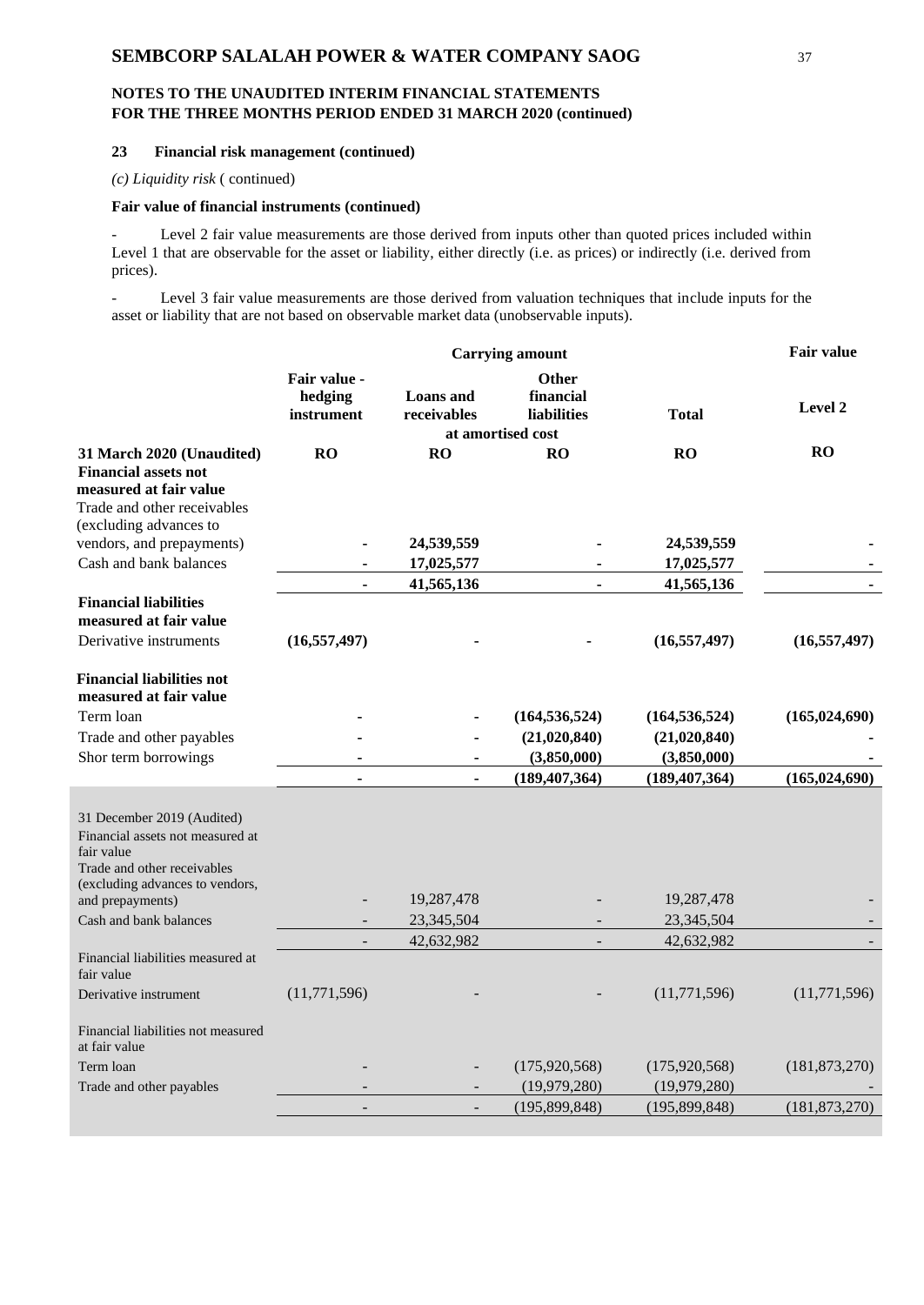# **NOTES TO THE UNAUDITED INTERIM FINANCIAL STATEMENTS FOR THE THREE MONTHS PERIOD ENDED 31 MARCH 2020 (continued)**

### **23 Financial risk management (continued)**

*(c) Liquidity risk* ( continued)

### **Fair value of financial instruments (continued)**

Level 2 fair value measurements are those derived from inputs other than quoted prices included within Level 1 that are observable for the asset or liability, either directly (i.e. as prices) or indirectly (i.e. derived from prices).

- Level 3 fair value measurements are those derived from valuation techniques that include inputs for the asset or liability that are not based on observable market data (unobservable inputs).

|                                                                                                                                                |                                       | <b>Fair value</b>        |                                                                      |                 |                 |
|------------------------------------------------------------------------------------------------------------------------------------------------|---------------------------------------|--------------------------|----------------------------------------------------------------------|-----------------|-----------------|
|                                                                                                                                                | Fair value -<br>hedging<br>instrument | Loans and<br>receivables | <b>Other</b><br>financial<br><b>liabilities</b><br>at amortised cost | <b>Total</b>    | Level 2         |
| 31 March 2020 (Unaudited)                                                                                                                      | RO                                    | RO                       | RO                                                                   | <b>RO</b>       | <b>RO</b>       |
| <b>Financial assets not</b><br>measured at fair value<br>Trade and other receivables<br>(excluding advances to                                 |                                       |                          |                                                                      |                 |                 |
| vendors, and prepayments)                                                                                                                      |                                       | 24,539,559               |                                                                      | 24,539,559      |                 |
| Cash and bank balances                                                                                                                         |                                       | 17,025,577               |                                                                      | 17,025,577      |                 |
|                                                                                                                                                |                                       | 41,565,136               | $\blacksquare$                                                       | 41,565,136      |                 |
| <b>Financial liabilities</b><br>measured at fair value<br>Derivative instruments                                                               | (16, 557, 497)                        |                          |                                                                      | (16, 557, 497)  | (16, 557, 497)  |
| <b>Financial liabilities not</b><br>measured at fair value                                                                                     |                                       |                          |                                                                      |                 |                 |
| Term loan                                                                                                                                      |                                       |                          | (164, 536, 524)                                                      | (164, 536, 524) | (165, 024, 690) |
| Trade and other payables                                                                                                                       |                                       |                          | (21,020,840)                                                         | (21,020,840)    |                 |
| Shor term borrowings                                                                                                                           |                                       |                          | (3,850,000)                                                          | (3,850,000)     |                 |
|                                                                                                                                                | ä,                                    |                          | (189, 407, 364)                                                      | (189, 407, 364) | (165, 024, 690) |
| 31 December 2019 (Audited)<br>Financial assets not measured at<br>fair value<br>Trade and other receivables<br>(excluding advances to vendors, |                                       |                          |                                                                      |                 |                 |
| and prepayments)                                                                                                                               |                                       | 19,287,478               |                                                                      | 19,287,478      |                 |
| Cash and bank balances                                                                                                                         |                                       | 23,345,504               |                                                                      | 23,345,504      |                 |
| Financial liabilities measured at<br>fair value                                                                                                | $\overline{\phantom{a}}$              | 42,632,982               | $\blacksquare$                                                       | 42,632,982      |                 |
| Derivative instrument                                                                                                                          | (11,771,596)                          |                          |                                                                      | (11,771,596)    | (11,771,596)    |
| Financial liabilities not measured<br>at fair value                                                                                            |                                       |                          |                                                                      |                 |                 |
| Term loan                                                                                                                                      |                                       |                          | (175, 920, 568)                                                      | (175, 920, 568) | (181, 873, 270) |
| Trade and other payables                                                                                                                       |                                       |                          | (19,979,280)                                                         | (19,979,280)    |                 |
|                                                                                                                                                | $\sim$                                | $\overline{\phantom{a}}$ | (195, 899, 848)                                                      | (195, 899, 848) | (181, 873, 270) |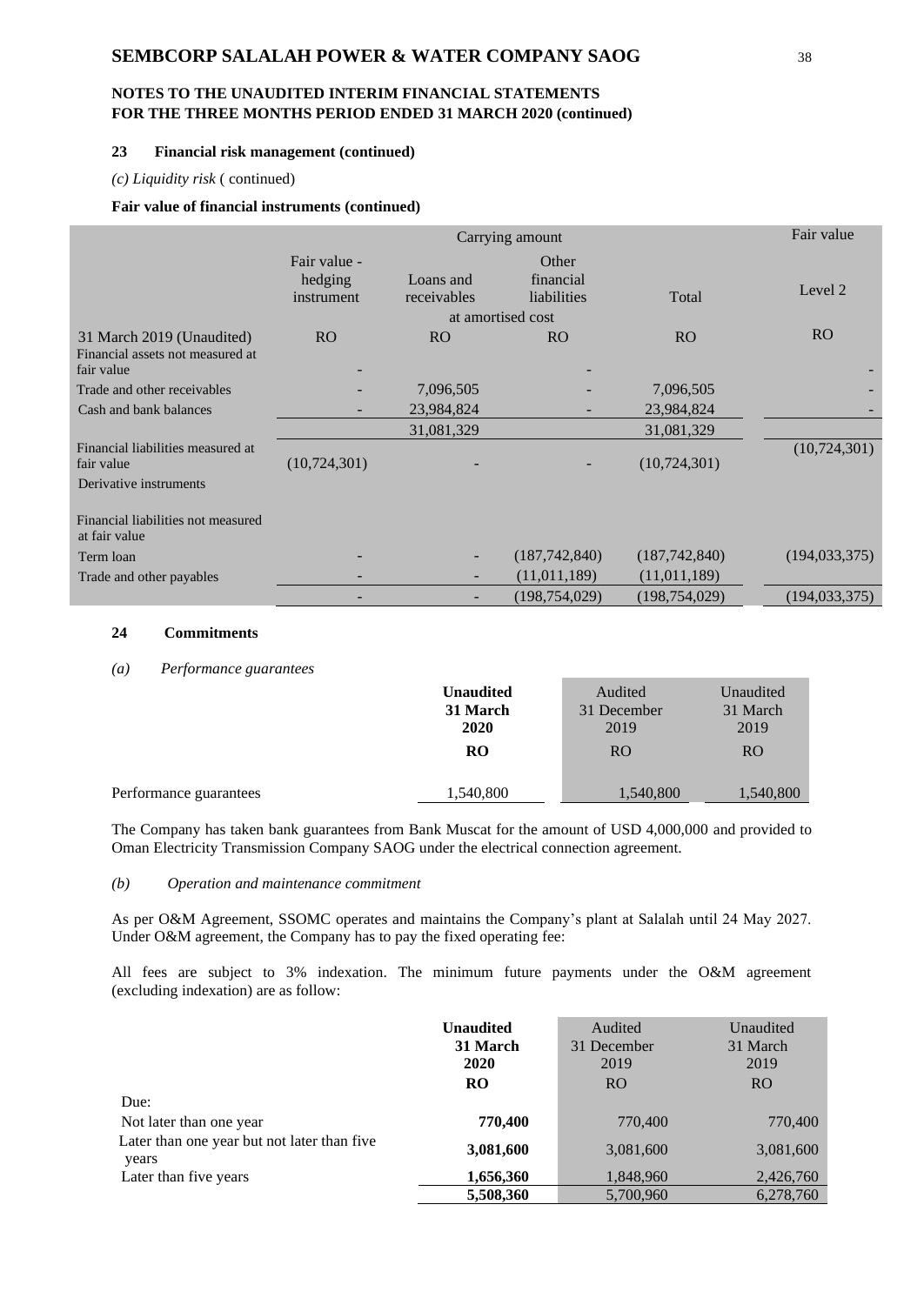# **NOTES TO THE UNAUDITED INTERIM FINANCIAL STATEMENTS FOR THE THREE MONTHS PERIOD ENDED 31 MARCH 2020 (continued)**

### **23 Financial risk management (continued)**

#### *(c) Liquidity risk* ( continued)

#### **Fair value of financial instruments (continued)**

|                                                                             |                                       | Fair value               |                                   |                 |                 |
|-----------------------------------------------------------------------------|---------------------------------------|--------------------------|-----------------------------------|-----------------|-----------------|
|                                                                             | Fair value -<br>hedging<br>instrument | Loans and<br>receivables | Other<br>financial<br>liabilities | Total           | Level 2         |
|                                                                             |                                       |                          | at amortised cost                 |                 |                 |
| 31 March 2019 (Unaudited)<br>Financial assets not measured at<br>fair value | RO                                    | <b>RO</b>                | <b>RO</b>                         | RO              | R <sub>O</sub>  |
| Trade and other receivables                                                 |                                       | 7,096,505                |                                   | 7,096,505       |                 |
| Cash and bank balances                                                      | $\overline{\phantom{0}}$              | 23,984,824               |                                   | 23,984,824      |                 |
|                                                                             |                                       | 31,081,329               |                                   | 31,081,329      |                 |
| Financial liabilities measured at<br>fair value                             | (10, 724, 301)                        |                          |                                   | (10,724,301)    | (10,724,301)    |
| Derivative instruments                                                      |                                       |                          |                                   |                 |                 |
| Financial liabilities not measured<br>at fair value                         |                                       |                          |                                   |                 |                 |
| Term loan                                                                   |                                       | $\qquad \qquad -$        | (187, 742, 840)                   | (187, 742, 840) | (194, 033, 375) |
| Trade and other payables                                                    | ۰                                     | $\qquad \qquad -$        | (11, 011, 189)                    | (11, 011, 189)  |                 |
|                                                                             |                                       |                          | (198, 754, 029)                   | (198, 754, 029) | (194, 033, 375) |

### **24 Commitments**

#### *(a) Performance guarantees*

|                        | <b>Unaudited</b><br>31 March | Audited<br>31 December | Unaudited<br>31 March |
|------------------------|------------------------------|------------------------|-----------------------|
|                        | 2020                         | 2019                   | 2019                  |
|                        | <b>RO</b>                    | R <sub>O</sub>         | R <sub>O</sub>        |
|                        |                              |                        |                       |
| Performance guarantees | 1,540,800                    | 1,540,800              | 1,540,800             |

The Company has taken bank guarantees from Bank Muscat for the amount of USD 4,000,000 and provided to Oman Electricity Transmission Company SAOG under the electrical connection agreement.

### *(b) Operation and maintenance commitment*

As per O&M Agreement, SSOMC operates and maintains the Company's plant at Salalah until 24 May 2027. Under O&M agreement, the Company has to pay the fixed operating fee:

All fees are subject to 3% indexation. The minimum future payments under the O&M agreement (excluding indexation) are as follow:

|                                                      | <b>Unaudited</b> | Audited     | Unaudited |
|------------------------------------------------------|------------------|-------------|-----------|
|                                                      | 31 March         | 31 December | 31 March  |
|                                                      | 2020             | 2019        | 2019      |
|                                                      | <b>RO</b>        | <b>RO</b>   | <b>RO</b> |
| Due:                                                 |                  |             |           |
| Not later than one year                              | 770,400          | 770,400     | 770,400   |
| Later than one year but not later than five<br>years | 3,081,600        | 3,081,600   | 3,081,600 |
| Later than five years                                | 1,656,360        | 1,848,960   | 2,426,760 |
|                                                      | 5,508,360        | 5,700,960   | 6,278,760 |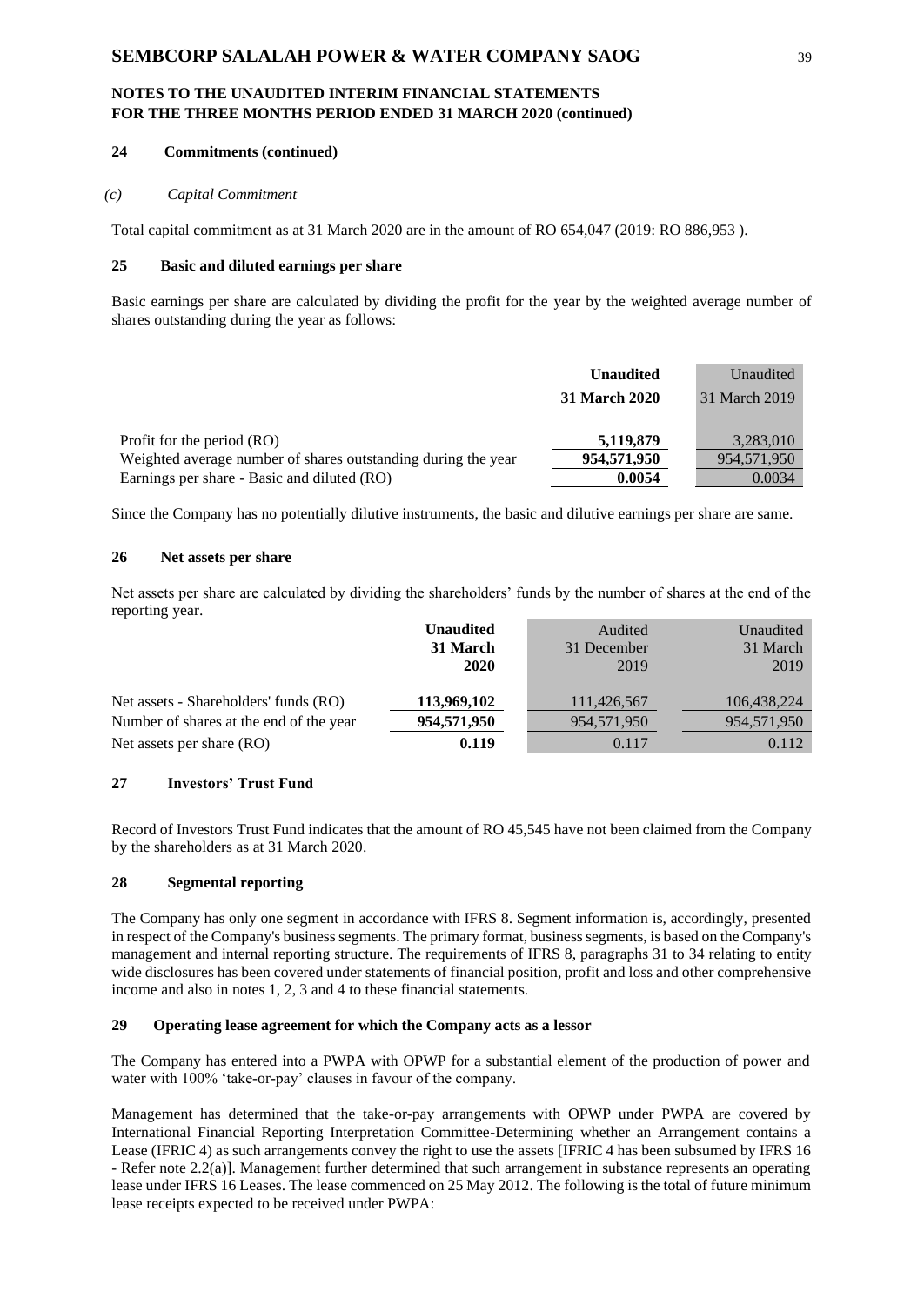# **NOTES TO THE UNAUDITED INTERIM FINANCIAL STATEMENTS FOR THE THREE MONTHS PERIOD ENDED 31 MARCH 2020 (continued)**

### **24 Commitments (continued)**

#### *(c) Capital Commitment*

Total capital commitment as at 31 March 2020 are in the amount of RO 654,047 (2019: RO 886,953 ).

### **25 Basic and diluted earnings per share**

Basic earnings per share are calculated by dividing the profit for the year by the weighted average number of shares outstanding during the year as follows:

|                                                               | <b>Unaudited</b>     | Unaudited     |
|---------------------------------------------------------------|----------------------|---------------|
|                                                               | <b>31 March 2020</b> | 31 March 2019 |
|                                                               |                      |               |
| Profit for the period (RO)                                    | 5,119,879            | 3,283,010     |
| Weighted average number of shares outstanding during the year | 954,571,950          | 954,571,950   |
| Earnings per share - Basic and diluted (RO)                   | 0.0054               | 0.0034        |

Since the Company has no potentially dilutive instruments, the basic and dilutive earnings per share are same.

### **26 Net assets per share**

Net assets per share are calculated by dividing the shareholders' funds by the number of shares at the end of the reporting year.

|                                         | <b>Unaudited</b> | Audited     | Unaudited   |
|-----------------------------------------|------------------|-------------|-------------|
|                                         | 31 March         | 31 December | 31 March    |
|                                         | 2020             | 2019        | 2019        |
|                                         |                  |             |             |
| Net assets - Shareholders' funds (RO)   | 113,969,102      | 111,426,567 | 106,438,224 |
| Number of shares at the end of the year | 954,571,950      | 954,571,950 | 954,571,950 |
| Net assets per share (RO)               | 0.119            | 0.117       | 0.112       |

# **27 Investors' Trust Fund**

Record of Investors Trust Fund indicates that the amount of RO 45,545 have not been claimed from the Company by the shareholders as at 31 March 2020.

#### **28 Segmental reporting**

The Company has only one segment in accordance with IFRS 8. Segment information is, accordingly, presented in respect of the Company's business segments. The primary format, business segments, is based on the Company's management and internal reporting structure. The requirements of IFRS 8, paragraphs 31 to 34 relating to entity wide disclosures has been covered under statements of financial position, profit and loss and other comprehensive income and also in notes 1, 2, 3 and 4 to these financial statements.

### **29 Operating lease agreement for which the Company acts as a lessor**

The Company has entered into a PWPA with OPWP for a substantial element of the production of power and water with 100% 'take-or-pay' clauses in favour of the company.

Management has determined that the take-or-pay arrangements with OPWP under PWPA are covered by International Financial Reporting Interpretation Committee-Determining whether an Arrangement contains a Lease (IFRIC 4) as such arrangements convey the right to use the assets [IFRIC 4 has been subsumed by IFRS 16 - Refer note 2.2(a)]. Management further determined that such arrangement in substance represents an operating lease under IFRS 16 Leases. The lease commenced on 25 May 2012. The following is the total of future minimum lease receipts expected to be received under PWPA: